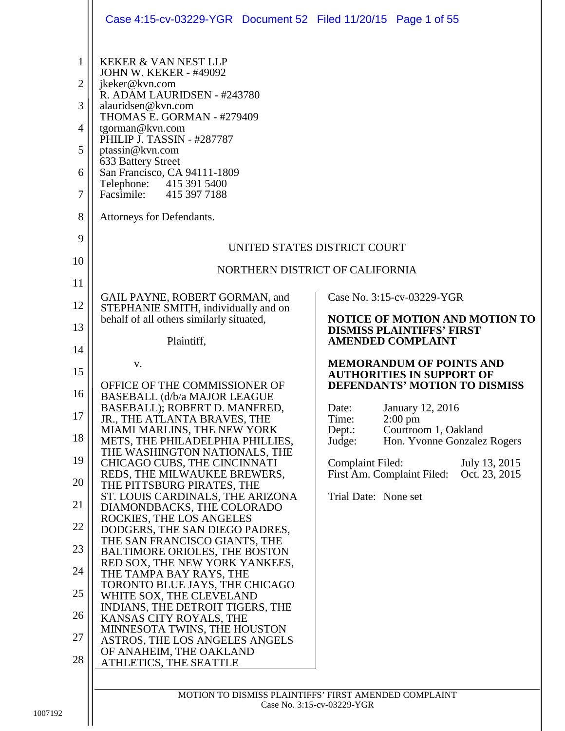|                                                                                             | Case 4:15-cv-03229-YGR  Document 52  Filed 11/20/15  Page 1 of 55                                                                                                                                                                                                                                                                                                                  |                                                                                         |
|---------------------------------------------------------------------------------------------|------------------------------------------------------------------------------------------------------------------------------------------------------------------------------------------------------------------------------------------------------------------------------------------------------------------------------------------------------------------------------------|-----------------------------------------------------------------------------------------|
| $\mathbf{1}$<br>$\overline{2}$<br>3<br>$\overline{4}$<br>5<br>6<br>$\overline{7}$<br>8<br>9 | <b>KEKER &amp; VAN NEST LLP</b><br><b>JOHN W. KEKER - #49092</b><br>jkeker@kvn.com<br>R. ADAM LAURIDSEN - #243780<br>alauridsen@kvn.com<br>THOMAS E. GORMAN - #279409<br>tgorman@kvn.com<br>PHILIP J. TASSIN - #287787<br>ptassin@kvn.com<br>633 Battery Street<br>San Francisco, CA 94111-1809<br>Telephone: 415 391 5400<br>Facsimile: 415 397 7188<br>Attorneys for Defendants. | UNITED STATES DISTRICT COURT                                                            |
| 10                                                                                          |                                                                                                                                                                                                                                                                                                                                                                                    | NORTHERN DISTRICT OF CALIFORNIA                                                         |
| 11                                                                                          |                                                                                                                                                                                                                                                                                                                                                                                    |                                                                                         |
| 12                                                                                          | GAIL PAYNE, ROBERT GORMAN, and<br>STEPHANIE SMITH, individually and on<br>behalf of all others similarly situated,                                                                                                                                                                                                                                                                 | Case No. 3:15-cv-03229-YGR<br><b>NOTICE OF MOTION AND MOTION TO</b>                     |
| 13                                                                                          | Plaintiff,                                                                                                                                                                                                                                                                                                                                                                         | <b>DISMISS PLAINTIFFS' FIRST</b><br><b>AMENDED COMPLAINT</b>                            |
| 14                                                                                          | V.                                                                                                                                                                                                                                                                                                                                                                                 | <b>MEMORANDUM OF POINTS AND</b>                                                         |
| 15                                                                                          | OFFICE OF THE COMMISSIONER OF                                                                                                                                                                                                                                                                                                                                                      | <b>AUTHORITIES IN SUPPORT OF</b><br>DEFENDANTS' MOTION TO DISMISS                       |
| 16                                                                                          | BASEBALL (d/b/a MAJOR LEAGUE<br>BASEBALL); ROBERT D. MANFRED,                                                                                                                                                                                                                                                                                                                      | January 12, 2016<br>Date:                                                               |
| $17\,$<br>18                                                                                | JR., THE ATLANTA BRAVES, THE<br>MIAMI MARLINS, THE NEW YORK                                                                                                                                                                                                                                                                                                                        | $2:00$ pm<br>Time:<br>Courtroom 1, Oakland<br>Dept.:                                    |
|                                                                                             | METS, THE PHILADELPHIA PHILLIES,<br>THE WASHINGTON NATIONALS, THE                                                                                                                                                                                                                                                                                                                  | Hon. Yvonne Gonzalez Rogers<br>Judge:                                                   |
| 19<br>20                                                                                    | CHICAGO CUBS, THE CINCINNATI<br>REDS, THE MILWAUKEE BREWERS,<br>THE PITTSBURG PIRATES, THE                                                                                                                                                                                                                                                                                         | <b>Complaint Filed:</b><br>July 13, 2015<br>First Am. Complaint Filed:<br>Oct. 23, 2015 |
| 21                                                                                          | ST. LOUIS CARDINALS, THE ARIZONA<br>DIAMONDBACKS, THE COLORADO                                                                                                                                                                                                                                                                                                                     | Trial Date: None set                                                                    |
| 22                                                                                          | ROCKIES, THE LOS ANGELES<br>DODGERS, THE SAN DIEGO PADRES,                                                                                                                                                                                                                                                                                                                         |                                                                                         |
| 23                                                                                          | THE SAN FRANCISCO GIANTS, THE<br><b>BALTIMORE ORIOLES, THE BOSTON</b>                                                                                                                                                                                                                                                                                                              |                                                                                         |
| 24                                                                                          | RED SOX, THE NEW YORK YANKEES,<br>THE TAMPA BAY RAYS, THE                                                                                                                                                                                                                                                                                                                          |                                                                                         |
| 25                                                                                          | TORONTO BLUE JAYS, THE CHICAGO<br>WHITE SOX, THE CLEVELAND                                                                                                                                                                                                                                                                                                                         |                                                                                         |
| 26                                                                                          | INDIANS, THE DETROIT TIGERS, THE<br>KANSAS CITY ROYALS, THE                                                                                                                                                                                                                                                                                                                        |                                                                                         |
| 27                                                                                          | MINNESOTA TWINS, THE HOUSTON<br>ASTROS, THE LOS ANGELES ANGELS                                                                                                                                                                                                                                                                                                                     |                                                                                         |
| 28                                                                                          | OF ANAHEIM, THE OAKLAND<br>ATHLETICS, THE SEATTLE                                                                                                                                                                                                                                                                                                                                  |                                                                                         |
|                                                                                             |                                                                                                                                                                                                                                                                                                                                                                                    | MOTION TO DISMISS PLAINTIFFS' FIRST AMENDED COMPLAINT                                   |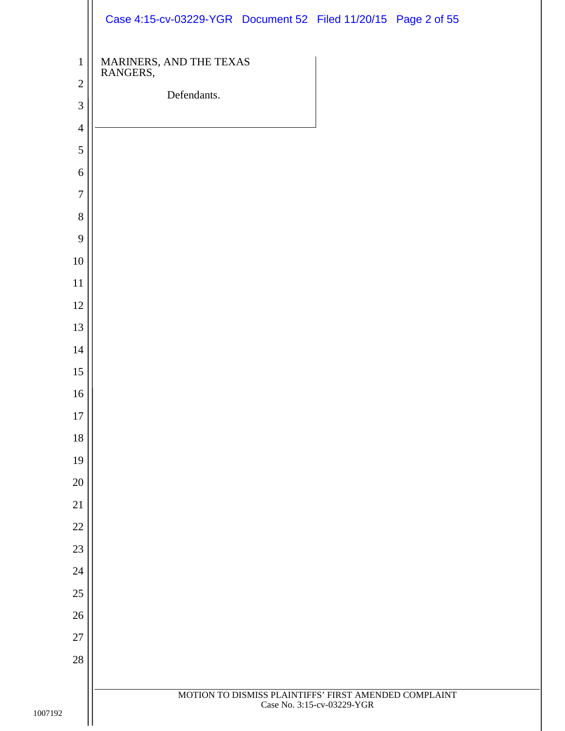|                                              | Case 4:15-cv-03229-YGR Document 52 Filed 11/20/15 Page 2 of 55                      |
|----------------------------------------------|-------------------------------------------------------------------------------------|
| $\mathbf{1}$<br>$\sqrt{2}$<br>$\mathfrak{Z}$ | MARINERS, AND THE TEXAS<br>RANGERS,<br>Defendants.                                  |
| $\overline{4}$                               |                                                                                     |
| 5<br>6                                       |                                                                                     |
| $\boldsymbol{7}$                             |                                                                                     |
| $8\,$                                        |                                                                                     |
| 9                                            |                                                                                     |
| $10\,$                                       |                                                                                     |
| $11\,$                                       |                                                                                     |
| $12\,$                                       |                                                                                     |
| 13                                           |                                                                                     |
| 14                                           |                                                                                     |
| $15\,$                                       |                                                                                     |
| 16                                           |                                                                                     |
| $17\,$                                       |                                                                                     |
| 18<br>19                                     |                                                                                     |
| $20\,$                                       |                                                                                     |
| 21                                           |                                                                                     |
| $22\,$                                       |                                                                                     |
| $23\,$                                       |                                                                                     |
| $24\,$                                       |                                                                                     |
| $25\,$                                       |                                                                                     |
| $26\,$                                       |                                                                                     |
| $27\,$                                       |                                                                                     |
| $28\,$                                       |                                                                                     |
|                                              | MOTION TO DISMISS PLAINTIFFS' FIRST AMENDED COMPLAINT<br>Case No. 3:15-cv-03229-YGR |
|                                              |                                                                                     |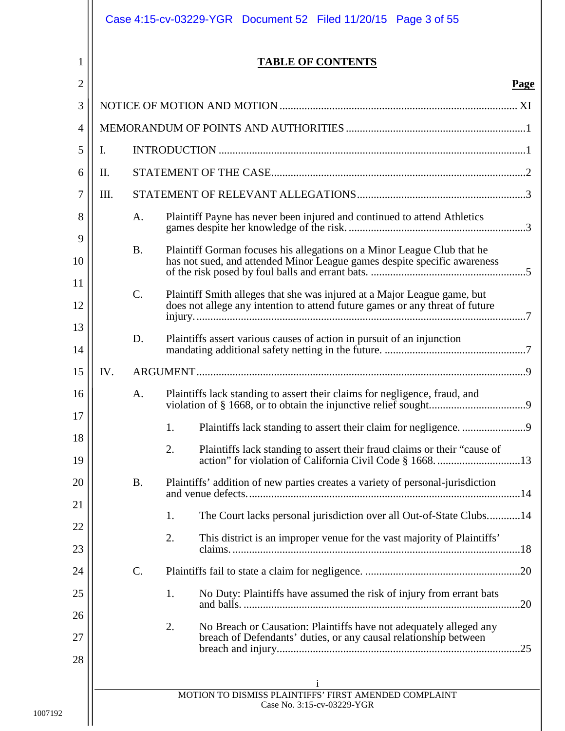|                |      |           | Case 4:15-cv-03229-YGR  Document 52  Filed 11/20/15  Page 3 of 55                                                                                   |             |
|----------------|------|-----------|-----------------------------------------------------------------------------------------------------------------------------------------------------|-------------|
| 1              |      |           | <b>TABLE OF CONTENTS</b>                                                                                                                            |             |
| $\overline{2}$ |      |           |                                                                                                                                                     | <b>Page</b> |
| 3              |      |           |                                                                                                                                                     |             |
| 4              |      |           |                                                                                                                                                     |             |
| 5              | I.   |           |                                                                                                                                                     |             |
| 6              | II.  |           |                                                                                                                                                     |             |
| 7              | III. |           |                                                                                                                                                     |             |
| 8<br>9         |      | A.        | Plaintiff Payne has never been injured and continued to attend Athletics                                                                            |             |
| 10             |      | <b>B.</b> | Plaintiff Gorman focuses his allegations on a Minor League Club that he<br>has not sued, and attended Minor League games despite specific awareness |             |
| 11             |      | $C$ .     | Plaintiff Smith alleges that she was injured at a Major League game, but                                                                            |             |
| 12             |      |           | does not allege any intention to attend future games or any threat of future                                                                        |             |
| 13<br>14       |      | D.        | Plaintiffs assert various causes of action in pursuit of an injunction                                                                              |             |
| 15             | IV.  |           |                                                                                                                                                     |             |
| 16             |      | A.        | Plaintiffs lack standing to assert their claims for negligence, fraud, and                                                                          |             |
| 17             |      |           | 1.                                                                                                                                                  |             |
| 18<br>19       |      |           | 2.<br>Plaintiffs lack standing to assert their fraud claims or their "cause of                                                                      |             |
| 20             |      | <b>B.</b> | Plaintiffs' addition of new parties creates a variety of personal-jurisdiction                                                                      |             |
| 21             |      |           |                                                                                                                                                     |             |
| 22             |      |           | The Court lacks personal jurisdiction over all Out-of-State Clubs14<br>1.                                                                           |             |
| 23             |      |           | 2.<br>This district is an improper venue for the vast majority of Plaintiffs'                                                                       |             |
| 24             |      | C.        |                                                                                                                                                     |             |
| 25             |      |           | No Duty: Plaintiffs have assumed the risk of injury from errant bats<br>1.                                                                          |             |
| 26             |      |           |                                                                                                                                                     | .20         |
| 27             |      |           | 2.<br>No Breach or Causation: Plaintiffs have not adequately alleged any<br>breach of Defendants' duties, or any causal relationship between        |             |
| 28             |      |           | $\mathbf{1}$                                                                                                                                        |             |
|                |      |           | MOTION TO DISMISS PLAINTIFFS' FIRST AMENDED COMPLAINT<br>Case No. 3:15-cv-03229-YGR                                                                 |             |
|                |      |           |                                                                                                                                                     |             |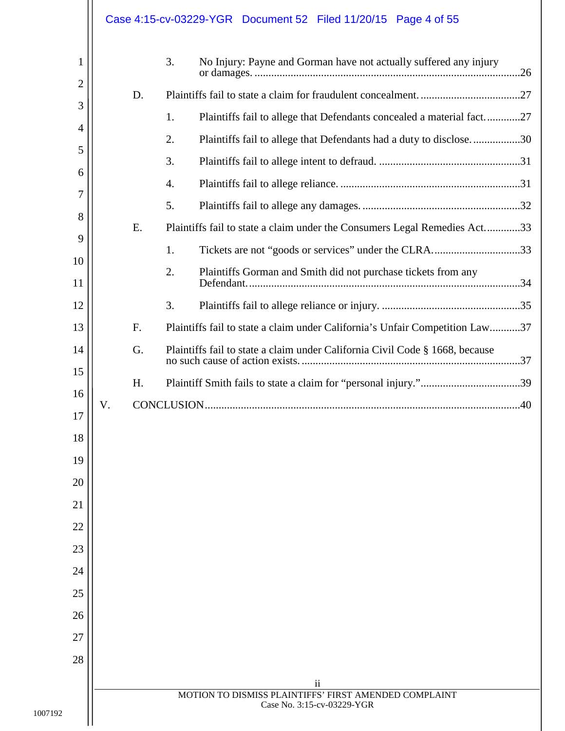|                |    |    | Case 4:15-cv-03229-YGR  Document 52  Filed 11/20/15  Page 4 of 55            |
|----------------|----|----|------------------------------------------------------------------------------|
| 1<br>2         |    |    | 3.<br>No Injury: Payne and Gorman have not actually suffered any injury      |
| 3              |    | D. |                                                                              |
| $\overline{4}$ |    |    | 1.<br>Plaintiffs fail to allege that Defendants concealed a material fact27  |
| 5              |    |    | 2.<br>Plaintiffs fail to allege that Defendants had a duty to disclose30     |
| 6              |    |    | 3.                                                                           |
| 7              |    |    | 4.                                                                           |
| 8              |    |    | 5.                                                                           |
| 9              |    | E. | Plaintiffs fail to state a claim under the Consumers Legal Remedies Act33    |
| 10             |    |    | 1.                                                                           |
| 11             |    |    | 2.<br>Plaintiffs Gorman and Smith did not purchase tickets from any          |
| 12             |    |    | 3.                                                                           |
| 13             |    | F. | Plaintiffs fail to state a claim under California's Unfair Competition Law37 |
| 14             |    | G. | Plaintiffs fail to state a claim under California Civil Code § 1668, because |
| 15             |    | H. |                                                                              |
| 16             | V. |    |                                                                              |
| 17             |    |    |                                                                              |
| 18             |    |    |                                                                              |
| 19             |    |    |                                                                              |
| 20             |    |    |                                                                              |
| 21             |    |    |                                                                              |
| 22             |    |    |                                                                              |
| 23             |    |    |                                                                              |
| 24             |    |    |                                                                              |
| 25             |    |    |                                                                              |
| 26             |    |    |                                                                              |
| 27             |    |    |                                                                              |
| 28             |    |    |                                                                              |
|                |    |    | ii<br>MOTION TO DISMISS PLAINTIFFS' FIRST AMENDED COMPLAINT                  |
|                |    |    | Case No. 3:15-cv-03229-YGR                                                   |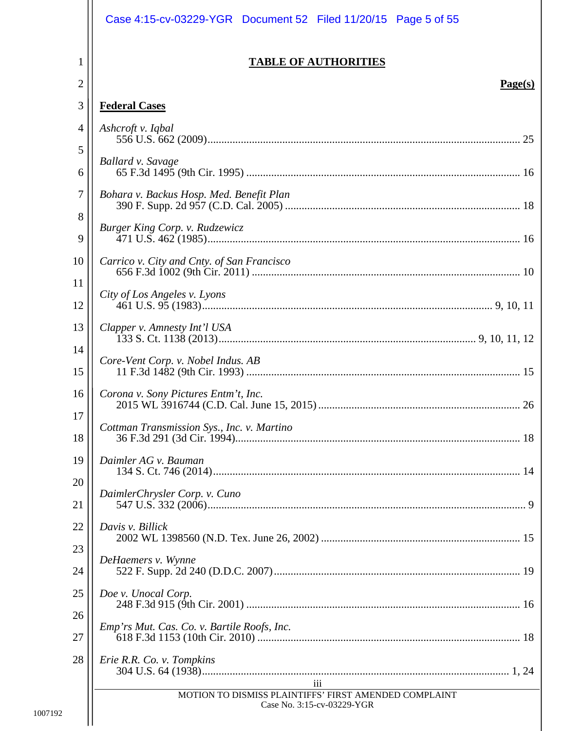|                | Case 4:15-cv-03229-YGR  Document 52  Filed 11/20/15  Page 5 of 55                       |
|----------------|-----------------------------------------------------------------------------------------|
| 1              | <b>TABLE OF AUTHORITIES</b>                                                             |
| $\overline{2}$ | Page(s)                                                                                 |
| 3              | <b>Federal Cases</b>                                                                    |
| 4<br>5         | Ashcroft v. Iqbal                                                                       |
| 6              | Ballard v. Savage                                                                       |
| $\tau$         | Bohara v. Backus Hosp. Med. Benefit Plan                                                |
| 8<br>9         | Burger King Corp. v. Rudzewicz                                                          |
| 10             | Carrico v. City and Cnty. of San Francisco<br>01.000 v. City and Chry. by Ban Francisco |
| 11<br>12       | City of Los Angeles v. Lyons                                                            |
| 13             | Clapper v. Amnesty Int'l USA                                                            |
| 14<br>15       | Core-Vent Corp. v. Nobel Indus. AB                                                      |
| 16             | Corona v. Sony Pictures Entm't, Inc.                                                    |
| 17<br>18       | Cottman Transmission Sys., Inc. v. Martino                                              |
| 19             | Daimler AG v. Bauman                                                                    |
| 20<br>21       | DaimlerChrysler Corp. v. Cuno                                                           |
| 22             | Davis v. Billick                                                                        |
| 23<br>24       | DeHaemers v. Wynne                                                                      |
| 25             | Doe v. Unocal Corp.                                                                     |
| 26<br>27       | Emp'rs Mut. Cas. Co. v. Bartile Roofs, Inc.                                             |
| 28             | Erie R.R. Co. v. Tompkins                                                               |
|                | iii<br>MOTION TO DISMISS PLAINTIFFS' FIRST AMENDED COMPLAINT                            |
|                | Case No. 3:15-cv-03229-YGR                                                              |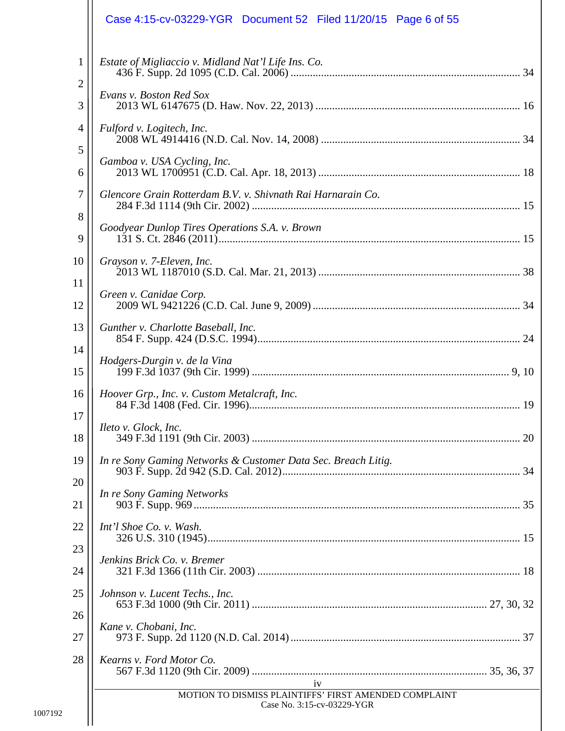|                   | Case 4:15-cv-03229-YGR  Document 52  Filed 11/20/15  Page 6 of 55                         |
|-------------------|-------------------------------------------------------------------------------------------|
| $\mathbf{1}$<br>2 | Estate of Migliaccio v. Midland Nat'l Life Ins. Co.                                       |
| 3                 | Evans v. Boston Red Sox                                                                   |
| 4                 | Fulford v. Logitech, Inc.                                                                 |
| 5<br>6            | Gamboa v. USA Cycling, Inc.                                                               |
| 7                 | Glencore Grain Rotterdam B.V. v. Shivnath Rai Harnarain Co.                               |
| 8<br>9            | Goodyear Dunlop Tires Operations S.A. v. Brown                                            |
| 10                | Grayson v. 7-Eleven, Inc.                                                                 |
| 11<br>12          | Green v. Canidae Corp.                                                                    |
| 13                | Gunther v. Charlotte Baseball, Inc.                                                       |
| 14<br>15          | Hodgers-Durgin v. de la Vina                                                              |
| 16                | Hoover Grp., Inc. v. Custom Metalcraft, Inc.                                              |
| 17<br>18          | <i>Ileto v. Glock</i> , <i>Inc.</i>                                                       |
| 19                | In re Sony Gaming Networks & Customer Data Sec. Breach Litig.                             |
| 20<br>21          | In re Sony Gaming Networks                                                                |
| 22                | Int'l Shoe Co. v. Wash.                                                                   |
| 23<br>24          | Jenkins Brick Co. v. Bremer                                                               |
| 25                | Johnson v. Lucent Techs., Inc.                                                            |
| 26<br>27          | Kane v. Chobani, Inc.                                                                     |
| 28                | Kearns v. Ford Motor Co.                                                                  |
|                   | iv<br>MOTION TO DISMISS PLAINTIFFS' FIRST AMENDED COMPLAINT<br>Case No. 3:15-cv-03229-YGR |
|                   |                                                                                           |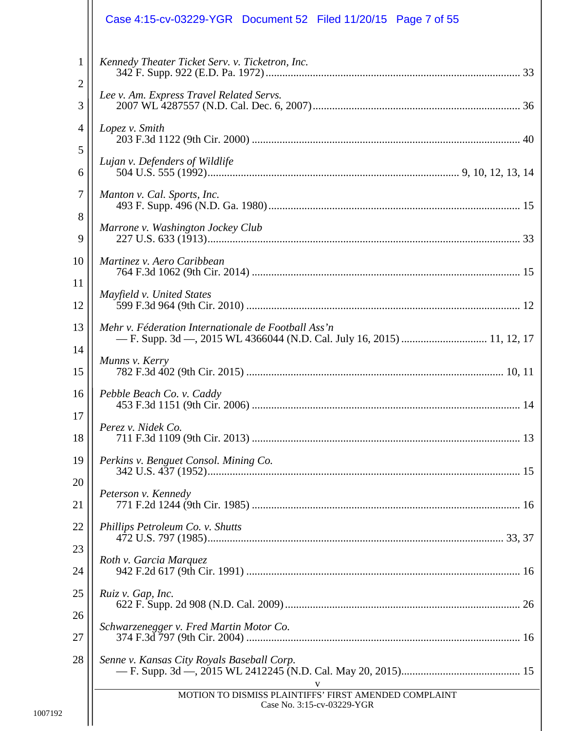|          | Case 4:15-cv-03229-YGR  Document 52  Filed 11/20/15  Page 7 of 55                                                            |
|----------|------------------------------------------------------------------------------------------------------------------------------|
| 1<br>2   | Kennedy Theater Ticket Serv. v. Ticketron, Inc.                                                                              |
| 3        | Lee v. Am. Express Travel Related Servs.                                                                                     |
| 4<br>5   | Lopez v. Smith                                                                                                               |
| 6        | Lujan v. Defenders of Wildlife                                                                                               |
| 7        | Manton v. Cal. Sports, Inc.                                                                                                  |
| 8<br>9   | Marrone v. Washington Jockey Club                                                                                            |
| 10       | Martinez v. Aero Caribbean                                                                                                   |
| 11<br>12 | Mayfield v. United States                                                                                                    |
| 13       | Mehr v. Féderation Internationale de Football Ass'n<br>- F. Supp. 3d - 2015 WL 4366044 (N.D. Cal. July 16, 2015)  11, 12, 17 |
| 14<br>15 | Munns v. Kerry                                                                                                               |
| 16       | Pebble Beach Co. v. Caddy                                                                                                    |
| 17<br>18 | Perez v. Nidek Co.                                                                                                           |
| 19       | Perkins v. Benguet Consol. Mining Co.                                                                                        |
| 20<br>21 | Peterson v. Kennedy                                                                                                          |
| 22       | Phillips Petroleum Co. v. Shutts                                                                                             |
| 23<br>24 | Roth v. Garcia Marquez                                                                                                       |
| 25       | Ruiz v. Gap, Inc.                                                                                                            |
| 26<br>27 | Schwarzenegger v. Fred Martin Motor Co.                                                                                      |
| 28       | Senne v. Kansas City Royals Baseball Corp.                                                                                   |
|          | V<br>MOTION TO DISMISS PLAINTIFFS' FIRST AMENDED COMPLAINT<br>Case No. 3:15-cv-03229-YGR                                     |
|          |                                                                                                                              |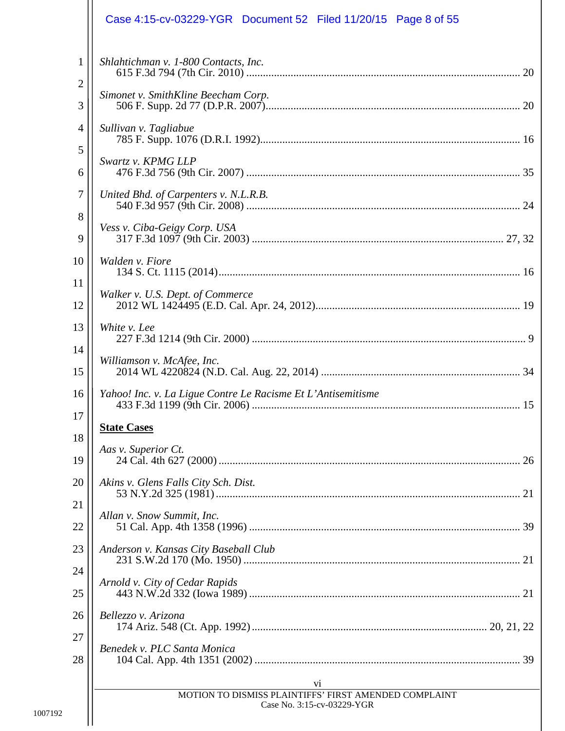|                     | Case 4:15-cv-03229-YGR  Document 52  Filed 11/20/15  Page 8 of 55           |
|---------------------|-----------------------------------------------------------------------------|
| 1<br>$\overline{2}$ | Shlahtichman v. 1-800 Contacts, Inc.<br>Simonet v. SmithKline Beecham Corp. |
| 3                   |                                                                             |
| 4<br>5              | Sullivan v. Tagliabue                                                       |
| 6                   | Swartz v. KPMG LLP                                                          |
| $\overline{7}$      | United Bhd. of Carpenters v. N.L.R.B.                                       |
| 8<br>9              | Vess v. Ciba-Geigy Corp. USA                                                |
| 10                  | Walden v. Fiore                                                             |
| 11<br>12            | Walker v. U.S. Dept. of Commerce                                            |
| 13                  | White v. Lee                                                                |
| 14<br>15            | Williamson v. McAfee, Inc.                                                  |
| 16                  | Yahoo! Inc. v. La Ligue Contre Le Racisme Et L'Antisemitisme                |
| 17<br>18            | <b>State Cases</b>                                                          |
| 19                  | Aas v. Superior Ct.                                                         |
| 20                  | Akins v. Glens Falls City Sch. Dist.                                        |
| 21<br>22            | Allan v. Snow Summit, Inc.                                                  |
| 23                  | Anderson v. Kansas City Baseball Club                                       |
| 24<br>25            | Arnold v. City of Cedar Rapids                                              |
| 26                  | Bellezzo v. Arizona                                                         |
| 27<br>28            | Benedek v. PLC Santa Monica                                                 |
|                     | V <sub>1</sub><br>MOTION TO DISMISS PLAINTIFFS' FIRST AMENDED COMPLAINT     |
|                     | Case No. 3:15-cv-03229-YGR                                                  |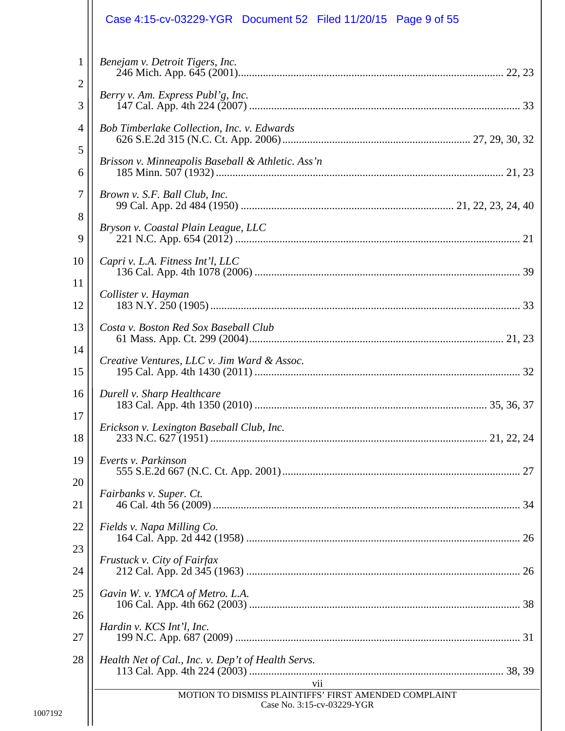|          | Case 4:15-cv-03229-YGR  Document 52  Filed 11/20/15  Page 9 of 55                          |
|----------|--------------------------------------------------------------------------------------------|
| 1<br>2   | Benejam v. Detroit Tigers, Inc.                                                            |
| 3        | Berry v. Am. Express Publ'g, Inc.                                                          |
| 4        | Bob Timberlake Collection, Inc. v. Edwards                                                 |
| 5<br>6   | Brisson v. Minneapolis Baseball & Athletic. Ass'n                                          |
| 7        | Brown v. S.F. Ball Club, Inc.                                                              |
| 8<br>9   | Bryson v. Coastal Plain League, LLC                                                        |
| 10       | Capri v. L.A. Fitness Int'l, LLC                                                           |
| 11<br>12 | Collister v. Hayman                                                                        |
| 13       | Costa v. Boston Red Sox Baseball Club                                                      |
| 14<br>15 | Creative Ventures, LLC v. Jim Ward & Assoc.                                                |
| 16       | Durell v. Sharp Healthcare                                                                 |
| 17<br>18 | Erickson v. Lexington Baseball Club, Inc.                                                  |
| 19       | Everts v. Parkinson                                                                        |
| 20<br>21 | Fairbanks v. Super. Ct.                                                                    |
| 22       | Fields v. Napa Milling Co.                                                                 |
| 23<br>24 | Frustuck v. City of Fairfax                                                                |
| 25       | Gavin W. v. YMCA of Metro. L.A.                                                            |
| 26<br>27 | Hardin v. KCS Int'l, Inc.                                                                  |
| 28       | Health Net of Cal., Inc. v. Dep't of Health Servs.                                         |
|          | vii<br>MOTION TO DISMISS PLAINTIFFS' FIRST AMENDED COMPLAINT<br>Case No. 3:15-cv-03229-YGR |
|          |                                                                                            |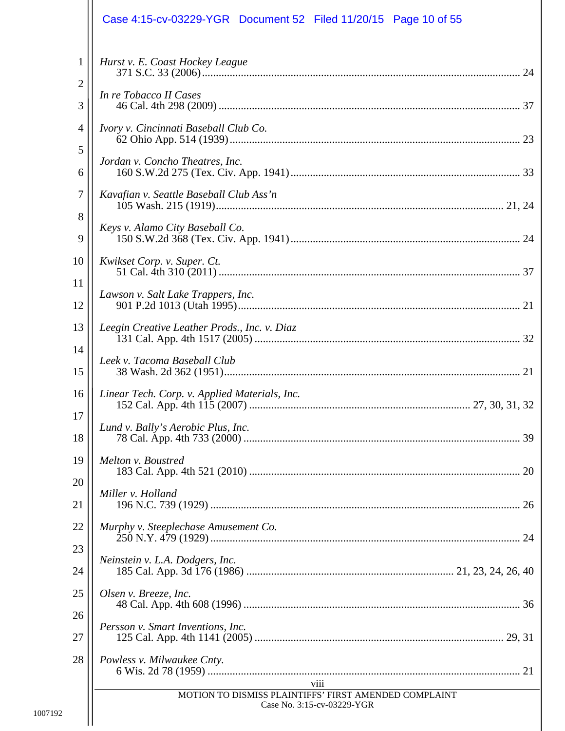|                   | Case 4:15-cv-03229-YGR  Document 52  Filed 11/20/15  Page 10 of 55                          |
|-------------------|---------------------------------------------------------------------------------------------|
| $\mathbf{1}$<br>2 | Hurst v. E. Coast Hockey League                                                             |
| 3                 | In re Tobacco II Cases                                                                      |
| 4                 | Ivory v. Cincinnati Baseball Club Co.                                                       |
| 5<br>6            | Jordan v. Concho Theatres, Inc.                                                             |
| 7                 | Kavafian v. Seattle Baseball Club Ass'n                                                     |
| 8<br>9            | Keys v. Alamo City Baseball Co.                                                             |
| 10                | Kwikset Corp. v. Super. Ct.                                                                 |
| 11<br>12          | Lawson v. Salt Lake Trappers, Inc.                                                          |
| 13                | Leegin Creative Leather Prods., Inc. v. Diaz                                                |
| 14<br>15          | Leek v. Tacoma Baseball Club                                                                |
| 16                | Linear Tech. Corp. v. Applied Materials, Inc.                                               |
| 17<br>18          | Lund v. Bally's Aerobic Plus, Inc.                                                          |
| 19                | Melton v. Boustred                                                                          |
| 20<br>21          | Miller v. Holland                                                                           |
| 22                | Murphy v. Steeplechase Amusement Co.                                                        |
| 23<br>24          | Neinstein v. L.A. Dodgers, Inc.                                                             |
| 25                | Olsen v. Breeze, Inc.                                                                       |
| 26<br>27          | Persson v. Smart Inventions, Inc.                                                           |
| 28                | Powless v. Milwaukee Cnty.                                                                  |
|                   | viii<br>MOTION TO DISMISS PLAINTIFFS' FIRST AMENDED COMPLAINT<br>Case No. 3:15-cv-03229-YGR |
|                   |                                                                                             |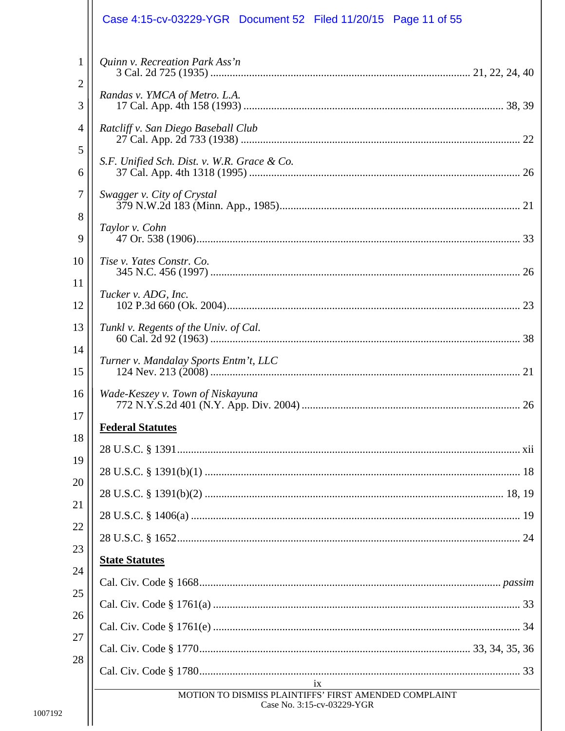|                   | Case 4:15-cv-03229-YGR  Document 52  Filed 11/20/15  Page 11 of 55                                      |
|-------------------|---------------------------------------------------------------------------------------------------------|
| $\mathbf{1}$<br>2 | Quinn v. Recreation Park Ass'n                                                                          |
| 3                 | Randas v. YMCA of Metro. L.A.                                                                           |
| 4                 | Ratcliff v. San Diego Baseball Club                                                                     |
| 5<br>6            | S.F. Unified Sch. Dist. v. W.R. Grace & Co.                                                             |
| $\tau$            | Swagger v. City of Crystal                                                                              |
| 8<br>9            | Taylor v. Cohn                                                                                          |
| 10                | Tise v. Yates Constr. Co.                                                                               |
| 11                | Tucker v. ADG, Inc.                                                                                     |
| 12<br>13          | Tunkl v. Regents of the Univ. of Cal.                                                                   |
| 14                | Turner v. Mandalay Sports Entm't, LLC                                                                   |
| 15                |                                                                                                         |
| 16<br>17          | Wade-Keszey v. Town of Niskayuna                                                                        |
| 18                | <b>Federal Statutes</b>                                                                                 |
| 19                |                                                                                                         |
| 20                |                                                                                                         |
| 21                |                                                                                                         |
|                   |                                                                                                         |
| 22                |                                                                                                         |
| 23                | <b>State Statutes</b>                                                                                   |
| 24                |                                                                                                         |
| 25                |                                                                                                         |
| 26                |                                                                                                         |
| 27                |                                                                                                         |
| 28                |                                                                                                         |
|                   | 1X<br><u> 1980 - Johann Barbara, martxa al</u><br>MOTION TO DISMISS PLAINTIFFS' FIRST AMENDED COMPLAINT |
|                   |                                                                                                         |

 $\mathbf{L}$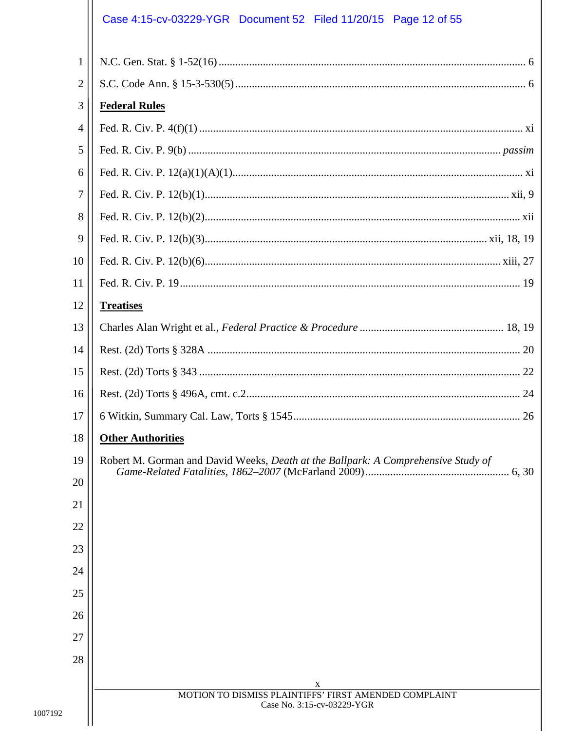# Case 4:15-cv-03229-YGR Document 52 Filed 11/20/15 Page 12 of 55

| $\mathbf{1}$    |                                                                                     |
|-----------------|-------------------------------------------------------------------------------------|
| 2               |                                                                                     |
| 3               | <b>Federal Rules</b>                                                                |
| 4               |                                                                                     |
| 5               |                                                                                     |
| 6               |                                                                                     |
| 7               |                                                                                     |
| 8               |                                                                                     |
| 9               |                                                                                     |
| 10              |                                                                                     |
| 11              |                                                                                     |
| 12              | <b>Treatises</b>                                                                    |
| 13              |                                                                                     |
| 14              |                                                                                     |
| 15              |                                                                                     |
| 16              |                                                                                     |
| 17              |                                                                                     |
| 18              | <b>Other Authorities</b>                                                            |
| 19 <sup>°</sup> | Robert M. Gorman and David Weeks, Death at the Ballpark: A Comprehensive Study of   |
| 20              |                                                                                     |
| 21              |                                                                                     |
| 22              |                                                                                     |
| 23              |                                                                                     |
| 24              |                                                                                     |
| 25              |                                                                                     |
| 26              |                                                                                     |
| 27              |                                                                                     |
| 28              |                                                                                     |
|                 | X                                                                                   |
|                 | MOTION TO DISMISS PLAINTIFFS' FIRST AMENDED COMPLAINT<br>Case No. 3:15-cv-03229-YGR |
|                 |                                                                                     |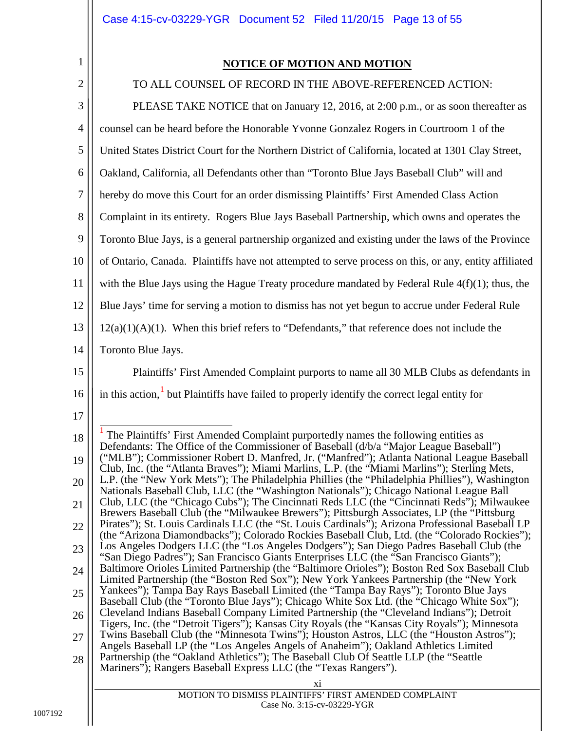## <span id="page-12-2"></span><span id="page-12-1"></span>**NOTICE OF MOTION AND MOTION**

<span id="page-12-3"></span><span id="page-12-0"></span>

| $\overline{2}$ | TO ALL COUNSEL OF RECORD IN THE ABOVE-REFERENCED ACTION:                                                                                                                                         |
|----------------|--------------------------------------------------------------------------------------------------------------------------------------------------------------------------------------------------|
| 3              | PLEASE TAKE NOTICE that on January 12, 2016, at 2:00 p.m., or as soon thereafter as                                                                                                              |
| $\overline{4}$ | counsel can be heard before the Honorable Yvonne Gonzalez Rogers in Courtroom 1 of the                                                                                                           |
| 5              | United States District Court for the Northern District of California, located at 1301 Clay Street,                                                                                               |
| 6              | Oakland, California, all Defendants other than "Toronto Blue Jays Baseball Club" will and                                                                                                        |
| 7              | hereby do move this Court for an order dismissing Plaintiffs' First Amended Class Action                                                                                                         |
| 8              | Complaint in its entirety. Rogers Blue Jays Baseball Partnership, which owns and operates the                                                                                                    |
| 9              | Toronto Blue Jays, is a general partnership organized and existing under the laws of the Province                                                                                                |
| 10             | of Ontario, Canada. Plaintiffs have not attempted to serve process on this, or any, entity affiliated                                                                                            |
| 11             | with the Blue Jays using the Hague Treaty procedure mandated by Federal Rule $4(f)(1)$ ; thus, the                                                                                               |
| 12             | Blue Jays' time for serving a motion to dismiss has not yet begun to accrue under Federal Rule                                                                                                   |
| 13             | $12(a)(1)(A)(1)$ . When this brief refers to "Defendants," that reference does not include the                                                                                                   |
| 14             | Toronto Blue Jays.                                                                                                                                                                               |
| 15             | Plaintiffs' First Amended Complaint purports to name all 30 MLB Clubs as defendants in                                                                                                           |
| 16             | in this action, but Plaintiffs have failed to properly identify the correct legal entity for                                                                                                     |
| 17             |                                                                                                                                                                                                  |
| 18             | The Plaintiffs' First Amended Complaint purportedly names the following entities as<br>Defendants: The Office of the Commissioner of Baseball (d/b/a "Major League Baseball")                    |
| 19             | ("MLB"); Commissioner Robert D. Manfred, Jr. ("Manfred"); Atlanta National League Baseball<br>Club, Inc. (the "Atlanta Braves"); Miami Marlins, L.P. (the "Miami Marlins"); Sterling Mets,       |
| 20             | L.P. (the "New York Mets"); The Philadelphia Phillies (the "Philadelphia Phillies"), Washington<br>Nationals Baseball Club, LLC (the "Washington Nationals"); Chicago National League Ball       |
| 21             | Club, LLC (the "Chicago Cubs"); The Cincinnati Reds LLC (the "Cincinnati Reds"); Milwaukee<br>Brewers Baseball Club (the "Milwaukee Brewers"); Pittsburgh Associates, LP (the "Pittsburg         |
| 22             | Pirates"); St. Louis Cardinals LLC (the "St. Louis Cardinals"); Arizona Professional Baseball LP<br>(the "Arizona Diamondbacks"); Colorado Rockies Baseball Club, Ltd. (the "Colorado Rockies"); |
| 23             | Los Angeles Dodgers LLC (the "Los Angeles Dodgers"); San Diego Padres Baseball Club (the<br>"San Diego Padres"); San Francisco Giants Enterprises LLC (the "San Francisco Giants");              |
| 24             | Baltimore Orioles Limited Partnership (the "Baltimore Orioles"); Boston Red Sox Baseball Club<br>Limited Partnership (the "Boston Red Sox"); New York Yankees Partnership (the "New York         |
| 25             | Yankees"); Tampa Bay Rays Baseball Limited (the "Tampa Bay Rays"); Toronto Blue Jays<br>Baseball Club (the "Toronto Blue Jays"); Chicago White Sox Ltd. (the "Chicago White Sox");               |
| 26             | Cleveland Indians Baseball Company Limited Partnership (the "Cleveland Indians"); Detroit<br>Tigers, Inc. (the "Detroit Tigers"); Kansas City Royals (the "Kansas City Royals"); Minnesota       |
| 27             | Twins Baseball Club (the "Minnesota Twins"); Houston Astros, LLC (the "Houston Astros");<br>Angels Baseball LP (the "Los Angeles Angels of Anaheim"); Oakland Athletics Limited                  |
| 28             | Partnership (the "Oakland Athletics"); The Baseball Club Of Seattle LLP (the "Seattle<br>Mariners"); Rangers Baseball Express LLC (the "Texas Rangers").                                         |
|                | xi                                                                                                                                                                                               |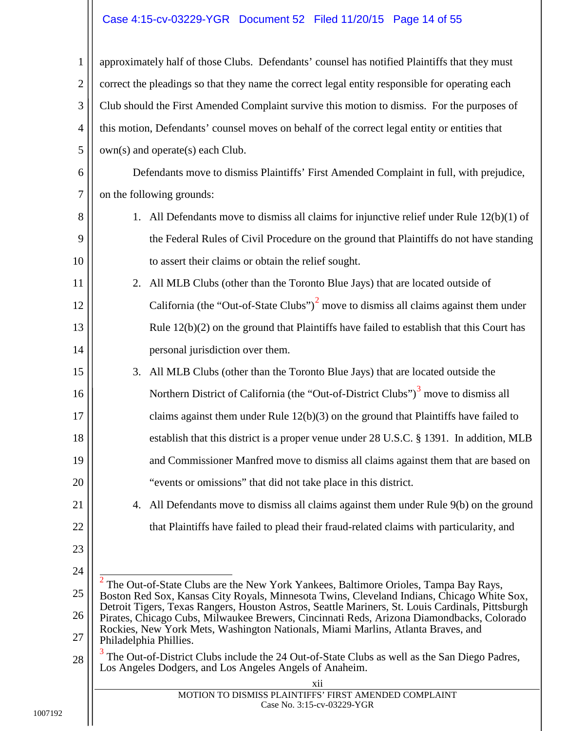# <span id="page-13-1"></span>Case 4:15-cv-03229-YGR Document 52 Filed 11/20/15 Page 14 of 55

<span id="page-13-5"></span><span id="page-13-4"></span><span id="page-13-3"></span><span id="page-13-2"></span><span id="page-13-0"></span>

| $\mathbf{1}$     | approximately half of those Clubs. Defendants' counsel has notified Plaintiffs that they must                                                                                                                                                                                     |  |
|------------------|-----------------------------------------------------------------------------------------------------------------------------------------------------------------------------------------------------------------------------------------------------------------------------------|--|
| $\mathfrak{2}$   | correct the pleadings so that they name the correct legal entity responsible for operating each                                                                                                                                                                                   |  |
| 3                | Club should the First Amended Complaint survive this motion to dismiss. For the purposes of                                                                                                                                                                                       |  |
| $\overline{4}$   | this motion, Defendants' counsel moves on behalf of the correct legal entity or entities that                                                                                                                                                                                     |  |
| 5                | own(s) and operate(s) each Club.                                                                                                                                                                                                                                                  |  |
| 6                | Defendants move to dismiss Plaintiffs' First Amended Complaint in full, with prejudice,                                                                                                                                                                                           |  |
| $\boldsymbol{7}$ | on the following grounds:                                                                                                                                                                                                                                                         |  |
| 8                | 1. All Defendants move to dismiss all claims for injunctive relief under Rule $12(b)(1)$ of                                                                                                                                                                                       |  |
| 9                | the Federal Rules of Civil Procedure on the ground that Plaintiffs do not have standing                                                                                                                                                                                           |  |
| 10               | to assert their claims or obtain the relief sought.                                                                                                                                                                                                                               |  |
| 11               | All MLB Clubs (other than the Toronto Blue Jays) that are located outside of<br>2.                                                                                                                                                                                                |  |
| 12               | California (the "Out-of-State Clubs") <sup>2</sup> move to dismiss all claims against them under                                                                                                                                                                                  |  |
| 13               | Rule $12(b)(2)$ on the ground that Plaintiffs have failed to establish that this Court has                                                                                                                                                                                        |  |
| 14               | personal jurisdiction over them.                                                                                                                                                                                                                                                  |  |
| 15               | 3.<br>All MLB Clubs (other than the Toronto Blue Jays) that are located outside the                                                                                                                                                                                               |  |
| 16               | Northern District of California (the "Out-of-District Clubs") <sup>3</sup> move to dismiss all                                                                                                                                                                                    |  |
| 17               | claims against them under Rule $12(b)(3)$ on the ground that Plaintiffs have failed to                                                                                                                                                                                            |  |
| 18               | establish that this district is a proper venue under 28 U.S.C. § 1391. In addition, MLB                                                                                                                                                                                           |  |
| 19               | and Commissioner Manfred move to dismiss all claims against them that are based on                                                                                                                                                                                                |  |
| 20               | "events or omissions" that did not take place in this district.                                                                                                                                                                                                                   |  |
| 21               | All Defendants move to dismiss all claims against them under Rule 9(b) on the ground<br>4.                                                                                                                                                                                        |  |
| 22               | that Plaintiffs have failed to plead their fraud-related claims with particularity, and                                                                                                                                                                                           |  |
| 23               |                                                                                                                                                                                                                                                                                   |  |
| 24               | The Out-of-State Clubs are the New York Yankees, Baltimore Orioles, Tampa Bay Rays,                                                                                                                                                                                               |  |
| 25               | Boston Red Sox, Kansas City Royals, Minnesota Twins, Cleveland Indians, Chicago White Sox,                                                                                                                                                                                        |  |
| 26               | Detroit Tigers, Texas Rangers, Houston Astros, Seattle Mariners, St. Louis Cardinals, Pittsburgh<br>Pirates, Chicago Cubs, Milwaukee Brewers, Cincinnati Reds, Arizona Diamondbacks, Colorado<br>Rockies, New York Mets, Washington Nationals, Miami Marlins, Atlanta Braves, and |  |
| 27               | Philadelphia Phillies.                                                                                                                                                                                                                                                            |  |
| 28               | The Out-of-District Clubs include the 24 Out-of-State Clubs as well as the San Diego Padres,<br>Los Angeles Dodgers, and Los Angeles Angels of Anaheim.                                                                                                                           |  |
|                  | xii                                                                                                                                                                                                                                                                               |  |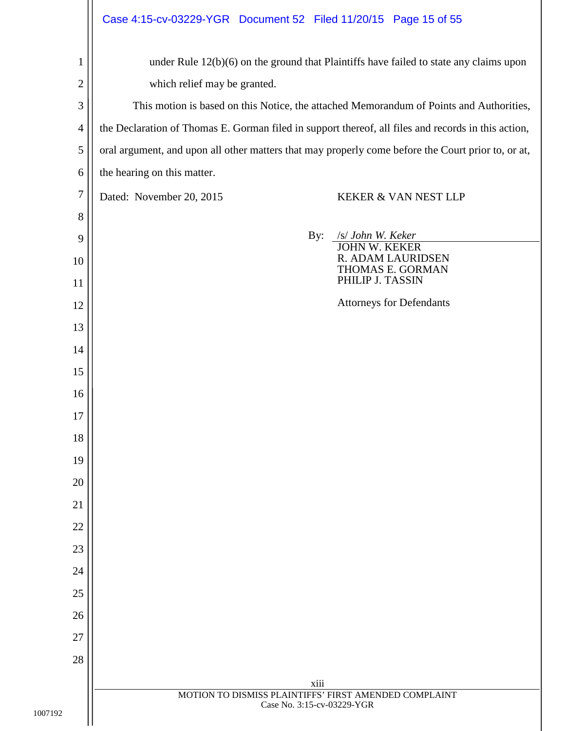<span id="page-14-0"></span>

|                | Case 4:15-cv-03229-YGR  Document 52  Filed 11/20/15  Page 15 of 55                                  |  |
|----------------|-----------------------------------------------------------------------------------------------------|--|
| $\mathbf{1}$   | under Rule 12(b)(6) on the ground that Plaintiffs have failed to state any claims upon              |  |
| $\overline{c}$ | which relief may be granted.                                                                        |  |
| 3              | This motion is based on this Notice, the attached Memorandum of Points and Authorities,             |  |
| $\overline{4}$ | the Declaration of Thomas E. Gorman filed in support thereof, all files and records in this action, |  |
| 5              | oral argument, and upon all other matters that may properly come before the Court prior to, or at,  |  |
| 6              | the hearing on this matter.                                                                         |  |
| $\overline{7}$ | Dated: November 20, 2015<br>KEKER & VAN NEST LLP                                                    |  |
| 8              |                                                                                                     |  |
| 9              | By:<br>/s/ John W. Keker<br><b>JOHN W. KEKER</b>                                                    |  |
| 10             | R. ADAM LAURIDSEN<br>THOMAS E. GORMAN                                                               |  |
| 11             | PHILIP J. TASSIN                                                                                    |  |
| 12             | <b>Attorneys for Defendants</b>                                                                     |  |
| 13             |                                                                                                     |  |
| 14             |                                                                                                     |  |
| 15             |                                                                                                     |  |
| 16             |                                                                                                     |  |
| 17             |                                                                                                     |  |
| 18             |                                                                                                     |  |
| 19             |                                                                                                     |  |
| 20             |                                                                                                     |  |
| 21             |                                                                                                     |  |
| 22             |                                                                                                     |  |
| 23             |                                                                                                     |  |
| 24             |                                                                                                     |  |
| 25             |                                                                                                     |  |
| 26             |                                                                                                     |  |
| 27             |                                                                                                     |  |
| 28             |                                                                                                     |  |
|                | xiii<br>MOTION TO DISMISS PLAINTIFFS' FIRST AMENDED COMPLAINT                                       |  |
|                | Case No. 3:15-cv-03229-YGR                                                                          |  |
|                |                                                                                                     |  |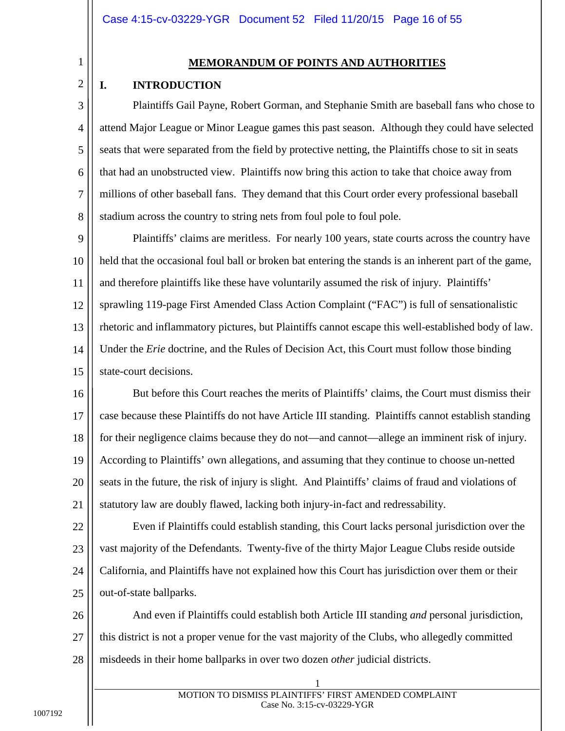3

4

5

6

7

8

#### **MEMORANDUM OF POINTS AND AUTHORITIES**

#### <span id="page-15-1"></span><span id="page-15-0"></span>**I. INTRODUCTION**

Plaintiffs Gail Payne, Robert Gorman, and Stephanie Smith are baseball fans who chose to attend Major League or Minor League games this past season. Although they could have selected seats that were separated from the field by protective netting, the Plaintiffs chose to sit in seats that had an unobstructed view. Plaintiffs now bring this action to take that choice away from millions of other baseball fans. They demand that this Court order every professional baseball stadium across the country to string nets from foul pole to foul pole.

9 10 11 12 13 14 15 Plaintiffs' claims are meritless. For nearly 100 years, state courts across the country have held that the occasional foul ball or broken bat entering the stands is an inherent part of the game, and therefore plaintiffs like these have voluntarily assumed the risk of injury. Plaintiffs' sprawling 119-page First Amended Class Action Complaint ("FAC") is full of sensationalistic rhetoric and inflammatory pictures, but Plaintiffs cannot escape this well-established body of law. Under the *Erie* doctrine, and the Rules of Decision Act, this Court must follow those binding state-court decisions.

<span id="page-15-2"></span>16 17 18 19 20 21 But before this Court reaches the merits of Plaintiffs' claims, the Court must dismiss their case because these Plaintiffs do not have Article III standing. Plaintiffs cannot establish standing for their negligence claims because they do not—and cannot—allege an imminent risk of injury. According to Plaintiffs' own allegations, and assuming that they continue to choose un-netted seats in the future, the risk of injury is slight. And Plaintiffs' claims of fraud and violations of statutory law are doubly flawed, lacking both injury-in-fact and redressability.

22 23 24 25 Even if Plaintiffs could establish standing, this Court lacks personal jurisdiction over the vast majority of the Defendants. Twenty-five of the thirty Major League Clubs reside outside California, and Plaintiffs have not explained how this Court has jurisdiction over them or their out-of-state ballparks.

26 27 28 And even if Plaintiffs could establish both Article III standing *and* personal jurisdiction, this district is not a proper venue for the vast majority of the Clubs, who allegedly committed misdeeds in their home ballparks in over two dozen *other* judicial districts.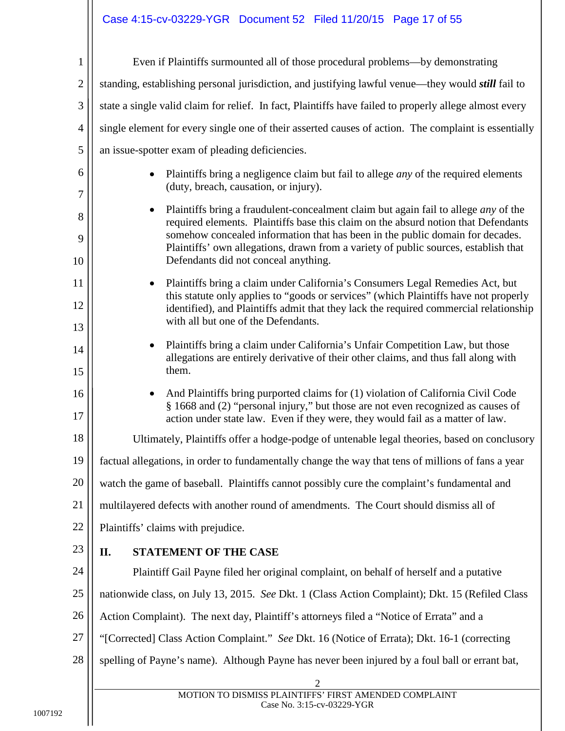# Case 4:15-cv-03229-YGR Document 52 Filed 11/20/15 Page 17 of 55

<span id="page-16-0"></span>

| $\mathbf{1}$   | Even if Plaintiffs surmounted all of those procedural problems—by demonstrating                                                                                                                                                                                                                                                                                                                       |
|----------------|-------------------------------------------------------------------------------------------------------------------------------------------------------------------------------------------------------------------------------------------------------------------------------------------------------------------------------------------------------------------------------------------------------|
| $\overline{2}$ | standing, establishing personal jurisdiction, and justifying lawful venue—they would <i>still</i> fail to                                                                                                                                                                                                                                                                                             |
| 3              | state a single valid claim for relief. In fact, Plaintiffs have failed to properly allege almost every                                                                                                                                                                                                                                                                                                |
| $\overline{4}$ | single element for every single one of their asserted causes of action. The complaint is essentially                                                                                                                                                                                                                                                                                                  |
| 5              | an issue-spotter exam of pleading deficiencies.                                                                                                                                                                                                                                                                                                                                                       |
| 6<br>7         | Plaintiffs bring a negligence claim but fail to allege <i>any</i> of the required elements<br>(duty, breach, causation, or injury).                                                                                                                                                                                                                                                                   |
| 8<br>9<br>10   | Plaintiffs bring a fraudulent-concealment claim but again fail to allege <i>any</i> of the<br>٠<br>required elements. Plaintiffs base this claim on the absurd notion that Defendants<br>somehow concealed information that has been in the public domain for decades.<br>Plaintiffs' own allegations, drawn from a variety of public sources, establish that<br>Defendants did not conceal anything. |
| 11<br>12<br>13 | Plaintiffs bring a claim under California's Consumers Legal Remedies Act, but<br>$\bullet$<br>this statute only applies to "goods or services" (which Plaintiffs have not properly<br>identified), and Plaintiffs admit that they lack the required commercial relationship<br>with all but one of the Defendants.                                                                                    |
| 14<br>15       | Plaintiffs bring a claim under California's Unfair Competition Law, but those<br>$\bullet$<br>allegations are entirely derivative of their other claims, and thus fall along with<br>them.                                                                                                                                                                                                            |
| 16<br>17       | And Plaintiffs bring purported claims for (1) violation of California Civil Code<br>$\bullet$<br>§ 1668 and (2) "personal injury," but those are not even recognized as causes of<br>action under state law. Even if they were, they would fail as a matter of law.                                                                                                                                   |
| 18             | Ultimately, Plaintiffs offer a hodge-podge of untenable legal theories, based on conclusory                                                                                                                                                                                                                                                                                                           |
| 19             | factual allegations, in order to fundamentally change the way that tens of millions of fans a year                                                                                                                                                                                                                                                                                                    |
| 20             | watch the game of baseball. Plaintiffs cannot possibly cure the complaint's fundamental and                                                                                                                                                                                                                                                                                                           |
| 21             | multilayered defects with another round of amendments. The Court should dismiss all of                                                                                                                                                                                                                                                                                                                |
| 22             | Plaintiffs' claims with prejudice.                                                                                                                                                                                                                                                                                                                                                                    |
| 23             | STATEMENT OF THE CASE<br>II.                                                                                                                                                                                                                                                                                                                                                                          |
| 24             | Plaintiff Gail Payne filed her original complaint, on behalf of herself and a putative                                                                                                                                                                                                                                                                                                                |
| 25             | nationwide class, on July 13, 2015. See Dkt. 1 (Class Action Complaint); Dkt. 15 (Refiled Class                                                                                                                                                                                                                                                                                                       |
| 26             | Action Complaint). The next day, Plaintiff's attorneys filed a "Notice of Errata" and a                                                                                                                                                                                                                                                                                                               |
| 27             | "[Corrected] Class Action Complaint." See Dkt. 16 (Notice of Errata); Dkt. 16-1 (correcting                                                                                                                                                                                                                                                                                                           |
| 28             | spelling of Payne's name). Although Payne has never been injured by a foul ball or errant bat,                                                                                                                                                                                                                                                                                                        |
|                | $\mathfrak{2}$<br>MOTION TO DISMISS PLAINTIFFS' FIRST AMENDED COMPLAINT                                                                                                                                                                                                                                                                                                                               |
|                | Case No. 3:15-cv-03229-YGR                                                                                                                                                                                                                                                                                                                                                                            |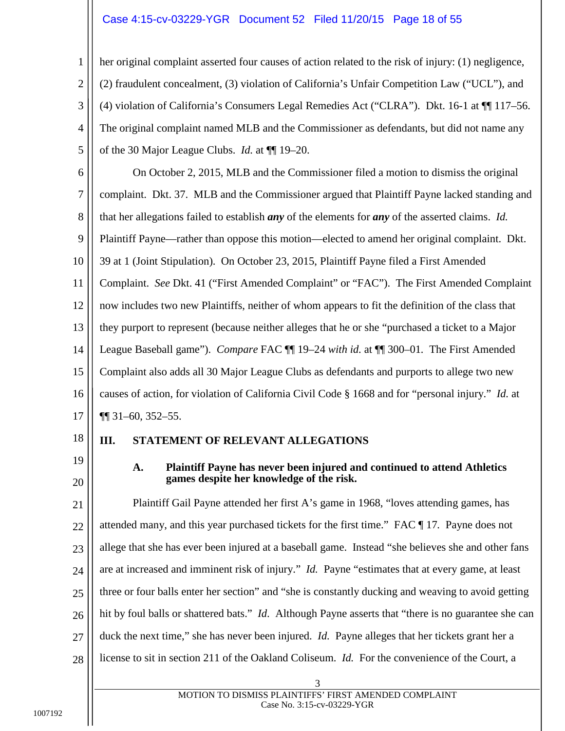# Case 4:15-cv-03229-YGR Document 52 Filed 11/20/15 Page 18 of 55

| 1              | her original complaint asserted four causes of action related to the risk of injury: (1) negligence,           |  |
|----------------|----------------------------------------------------------------------------------------------------------------|--|
| $\overline{c}$ | (2) fraudulent concealment, (3) violation of California's Unfair Competition Law ("UCL"), and                  |  |
| 3              | (4) violation of California's Consumers Legal Remedies Act ("CLRA"). Dkt. 16-1 at $\P$ 117–56.                 |  |
| $\overline{4}$ | The original complaint named MLB and the Commissioner as defendants, but did not name any                      |  |
| 5              | of the 30 Major League Clubs. <i>Id.</i> at $\P$ 19–20.                                                        |  |
| 6              | On October 2, 2015, MLB and the Commissioner filed a motion to dismiss the original                            |  |
| 7              | complaint. Dkt. 37. MLB and the Commissioner argued that Plaintiff Payne lacked standing and                   |  |
| 8              | that her allegations failed to establish <i>any</i> of the elements for <i>any</i> of the asserted claims. Id. |  |
| 9              | Plaintiff Payne—rather than oppose this motion—elected to amend her original complaint. Dkt.                   |  |
| 10             | 39 at 1 (Joint Stipulation). On October 23, 2015, Plaintiff Payne filed a First Amended                        |  |
| 11             | Complaint. See Dkt. 41 ("First Amended Complaint" or "FAC"). The First Amended Complaint                       |  |
| 12             | now includes two new Plaintiffs, neither of whom appears to fit the definition of the class that               |  |
| 13             | they purport to represent (because neither alleges that he or she "purchased a ticket to a Major               |  |
| 14             | League Baseball game"). Compare FAC ¶ 19-24 with id. at ¶ 300-01. The First Amended                            |  |
| 15             | Complaint also adds all 30 Major League Clubs as defendants and purports to allege two new                     |  |
| 16             | causes of action, for violation of California Civil Code § 1668 and for "personal injury." Id. at              |  |
| 17             | $\P\P$ 31-60, 352-55.                                                                                          |  |
| 18             | III.<br>STATEMENT OF RELEVANT ALLEGATIONS                                                                      |  |
| 19             | A.<br>Plaintiff Payne has never been injured and continued to attend Athletics                                 |  |
| 20             | games despite her knowledge of the risk.                                                                       |  |

<span id="page-17-2"></span><span id="page-17-1"></span><span id="page-17-0"></span>21 22 23 24 25 26 27 28 Plaintiff Gail Payne attended her first A's game in 1968, "loves attending games, has attended many, and this year purchased tickets for the first time." FAC ¶ 17*.* Payne does not allege that she has ever been injured at a baseball game. Instead "she believes she and other fans are at increased and imminent risk of injury." *Id.* Payne "estimates that at every game, at least three or four balls enter her section" and "she is constantly ducking and weaving to avoid getting hit by foul balls or shattered bats." *Id*. Although Payne asserts that "there is no guarantee she can duck the next time," she has never been injured. *Id.* Payne alleges that her tickets grant her a license to sit in section 211 of the Oakland Coliseum. *Id.* For the convenience of the Court, a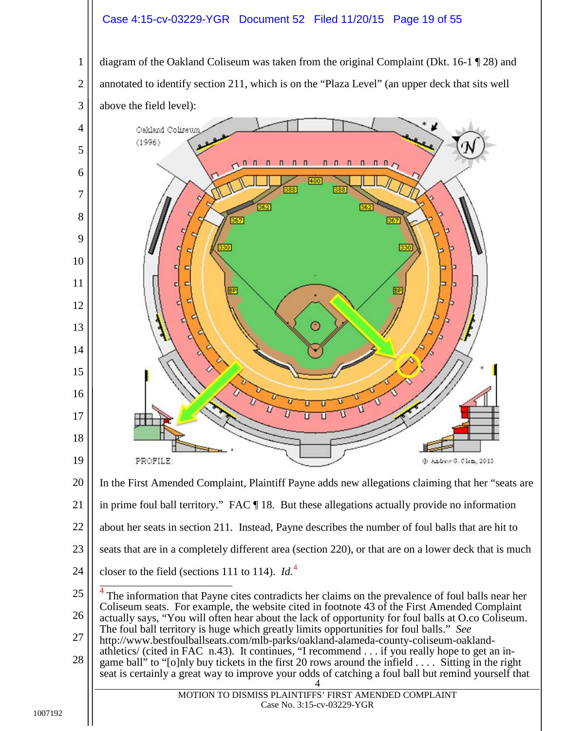#### Case 4:15-cv-03229-YGR Document 52 Filed 11/20/15 Page 19 of 55

 diagram of the Oakland Coliseum was taken from the original Complaint (Dkt. 16-1 ¶ 28) and annotated to identify section 211, which is on the "Plaza Level" (an upper deck that sits well above the field level):

<span id="page-18-0"></span>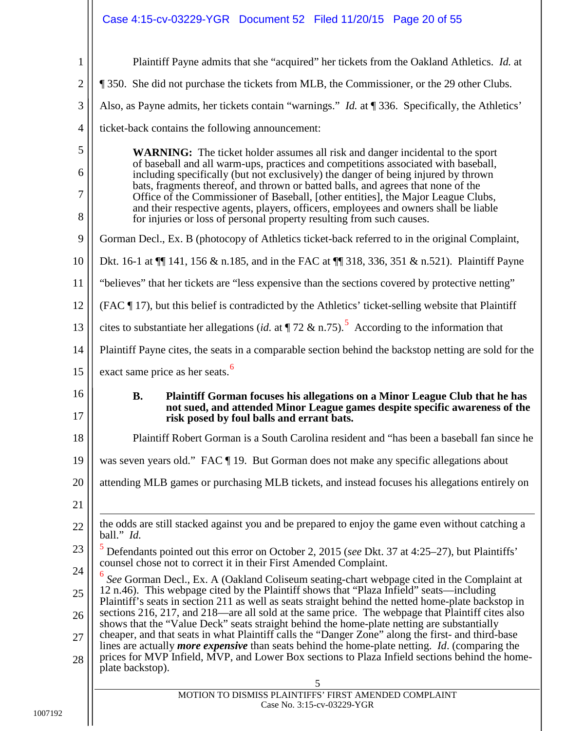<span id="page-19-2"></span><span id="page-19-1"></span><span id="page-19-0"></span>

| $\mathbf{1}$        | Plaintiff Payne admits that she "acquired" her tickets from the Oakland Athletics. Id. at                                                                                                                                                                                                                                              |
|---------------------|----------------------------------------------------------------------------------------------------------------------------------------------------------------------------------------------------------------------------------------------------------------------------------------------------------------------------------------|
| $\mathbf{2}$        | 1350. She did not purchase the tickets from MLB, the Commissioner, or the 29 other Clubs.                                                                                                                                                                                                                                              |
| 3                   | Also, as Payne admits, her tickets contain "warnings." <i>Id.</i> at ¶ 336. Specifically, the Athletics'                                                                                                                                                                                                                               |
| $\overline{4}$      | ticket-back contains the following announcement:                                                                                                                                                                                                                                                                                       |
| 5                   | <b>WARNING:</b> The ticket holder assumes all risk and danger incidental to the sport                                                                                                                                                                                                                                                  |
| 6                   | of baseball and all warm-ups, practices and competitions associated with baseball,<br>including specifically (but not exclusively) the danger of being injured by thrown                                                                                                                                                               |
| $\overline{7}$<br>8 | bats, fragments thereof, and thrown or batted balls, and agrees that none of the<br>Office of the Commissioner of Baseball, [other entities], the Major League Clubs,<br>and their respective agents, players, officers, employees and owners shall be liable<br>for injuries or loss of personal property resulting from such causes. |
| 9                   | Gorman Decl., Ex. B (photocopy of Athletics ticket-back referred to in the original Complaint,                                                                                                                                                                                                                                         |
| 10                  | Dkt. 16-1 at $\P$ 141, 156 & n.185, and in the FAC at $\P$ 318, 336, 351 & n.521). Plaintiff Payne                                                                                                                                                                                                                                     |
| 11                  | "believes" that her tickets are "less expensive than the sections covered by protective netting"                                                                                                                                                                                                                                       |
| 12                  | (FAC ¶ 17), but this belief is contradicted by the Athletics' ticket-selling website that Plaintiff                                                                                                                                                                                                                                    |
| 13                  | cites to substantiate her allegations (id. at $\P$ 72 & n.75). <sup>5</sup> According to the information that                                                                                                                                                                                                                          |
| 14                  | Plaintiff Payne cites, the seats in a comparable section behind the backstop netting are sold for the                                                                                                                                                                                                                                  |
| 15                  | exact same price as her seats. <sup>6</sup>                                                                                                                                                                                                                                                                                            |
| 16                  | <b>B.</b><br>Plaintiff Gorman focuses his allegations on a Minor League Club that he has                                                                                                                                                                                                                                               |
| 17                  | not sued, and attended Minor League games despite specific awareness of the<br>risk posed by foul balls and errant bats.                                                                                                                                                                                                               |
| 18                  | Plaintiff Robert Gorman is a South Carolina resident and "has been a baseball fan since he                                                                                                                                                                                                                                             |
| 19                  | was seven years old." FAC ¶ 19. But Gorman does not make any specific allegations about                                                                                                                                                                                                                                                |
| 20                  | attending MLB games or purchasing MLB tickets, and instead focuses his allegations entirely on                                                                                                                                                                                                                                         |
| 21                  |                                                                                                                                                                                                                                                                                                                                        |
| 22                  | the odds are still stacked against you and be prepared to enjoy the game even without catching a                                                                                                                                                                                                                                       |
| 23                  | ball." Id.<br>Defendants pointed out this error on October 2, 2015 (see Dkt. 37 at 4:25-27), but Plaintiffs'                                                                                                                                                                                                                           |
| 24                  | counsel chose not to correct it in their First Amended Complaint.                                                                                                                                                                                                                                                                      |
| 25                  | See Gorman Decl., Ex. A (Oakland Coliseum seating-chart webpage cited in the Complaint at<br>12 n.46). This webpage cited by the Plaintiff shows that "Plaza Infield" seats—including                                                                                                                                                  |
| 26                  | Plaintiff's seats in section 211 as well as seats straight behind the netted home-plate backstop in<br>sections 216, 217, and 218—are all sold at the same price. The webpage that Plaintiff cites also                                                                                                                                |
| 27                  | shows that the "Value Deck" seats straight behind the home-plate netting are substantially<br>cheaper, and that seats in what Plaintiff calls the "Danger Zone" along the first- and third-base                                                                                                                                        |
| 28                  | lines are actually <i>more expensive</i> than seats behind the home-plate netting. <i>Id.</i> (comparing the<br>prices for MVP Infield, MVP, and Lower Box sections to Plaza Infield sections behind the home-                                                                                                                         |
|                     | plate backstop).<br>5                                                                                                                                                                                                                                                                                                                  |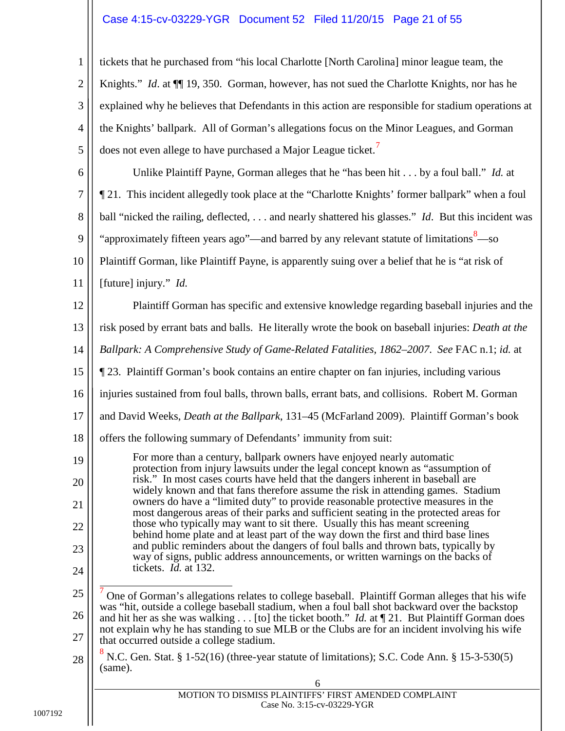# Case 4:15-cv-03229-YGR Document 52 Filed 11/20/15 Page 21 of 55

<span id="page-20-4"></span><span id="page-20-3"></span><span id="page-20-2"></span><span id="page-20-1"></span><span id="page-20-0"></span>

| $\mathbf{1}$   | tickets that he purchased from "his local Charlotte [North Carolina] minor league team, the                                                                                                                                                             |  |
|----------------|---------------------------------------------------------------------------------------------------------------------------------------------------------------------------------------------------------------------------------------------------------|--|
| $\overline{2}$ | Knights." Id. at ¶ 19, 350. Gorman, however, has not sued the Charlotte Knights, nor has he                                                                                                                                                             |  |
| 3              | explained why he believes that Defendants in this action are responsible for stadium operations at                                                                                                                                                      |  |
| $\overline{4}$ | the Knights' ballpark. All of Gorman's allegations focus on the Minor Leagues, and Gorman                                                                                                                                                               |  |
| 5              | does not even allege to have purchased a Major League ticket. <sup>7</sup>                                                                                                                                                                              |  |
| 6              | Unlike Plaintiff Payne, Gorman alleges that he "has been hit by a foul ball." Id. at                                                                                                                                                                    |  |
| $\tau$         | 21. This incident allegedly took place at the "Charlotte Knights' former ballpark" when a foul                                                                                                                                                          |  |
| 8              | ball "nicked the railing, deflected,  and nearly shattered his glasses." Id. But this incident was                                                                                                                                                      |  |
| 9              | "approximately fifteen years ago"—and barred by any relevant statute of limitations <sup>8</sup> —so                                                                                                                                                    |  |
| 10             | Plaintiff Gorman, like Plaintiff Payne, is apparently suing over a belief that he is "at risk of                                                                                                                                                        |  |
| 11             | [future] injury." Id.                                                                                                                                                                                                                                   |  |
| 12             | Plaintiff Gorman has specific and extensive knowledge regarding baseball injuries and the                                                                                                                                                               |  |
| 13             | risk posed by errant bats and balls. He literally wrote the book on baseball injuries: Death at the                                                                                                                                                     |  |
| 14             | Ballpark: A Comprehensive Study of Game-Related Fatalities, 1862–2007. See FAC n.1; id. at                                                                                                                                                              |  |
| 15             | 23. Plaintiff Gorman's book contains an entire chapter on fan injuries, including various                                                                                                                                                               |  |
| 16             | injuries sustained from foul balls, thrown balls, errant bats, and collisions. Robert M. Gorman                                                                                                                                                         |  |
| 17             | and David Weeks, Death at the Ballpark, 131-45 (McFarland 2009). Plaintiff Gorman's book                                                                                                                                                                |  |
| 18             | offers the following summary of Defendants' immunity from suit:                                                                                                                                                                                         |  |
| 19             | For more than a century, ballpark owners have enjoyed nearly automatic<br>protection from injury lawsuits under the legal concept known as "assumption of                                                                                               |  |
| 20<br>21       | risk." In most cases courts have held that the dangers inherent in baseball are<br>widely known and that fans therefore assume the risk in attending games. Stadium<br>owners do have a "limited duty" to provide reasonable protective measures in the |  |
| 22             | most dangerous areas of their parks and sufficient seating in the protected areas for<br>those who typically may want to sit there. Usually this has meant screening                                                                                    |  |
| 23             | behind home plate and at least part of the way down the first and third base lines<br>and public reminders about the dangers of foul balls and thrown bats, typically by                                                                                |  |
| 24             | way of signs, public address announcements, or written warnings on the backs of<br>tickets. <i>Id.</i> at 132.                                                                                                                                          |  |
| 25             |                                                                                                                                                                                                                                                         |  |
| 26             | One of Gorman's allegations relates to college baseball. Plaintiff Gorman alleges that his wife<br>was "hit, outside a college baseball stadium, when a foul ball shot backward over the backstop                                                       |  |
| 27             | and hit her as she was walking [to] the ticket booth." <i>Id.</i> at $\P$ 21. But Plaintiff Gorman does<br>not explain why he has standing to sue MLB or the Clubs are for an incident involving his wife<br>that occurred outside a college stadium.   |  |
| 28             | N.C. Gen. Stat. § 1-52(16) (three-year statute of limitations); S.C. Code Ann. § 15-3-530(5)<br>(same).                                                                                                                                                 |  |
|                | 6                                                                                                                                                                                                                                                       |  |
|                | MOTION TO DISMISS PLAINTIFFS' FIRST AMENDED COMPLAINT<br>Case No. 3:15-cv-03229-YGR                                                                                                                                                                     |  |
|                |                                                                                                                                                                                                                                                         |  |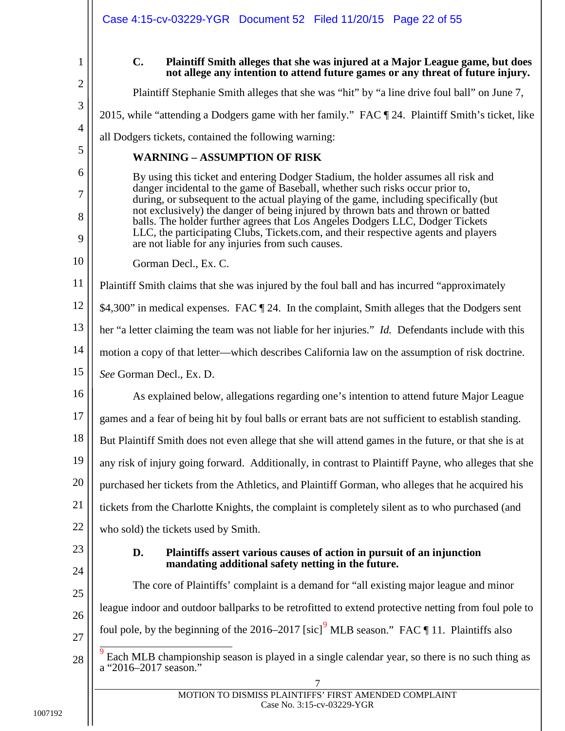<span id="page-21-0"></span>

| 1                        |
|--------------------------|
| $\mathbf{2}$             |
| 3                        |
| $\overline{\mathcal{L}}$ |
| 5                        |

7

8

9

#### **C. Plaintiff Smith alleges that she was injured at a Major League game, but does not allege any intention to attend future games or any threat of future injury.**

Plaintiff Stephanie Smith alleges that she was "hit" by "a line drive foul ball" on June 7,

2015, while "attending a Dodgers game with her family." FAC ¶ 24. Plaintiff Smith's ticket, like

all Dodgers tickets, contained the following warning:

# **WARNING – ASSUMPTION OF RISK**

By using this ticket and entering Dodger Stadium, the holder assumes all risk and danger incidental to the game of Baseball, whether such risks occur prior to, during, or subsequent to the actual playing of the game, including specifically (but not exclusively) the danger of being injured by thrown bats and thrown or batted balls. The holder further agrees that Los Angeles Dodgers LLC, Dodger Tickets LLC, the participating Clubs, Tickets.com, and their respective agents and players are not liable for any injuries from such causes.

10 Gorman Decl., Ex. C.

11 Plaintiff Smith claims that she was injured by the foul ball and has incurred "approximately

12 \$4,300" in medical expenses. FAC  $\P$  24. In the complaint, Smith alleges that the Dodgers sent

13 her "a letter claiming the team was not liable for her injuries." *Id.* Defendants include with this

14 motion a copy of that letter—which describes California law on the assumption of risk doctrine.

15 *See* Gorman Decl., Ex. D.

16 17 18 19 20 21 22 As explained below, allegations regarding one's intention to attend future Major League games and a fear of being hit by foul balls or errant bats are not sufficient to establish standing. But Plaintiff Smith does not even allege that she will attend games in the future, or that she is at any risk of injury going forward. Additionally, in contrast to Plaintiff Payne, who alleges that she purchased her tickets from the Athletics, and Plaintiff Gorman, who alleges that he acquired his tickets from the Charlotte Knights, the complaint is completely silent as to who purchased (and who sold) the tickets used by Smith.

<span id="page-21-1"></span>23 24

25

26

27

## **D. Plaintiffs assert various causes of action in pursuit of an injunction mandating additional safety netting in the future.**

The core of Plaintiffs' complaint is a demand for "all existing major league and minor league indoor and outdoor ballparks to be retrofitted to extend protective netting from foul pole to foul pole, by the beginning of the 2016–2017 [sic]<sup>[9](#page-21-2)</sup> MLB season." FAC  $\P$  11. Plaintiffs also

<span id="page-21-2"></span><sup>28</sup> Each MLB championship season is played in a single calendar year, so there is no such thing as a "2016–2017 season."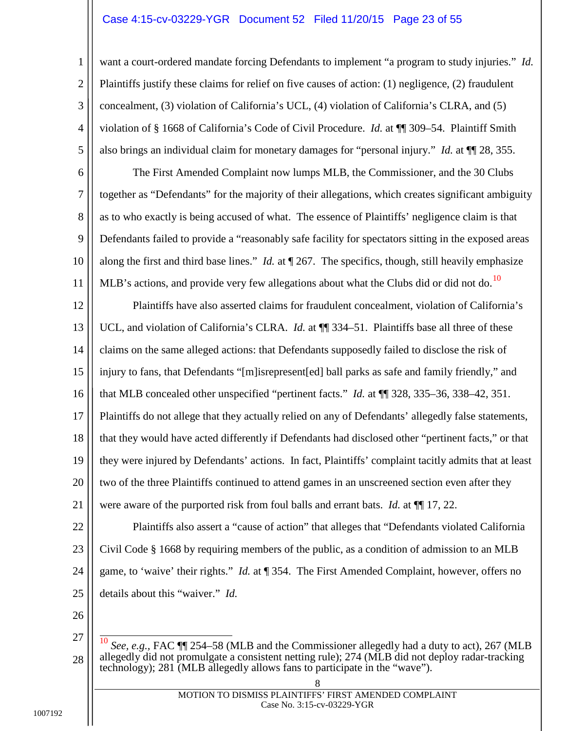#### Case 4:15-cv-03229-YGR Document 52 Filed 11/20/15 Page 23 of 55

want a court-ordered mandate forcing Defendants to implement "a program to study injuries." *Id.*  Plaintiffs justify these claims for relief on five causes of action: (1) negligence, (2) fraudulent concealment, (3) violation of California's UCL, (4) violation of California's CLRA, and (5) violation of § 1668 of California's Code of Civil Procedure. *Id.* at ¶¶ 309–54. Plaintiff Smith also brings an individual claim for monetary damages for "personal injury." *Id.* at ¶¶ 28, 355.

6 7 8 9 10 11 The First Amended Complaint now lumps MLB, the Commissioner, and the 30 Clubs together as "Defendants" for the majority of their allegations, which creates significant ambiguity as to who exactly is being accused of what. The essence of Plaintiffs' negligence claim is that Defendants failed to provide a "reasonably safe facility for spectators sitting in the exposed areas along the first and third base lines." *Id.* at ¶ 267. The specifics, though, still heavily emphasize MLB's actions, and provide very few allegations about what the Clubs did or did not do.<sup>[10](#page-22-0)</sup>

12 13 14 15 16 17 18 19 20 21 Plaintiffs have also asserted claims for fraudulent concealment, violation of California's UCL, and violation of California's CLRA. *Id.* at  $\P$  334–51. Plaintiffs base all three of these claims on the same alleged actions: that Defendants supposedly failed to disclose the risk of injury to fans, that Defendants "[m]isrepresent[ed] ball parks as safe and family friendly," and that MLB concealed other unspecified "pertinent facts." *Id.* at ¶¶ 328, 335–36, 338–42, 351. Plaintiffs do not allege that they actually relied on any of Defendants' allegedly false statements, that they would have acted differently if Defendants had disclosed other "pertinent facts," or that they were injured by Defendants' actions. In fact, Plaintiffs' complaint tacitly admits that at least two of the three Plaintiffs continued to attend games in an unscreened section even after they were aware of the purported risk from foul balls and errant bats. *Id.* at  $\P$  [[17, 22.

22 23 24 25 Plaintiffs also assert a "cause of action" that alleges that "Defendants violated California Civil Code § 1668 by requiring members of the public, as a condition of admission to an MLB game, to 'waive' their rights." *Id.* at ¶ 354. The First Amended Complaint, however, offers no details about this "waiver." *Id.*

26

1

2

3

4

<span id="page-22-0"></span><sup>27</sup> 28 See, e.g., FAC  $\P$  254–58 (MLB and the Commissioner allegedly had a duty to act), 267 (MLB allegedly did not promulgate a consistent netting rule); 274 (MLB did not deploy radar-tracking technology); 281 (MLB allegedly allows fans to participate in the "wave").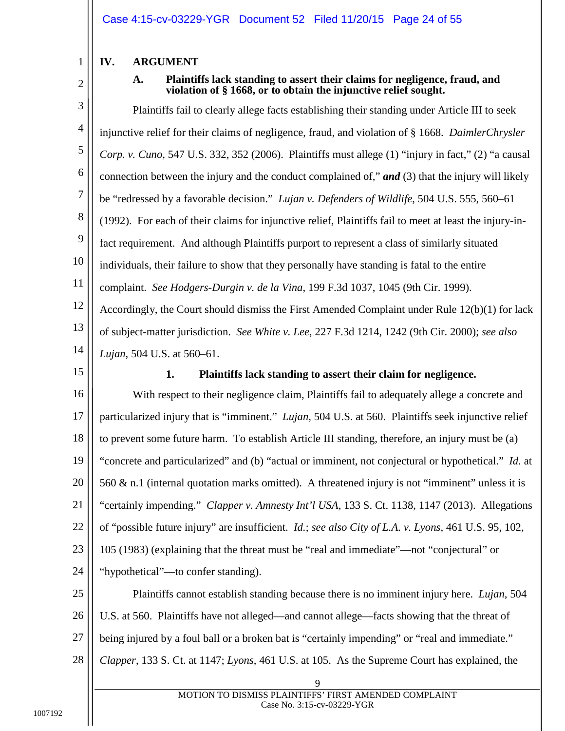# <span id="page-23-1"></span><span id="page-23-0"></span>**IV. ARGUMENT**

2

1

### <span id="page-23-7"></span><span id="page-23-5"></span>**A. Plaintiffs lack standing to assert their claims for negligence, fraud, and violation of § 1668, or to obtain the injunctive relief sought.**

3 4 5 6 7 8 9 10 11 12 13 14 Plaintiffs fail to clearly allege facts establishing their standing under Article III to seek injunctive relief for their claims of negligence, fraud, and violation of § 1668. *DaimlerChrysler Corp. v. Cuno*, 547 U.S. 332, 352 (2006). Plaintiffs must allege (1) "injury in fact," (2) "a causal connection between the injury and the conduct complained of," *and* (3) that the injury will likely be "redressed by a favorable decision." *Lujan v. Defenders of Wildlife*, 504 U.S. 555, 560–61 (1992). For each of their claims for injunctive relief, Plaintiffs fail to meet at least the injury-infact requirement. And although Plaintiffs purport to represent a class of similarly situated individuals, their failure to show that they personally have standing is fatal to the entire complaint. *See Hodgers-Durgin v. de la Vina*, 199 F.3d 1037, 1045 (9th Cir. 1999). Accordingly, the Court should dismiss the First Amended Complaint under Rule 12(b)(1) for lack of subject-matter jurisdiction. *See White v. Lee*, 227 F.3d 1214, 1242 (9th Cir. 2000); *see also Lujan*, 504 U.S. at 560–61.

<span id="page-23-2"></span>15

#### <span id="page-23-9"></span><span id="page-23-8"></span><span id="page-23-6"></span><span id="page-23-4"></span><span id="page-23-3"></span>**1. Plaintiffs lack standing to assert their claim for negligence.**

16 17 18 19 20 21 22 23 24 With respect to their negligence claim, Plaintiffs fail to adequately allege a concrete and particularized injury that is "imminent." *Lujan*, 504 U.S. at 560. Plaintiffs seek injunctive relief to prevent some future harm. To establish Article III standing, therefore, an injury must be (a) "concrete and particularized" and (b) "actual or imminent, not conjectural or hypothetical." *Id.* at 560  $\&$  n.1 (internal quotation marks omitted). A threatened injury is not "imminent" unless it is "certainly impending." *Clapper v. Amnesty Int'l USA*, 133 S. Ct. 1138, 1147 (2013). Allegations of "possible future injury" are insufficient. *Id.*; *see also City of L.A. v. Lyons*, 461 U.S. 95, 102, 105 (1983) (explaining that the threat must be "real and immediate"—not "conjectural" or "hypothetical"—to confer standing).

25 26 27 28 Plaintiffs cannot establish standing because there is no imminent injury here. *Lujan*, 504 U.S. at 560. Plaintiffs have not alleged—and cannot allege—facts showing that the threat of being injured by a foul ball or a broken bat is "certainly impending" or "real and immediate." *Clapper*, 133 S. Ct. at 1147; *Lyons*, 461 U.S. at 105. As the Supreme Court has explained, the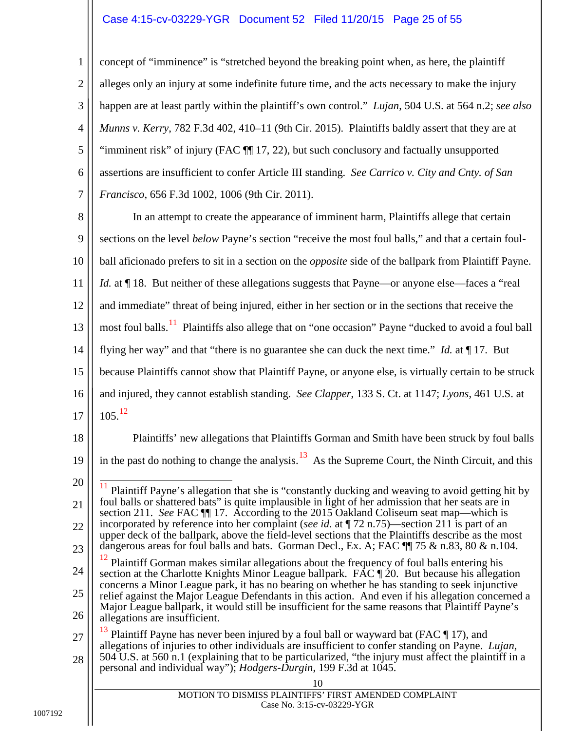#### <span id="page-24-4"></span>Case 4:15-cv-03229-YGR Document 52 Filed 11/20/15 Page 25 of 55

3 4 5 6 7 concept of "imminence" is "stretched beyond the breaking point when, as here, the plaintiff alleges only an injury at some indefinite future time, and the acts necessary to make the injury happen are at least partly within the plaintiff's own control." *Lujan*, 504 U.S. at 564 n.2; *see also Munns v. Kerry*, 782 F.3d 402, 410–11 (9th Cir. 2015). Plaintiffs baldly assert that they are at "imminent risk" of injury (FAC ¶¶ 17, 22), but such conclusory and factually unsupported assertions are insufficient to confer Article III standing. *See Carrico v. City and Cnty. of San Francisco*, 656 F.3d 1002, 1006 (9th Cir. 2011).

<span id="page-24-0"></span>8 9 10 11 12 13 14 15 16 17 In an attempt to create the appearance of imminent harm, Plaintiffs allege that certain sections on the level *below* Payne's section "receive the most foul balls," and that a certain foulball aficionado prefers to sit in a section on the *opposite* side of the ballpark from Plaintiff Payne. *Id.* at  $\P$  18. But neither of these allegations suggests that Payne—or anyone else—faces a "real" and immediate" threat of being injured, either in her section or in the sections that receive the most foul balls.<sup>[11](#page-24-6)</sup> Plaintiffs also allege that on "one occasion" Payne "ducked to avoid a foul ball flying her way" and that "there is no guarantee she can duck the next time." *Id.* at ¶ 17. But because Plaintiffs cannot show that Plaintiff Payne, or anyone else, is virtually certain to be struck and injured, they cannot establish standing. *See Clapper*, 133 S. Ct. at 1147; *Lyons*, 461 U.S. at  $105.$ <sup>[12](#page-24-7)</sup>

18

1

<span id="page-24-5"></span>2

19

<span id="page-24-6"></span>21

20 22 11 Plaintiff Payne's allegation that she is "constantly ducking and weaving to avoid getting hit by foul balls or shattered bats" is quite implausible in light of her admission that her seats are in section 211. *See* FAC ¶¶ 17. According to the 2015 Oakland Coliseum seat map—which is incorporated by reference into her complaint (*see id.* at ¶ 72 n.75)—section 211 is part of an upper deck of the ballpark, above the field-level sections that the Plaintiffs describe as the most

in the past do nothing to change the analysis.<sup>[13](#page-24-8)</sup> As the Supreme Court, the Ninth Circuit, and this

<span id="page-24-2"></span><span id="page-24-1"></span>Plaintiffs' new allegations that Plaintiffs Gorman and Smith have been struck by foul balls

<span id="page-24-7"></span>23 24 25 26 dangerous areas for foul balls and bats. Gorman Decl., Ex. A; FAC  $\P$  75 & n.83, 80 & n.104. Plaintiff Gorman makes similar allegations about the frequency of foul balls entering his section at the Charlotte Knights Minor League ballpark. FAC  $\P$  20. But because his allegation concerns a Minor League park, it has no bearing on whether he has standing to seek injunctive relief against the Major League Defendants in this action. And even if his allegation concerned a Major League ballpark, it would still be insufficient for the same reasons that Plaintiff Payne's allegations are insufficient.

<span id="page-24-8"></span><span id="page-24-3"></span>27 28 Plaintiff Payne has never been injured by a foul ball or wayward bat (FAC  $\P$  17), and allegations of injuries to other individuals are insufficient to confer standing on Payne. *Lujan*, 504 U.S. at 560 n.1 (explaining that to be particularized, "the injury must affect the plaintiff in a personal and individual way"); *Hodgers-Durgin*, 199 F.3d at 1045.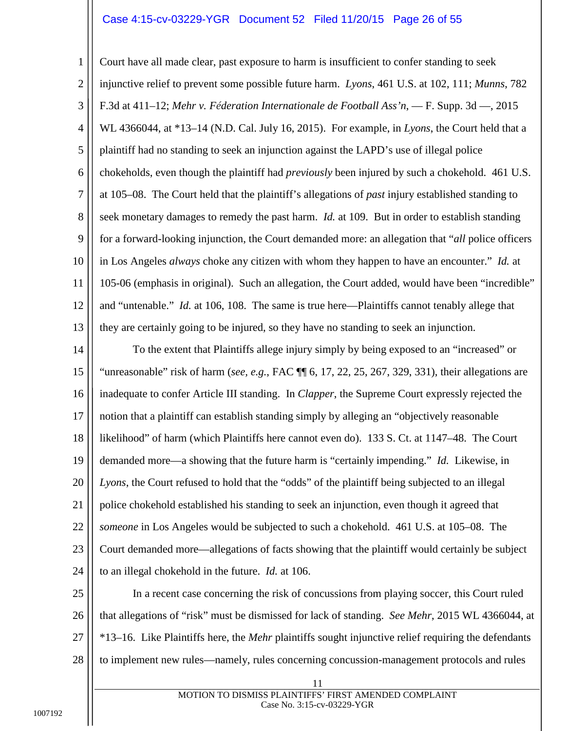#### <span id="page-25-3"></span><span id="page-25-2"></span><span id="page-25-0"></span>Case 4:15-cv-03229-YGR Document 52 Filed 11/20/15 Page 26 of 55

1 2 3 4 5 6 7 8 9 10 11 12 13 Court have all made clear, past exposure to harm is insufficient to confer standing to seek injunctive relief to prevent some possible future harm. *Lyons*, 461 U.S. at 102, 111; *Munns*, 782 F.3d at 411–12; *Mehr v. Féderation Internationale de Football Ass'n*, — F. Supp. 3d —, 2015 WL 4366044, at \*13–14 (N.D. Cal. July 16, 2015). For example, in *Lyons*, the Court held that a plaintiff had no standing to seek an injunction against the LAPD's use of illegal police chokeholds, even though the plaintiff had *previously* been injured by such a chokehold. 461 U.S. at 105–08. The Court held that the plaintiff's allegations of *past* injury established standing to seek monetary damages to remedy the past harm. *Id.* at 109. But in order to establish standing for a forward-looking injunction, the Court demanded more: an allegation that "*all* police officers in Los Angeles *always* choke any citizen with whom they happen to have an encounter." *Id.* at 105-06 (emphasis in original). Such an allegation, the Court added, would have been "incredible" and "untenable." *Id.* at 106, 108. The same is true here—Plaintiffs cannot tenably allege that they are certainly going to be injured, so they have no standing to seek an injunction.

<span id="page-25-1"></span>14 15 16 17 18 19 20 21 22 23 24 To the extent that Plaintiffs allege injury simply by being exposed to an "increased" or "unreasonable" risk of harm (*see, e.g.*, FAC ¶¶ 6, 17, 22, 25, 267, 329, 331), their allegations are inadequate to confer Article III standing. In *Clapper*, the Supreme Court expressly rejected the notion that a plaintiff can establish standing simply by alleging an "objectively reasonable likelihood" of harm (which Plaintiffs here cannot even do). 133 S. Ct. at 1147–48. The Court demanded more—a showing that the future harm is "certainly impending." *Id.* Likewise, in *Lyons*, the Court refused to hold that the "odds" of the plaintiff being subjected to an illegal police chokehold established his standing to seek an injunction, even though it agreed that *someone* in Los Angeles would be subjected to such a chokehold. 461 U.S. at 105–08. The Court demanded more—allegations of facts showing that the plaintiff would certainly be subject to an illegal chokehold in the future. *Id.* at 106.

25 26 27 28 In a recent case concerning the risk of concussions from playing soccer, this Court ruled that allegations of "risk" must be dismissed for lack of standing. *See Mehr*, 2015 WL 4366044, at \*13–16. Like Plaintiffs here, the *Mehr* plaintiffs sought injunctive relief requiring the defendants to implement new rules—namely, rules concerning concussion-management protocols and rules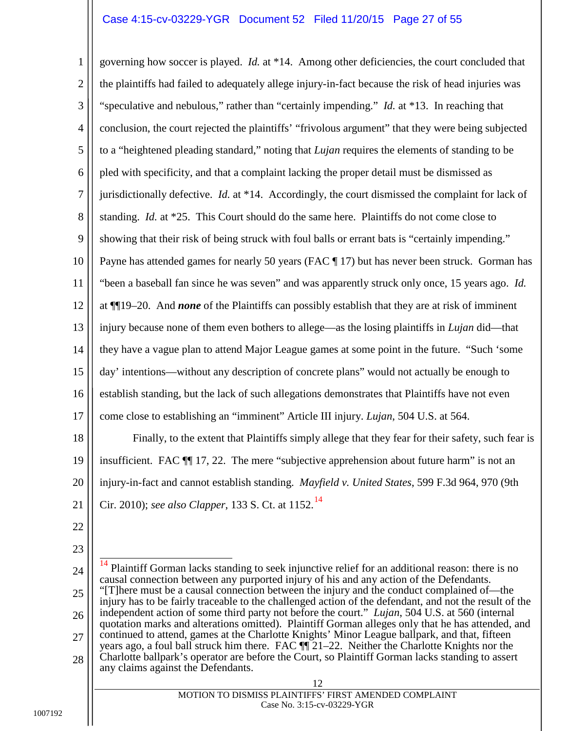#### <span id="page-26-3"></span><span id="page-26-1"></span>Case 4:15-cv-03229-YGR Document 52 Filed 11/20/15 Page 27 of 55

1 2 3 4 5 6 7 8 9 10 11 12 13 14 15 16 17 18 19 governing how soccer is played. *Id.* at \*14. Among other deficiencies, the court concluded that the plaintiffs had failed to adequately allege injury-in-fact because the risk of head injuries was "speculative and nebulous," rather than "certainly impending." *Id.* at \*13. In reaching that conclusion, the court rejected the plaintiffs' "frivolous argument" that they were being subjected to a "heightened pleading standard," noting that *Lujan* requires the elements of standing to be pled with specificity, and that a complaint lacking the proper detail must be dismissed as jurisdictionally defective. *Id.* at \*14. Accordingly, the court dismissed the complaint for lack of standing. *Id.* at \*25. This Court should do the same here. Plaintiffs do not come close to showing that their risk of being struck with foul balls or errant bats is "certainly impending." Payne has attended games for nearly 50 years (FAC ¶ 17) but has never been struck. Gorman has "been a baseball fan since he was seven" and was apparently struck only once, 15 years ago. *Id.* at ¶¶19–20. And *none* of the Plaintiffs can possibly establish that they are at risk of imminent injury because none of them even bothers to allege—as the losing plaintiffs in *Lujan* did—that they have a vague plan to attend Major League games at some point in the future. "Such 'some day' intentions—without any description of concrete plans" would not actually be enough to establish standing, but the lack of such allegations demonstrates that Plaintiffs have not even come close to establishing an "imminent" Article III injury. *Lujan*, 504 U.S. at 564. Finally, to the extent that Plaintiffs simply allege that they fear for their safety, such fear is insufficient. FAC ¶¶ 17, 22. The mere "subjective apprehension about future harm" is not an

<span id="page-26-2"></span><span id="page-26-0"></span>20 injury-in-fact and cannot establish standing. *Mayfield v. United States*, 599 F.3d 964, 970 (9th

21 Cir. 2010); *see also Clapper*, 133 S. Ct. at 1152.[14](#page-26-4)

- 22
- 23
- <span id="page-26-4"></span>24 25 26 27 28 14 Plaintiff Gorman lacks standing to seek injunctive relief for an additional reason: there is no causal connection between any purported injury of his and any action of the Defendants. "[T]here must be a causal connection between the injury and the conduct complained of—the injury has to be fairly traceable to the challenged action of the defendant, and not the result of the independent action of some third party not before the court." *Lujan*, 504 U.S. at 560 (internal quotation marks and alterations omitted). Plaintiff Gorman alleges only that he has attended, and continued to attend, games at the Charlotte Knights' Minor League ballpark, and that, fifteen years ago, a foul ball struck him there. FAC ¶¶ 21–22. Neither the Charlotte Knights nor the Charlotte ballpark's operator are before the Court, so Plaintiff Gorman lacks standing to assert any claims against the Defendants.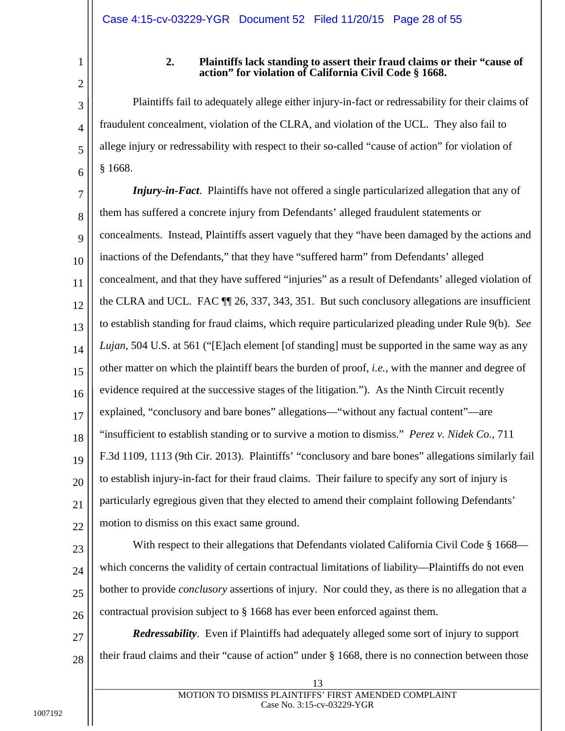5

6

<span id="page-27-0"></span>1

#### <span id="page-27-3"></span>**2. Plaintiffs lack standing to assert their fraud claims or their "cause of action" for violation of California Civil Code § 1668.**

Plaintiffs fail to adequately allege either injury-in-fact or redressability for their claims of fraudulent concealment, violation of the CLRA, and violation of the UCL. They also fail to allege injury or redressability with respect to their so-called "cause of action" for violation of § 1668.

<span id="page-27-1"></span>7 8 9 10 11 12 13 14 15 16 17 18 19 20 21 22 *Injury-in-Fact*. Plaintiffs have not offered a single particularized allegation that any of them has suffered a concrete injury from Defendants' alleged fraudulent statements or concealments. Instead, Plaintiffs assert vaguely that they "have been damaged by the actions and inactions of the Defendants," that they have "suffered harm" from Defendants' alleged concealment, and that they have suffered "injuries" as a result of Defendants' alleged violation of the CLRA and UCL. FAC ¶¶ 26, 337, 343, 351. But such conclusory allegations are insufficient to establish standing for fraud claims, which require particularized pleading under Rule 9(b). *See Lujan*, 504 U.S. at 561 ("[E]ach element [of standing] must be supported in the same way as any other matter on which the plaintiff bears the burden of proof, *i.e.*, with the manner and degree of evidence required at the successive stages of the litigation."). As the Ninth Circuit recently explained, "conclusory and bare bones" allegations—"without any factual content"—are "insufficient to establish standing or to survive a motion to dismiss." *Perez v. Nidek Co.*, 711 F.3d 1109, 1113 (9th Cir. 2013). Plaintiffs' "conclusory and bare bones" allegations similarly fail to establish injury-in-fact for their fraud claims. Their failure to specify any sort of injury is particularly egregious given that they elected to amend their complaint following Defendants' motion to dismiss on this exact same ground.

<span id="page-27-2"></span>23

24 25 26 With respect to their allegations that Defendants violated California Civil Code § 1668 which concerns the validity of certain contractual limitations of liability—Plaintiffs do not even bother to provide *conclusory* assertions of injury. Nor could they, as there is no allegation that a contractual provision subject to  $\S$  1668 has ever been enforced against them.

27 28 *Redressability*. Even if Plaintiffs had adequately alleged some sort of injury to support their fraud claims and their "cause of action" under § 1668, there is no connection between those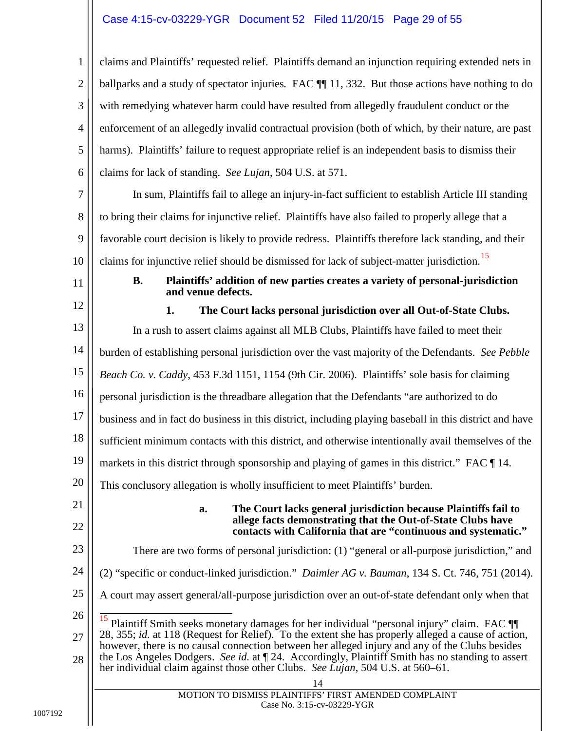#### Case 4:15-cv-03229-YGR Document 52 Filed 11/20/15 Page 29 of 55

1 2 3 4 5 6 claims and Plaintiffs' requested relief. Plaintiffs demand an injunction requiring extended nets in ballparks and a study of spectator injuries. FAC  $\P$  11, 332. But those actions have nothing to do with remedying whatever harm could have resulted from allegedly fraudulent conduct or the enforcement of an allegedly invalid contractual provision (both of which, by their nature, are past harms). Plaintiffs' failure to request appropriate relief is an independent basis to dismiss their claims for lack of standing. *See Lujan*, 504 U.S. at 571.

7 8 9 10 In sum, Plaintiffs fail to allege an injury-in-fact sufficient to establish Article III standing to bring their claims for injunctive relief. Plaintiffs have also failed to properly allege that a favorable court decision is likely to provide redress. Plaintiffs therefore lack standing, and their claims for injunctive relief should be dismissed for lack of subject-matter jurisdiction.<sup>[15](#page-28-5)</sup>

- <span id="page-28-0"></span>11
- <span id="page-28-3"></span>**B. Plaintiffs' addition of new parties creates a variety of personal-jurisdiction and venue defects.**

<span id="page-28-1"></span>12 13 14 15 16 17 18 19 20 21 **1. The Court lacks personal jurisdiction over all Out-of-State Clubs.** In a rush to assert claims against all MLB Clubs, Plaintiffs have failed to meet their burden of establishing personal jurisdiction over the vast majority of the Defendants. *See Pebble Beach Co. v. Caddy*, 453 F.3d 1151, 1154 (9th Cir. 2006). Plaintiffs' sole basis for claiming personal jurisdiction is the threadbare allegation that the Defendants "are authorized to do business and in fact do business in this district, including playing baseball in this district and have sufficient minimum contacts with this district, and otherwise intentionally avail themselves of the markets in this district through sponsorship and playing of games in this district." FAC  $\P$  14. This conclusory allegation is wholly insufficient to meet Plaintiffs' burden.

22

#### <span id="page-28-4"></span><span id="page-28-2"></span>**a. The Court lacks general jurisdiction because Plaintiffs fail to allege facts demonstrating that the Out-of-State Clubs have contacts with California that are "continuous and systematic."**

- 23 There are two forms of personal jurisdiction: (1) "general or all-purpose jurisdiction," and
- 24 (2) "specific or conduct-linked jurisdiction." *Daimler AG v. Bauman*, 134 S. Ct. 746, 751 (2014).
- 25 A court may assert general/all-purpose jurisdiction over an out-of-state defendant only when that
- <span id="page-28-5"></span>26 27 28 Plaintiff Smith seeks monetary damages for her individual "personal injury" claim. FAC  $\P$ 28, 355; *id.* at 118 (Request for Relief). To the extent she has properly alleged a cause of action, however, there is no causal connection between her alleged injury and any of the Clubs besides the Los Angeles Dodgers. *See id.* at ¶ 24. Accordingly, Plaintiff Smith has no standing to assert her individual claim against those other Clubs. *See Lujan*, 504 U.S. at 560–61.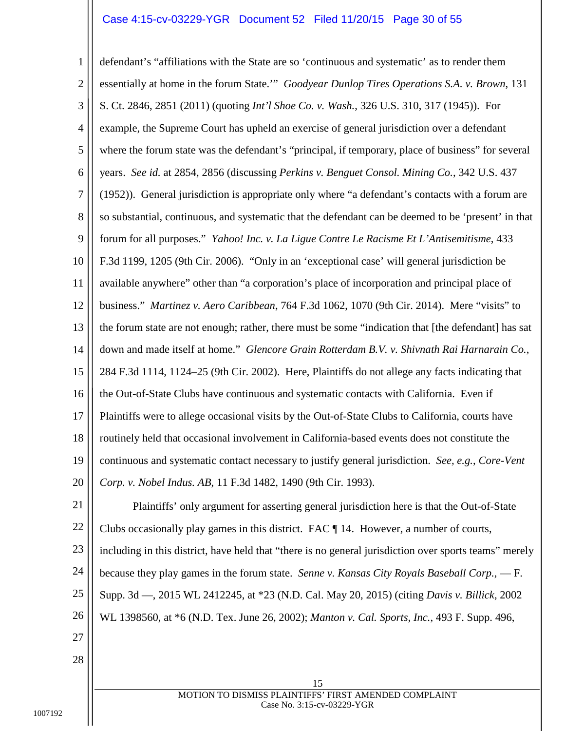#### <span id="page-29-7"></span><span id="page-29-4"></span><span id="page-29-3"></span>Case 4:15-cv-03229-YGR Document 52 Filed 11/20/15 Page 30 of 55

<span id="page-29-9"></span>1 2 3 4 5 6 7 8 9 10 11 12 13 14 15 16 17 18 19 20 defendant's "affiliations with the State are so 'continuous and systematic' as to render them essentially at home in the forum State.'" *Goodyear Dunlop Tires Operations S.A. v. Brown*, 131 S. Ct. 2846, 2851 (2011) (quoting *Int'l Shoe Co. v. Wash.*, 326 U.S. 310, 317 (1945)). For example, the Supreme Court has upheld an exercise of general jurisdiction over a defendant where the forum state was the defendant's "principal, if temporary, place of business" for several years. *See id.* at 2854, 2856 (discussing *Perkins v. Benguet Consol. Mining Co.*, 342 U.S. 437 (1952)). General jurisdiction is appropriate only where "a defendant's contacts with a forum are so substantial, continuous, and systematic that the defendant can be deemed to be 'present' in that forum for all purposes." *Yahoo! Inc. v. La Ligue Contre Le Racisme Et L'Antisemitisme*, 433 F.3d 1199, 1205 (9th Cir. 2006). "Only in an 'exceptional case' will general jurisdiction be available anywhere" other than "a corporation's place of incorporation and principal place of business." *Martinez v. Aero Caribbean*, 764 F.3d 1062, 1070 (9th Cir. 2014). Mere "visits" to the forum state are not enough; rather, there must be some "indication that [the defendant] has sat down and made itself at home." *Glencore Grain Rotterdam B.V. v. Shivnath Rai Harnarain Co.*, 284 F.3d 1114, 1124–25 (9th Cir. 2002). Here, Plaintiffs do not allege any facts indicating that the Out-of-State Clubs have continuous and systematic contacts with California. Even if Plaintiffs were to allege occasional visits by the Out-of-State Clubs to California, courts have routinely held that occasional involvement in California-based events does not constitute the continuous and systematic contact necessary to justify general jurisdiction. *See, e.g.*, *Core-Vent Corp. v. Nobel Indus. AB*, 11 F.3d 1482, 1490 (9th Cir. 1993).

<span id="page-29-6"></span><span id="page-29-2"></span>21 22 23 24 25 26 27 Plaintiffs' only argument for asserting general jurisdiction here is that the Out-of-State Clubs occasionally play games in this district. FAC  $\P$  14. However, a number of courts, including in this district, have held that "there is no general jurisdiction over sports teams" merely because they play games in the forum state. *Senne v. Kansas City Royals Baseball Corp.*, — F. Supp. 3d —, 2015 WL 2412245, at \*23 (N.D. Cal. May 20, 2015) (citing *Davis v. Billick*, 2002 WL 1398560, at \*6 (N.D. Tex. June 26, 2002); *Manton v. Cal. Sports, Inc.*, 493 F. Supp. 496,

28

<span id="page-29-8"></span><span id="page-29-5"></span><span id="page-29-1"></span><span id="page-29-0"></span>15 MOTION TO DISMISS PLAINTIFFS' FIRST AMENDED COMPLAINT Case No. 3:15-cv-03229-YGR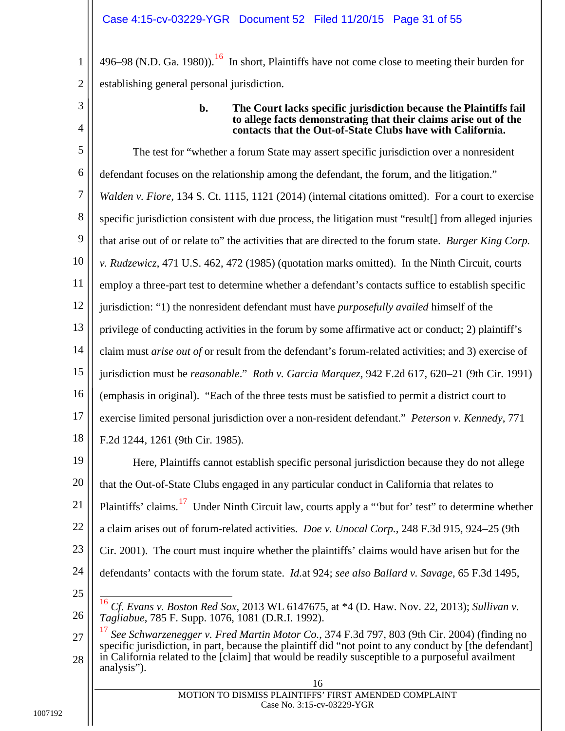496–98 (N.D. Ga. 1980)).<sup>16</sup> In short, Plaintiffs have not come close to meeting their burden for establishing general personal jurisdiction.

3

4

1

2

#### <span id="page-30-1"></span>**b. The Court lacks specific jurisdiction because the Plaintiffs fail to allege facts demonstrating that their claims arise out of the contacts that the Out-of-State Clubs have with California.**

<span id="page-30-8"></span>5 6 7 8 9 10 11 12 13 14 15 16 17 18 19 The test for "whether a forum State may assert specific jurisdiction over a nonresident defendant focuses on the relationship among the defendant, the forum, and the litigation." *Walden v. Fiore*, 134 S. Ct. 1115, 1121 (2014) (internal citations omitted). For a court to exercise specific jurisdiction consistent with due process, the litigation must "result[] from alleged injuries that arise out of or relate to" the activities that are directed to the forum state. *Burger King Corp. v. Rudzewicz*, 471 U.S. 462, 472 (1985) (quotation marks omitted). In the Ninth Circuit, courts employ a three-part test to determine whether a defendant's contacts suffice to establish specific jurisdiction: "1) the nonresident defendant must have *purposefully availed* himself of the privilege of conducting activities in the forum by some affirmative act or conduct; 2) plaintiff's claim must *arise out of* or result from the defendant's forum-related activities; and 3) exercise of jurisdiction must be *reasonable*." *Roth v. Garcia Marquez*, 942 F.2d 617, 620–21 (9th Cir. 1991) (emphasis in original). "Each of the three tests must be satisfied to permit a district court to exercise limited personal jurisdiction over a non-resident defendant." *Peterson v. Kennedy*, 771 F.2d 1244, 1261 (9th Cir. 1985). Here, Plaintiffs cannot establish specific personal jurisdiction because they do not allege

<span id="page-30-5"></span><span id="page-30-4"></span>20 21 22 23 24 25 that the Out-of-State Clubs engaged in any particular conduct in California that relates to Plaintiffs' claims.<sup>17</sup> Under Ninth Circuit law, courts apply a "'but for' test" to determine whether a claim arises out of forum-related activities. *Doe v. Unocal Corp.*, 248 F.3d 915, 924–25 (9th Cir. 2001). The court must inquire whether the plaintiffs' claims would have arisen but for the defendants' contacts with the forum state. *Id.*at 924; *see also Ballard v. Savage*, 65 F.3d 1495,

<span id="page-30-7"></span><span id="page-30-6"></span><span id="page-30-3"></span><span id="page-30-2"></span><span id="page-30-0"></span> <sup>16</sup> *Cf. Evans v. Boston Red Sox*, 2013 WL 6147675, at \*4 (D. Haw. Nov. 22, 2013); *Sullivan v. Tagliabue*, 785 F. Supp. 1076, 1081 (D.R.I. 1992).

<span id="page-30-10"></span><span id="page-30-9"></span><sup>27</sup> 28 <sup>17</sup> *See Schwarzenegger v. Fred Martin Motor Co.*, 374 F.3d 797, 803 (9th Cir. 2004) (finding no specific jurisdiction, in part, because the plaintiff did "not point to any conduct by [the defendant] in California related to the [claim] that would be readily susceptible to a purposeful availment analysis").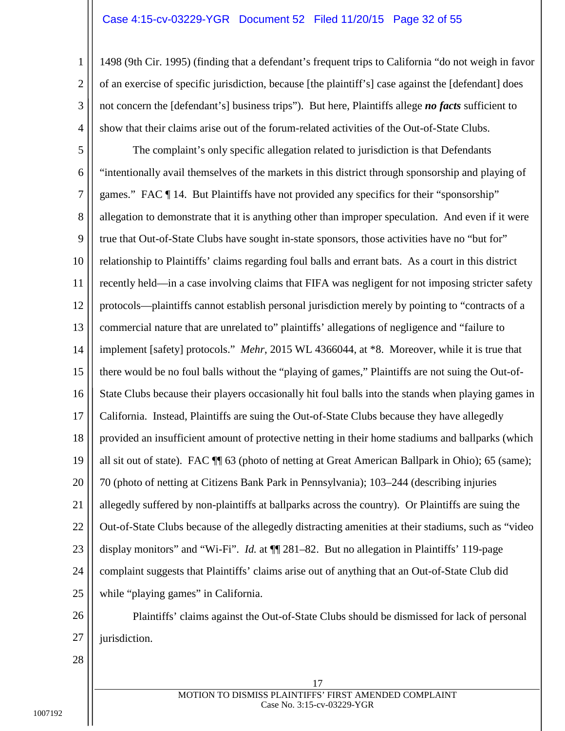#### Case 4:15-cv-03229-YGR Document 52 Filed 11/20/15 Page 32 of 55

1498 (9th Cir. 1995) (finding that a defendant's frequent trips to California "do not weigh in favor of an exercise of specific jurisdiction, because [the plaintiff's] case against the [defendant] does not concern the [defendant's] business trips").But here, Plaintiffs allege *no facts* sufficient to show that their claims arise out of the forum-related activities of the Out-of-State Clubs.

<span id="page-31-0"></span>5 6 7 8 9 10 11 12 13 14 15 16 17 18 19 20 21 22 23 24 25 The complaint's only specific allegation related to jurisdiction is that Defendants "intentionally avail themselves of the markets in this district through sponsorship and playing of games." FAC ¶ 14. But Plaintiffs have not provided any specifics for their "sponsorship" allegation to demonstrate that it is anything other than improper speculation. And even if it were true that Out-of-State Clubs have sought in-state sponsors, those activities have no "but for" relationship to Plaintiffs' claims regarding foul balls and errant bats. As a court in this district recently held—in a case involving claims that FIFA was negligent for not imposing stricter safety protocols—plaintiffs cannot establish personal jurisdiction merely by pointing to "contracts of a commercial nature that are unrelated to" plaintiffs' allegations of negligence and "failure to implement [safety] protocols." *Mehr*, 2015 WL 4366044, at \*8. Moreover, while it is true that there would be no foul balls without the "playing of games," Plaintiffs are not suing the Out-of-State Clubs because their players occasionally hit foul balls into the stands when playing games in California. Instead, Plaintiffs are suing the Out-of-State Clubs because they have allegedly provided an insufficient amount of protective netting in their home stadiums and ballparks (which all sit out of state). FAC ¶¶ 63 (photo of netting at Great American Ballpark in Ohio); 65 (same); 70 (photo of netting at Citizens Bank Park in Pennsylvania); 103–244 (describing injuries allegedly suffered by non-plaintiffs at ballparks across the country). Or Plaintiffs are suing the Out-of-State Clubs because of the allegedly distracting amenities at their stadiums, such as "video display monitors" and "Wi-Fi". *Id.* at  $\P$  281–82. But no allegation in Plaintiffs' 119-page complaint suggests that Plaintiffs' claims arise out of anything that an Out-of-State Club did while "playing games" in California.

26 27 Plaintiffs' claims against the Out-of-State Clubs should be dismissed for lack of personal jurisdiction.

28

1

2

3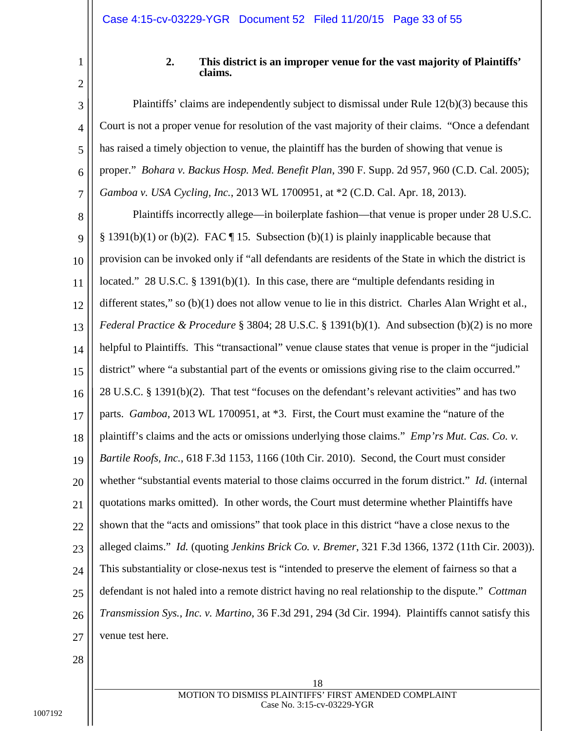<span id="page-32-0"></span>

| ſ |  |
|---|--|

4

<span id="page-32-1"></span>5

<span id="page-32-4"></span>6

7

#### <span id="page-32-9"></span><span id="page-32-8"></span><span id="page-32-6"></span>**2. This district is an improper venue for the vast majority of Plaintiffs' claims.**

Plaintiffs' claims are independently subject to dismissal under Rule 12(b)(3) because this Court is not a proper venue for resolution of the vast majority of their claims. "Once a defendant has raised a timely objection to venue, the plaintiff has the burden of showing that venue is proper." *Bohara v. Backus Hosp. Med. Benefit Plan*, 390 F. Supp. 2d 957, 960 (C.D. Cal. 2005); *Gamboa v. USA Cycling, Inc.*, 2013 WL 1700951, at \*2 (C.D. Cal. Apr. 18, 2013).

<span id="page-32-7"></span><span id="page-32-5"></span><span id="page-32-3"></span><span id="page-32-2"></span>8 9 10 11 12 13 14 15 16 17 18 19 20 21 22 23 24 25 26 27 Plaintiffs incorrectly allege—in boilerplate fashion—that venue is proper under 28 U.S.C. § 1391(b)(1) or (b)(2). FAC  $\P$  15. Subsection (b)(1) is plainly inapplicable because that provision can be invoked only if "all defendants are residents of the State in which the district is located." 28 U.S.C. § 1391(b)(1). In this case, there are "multiple defendants residing in different states," so (b)(1) does not allow venue to lie in this district. Charles Alan Wright et al., *Federal Practice & Procedure* § 3804; 28 U.S.C. § 1391(b)(1). And subsection (b)(2) is no more helpful to Plaintiffs. This "transactional" venue clause states that venue is proper in the "judicial district" where "a substantial part of the events or omissions giving rise to the claim occurred." 28 U.S.C. § 1391(b)(2). That test "focuses on the defendant's relevant activities" and has two parts. *Gamboa*, 2013 WL 1700951, at \*3. First, the Court must examine the "nature of the plaintiff's claims and the acts or omissions underlying those claims." *Emp'rs Mut. Cas. Co. v. Bartile Roofs, Inc.*, 618 F.3d 1153, 1166 (10th Cir. 2010). Second, the Court must consider whether "substantial events material to those claims occurred in the forum district." *Id.* (internal quotations marks omitted). In other words, the Court must determine whether Plaintiffs have shown that the "acts and omissions" that took place in this district "have a close nexus to the alleged claims." *Id.* (quoting *Jenkins Brick Co. v. Bremer*, 321 F.3d 1366, 1372 (11th Cir. 2003)). This substantiality or close-nexus test is "intended to preserve the element of fairness so that a defendant is not haled into a remote district having no real relationship to the dispute." *Cottman Transmission Sys., Inc. v. Martino*, 36 F.3d 291, 294 (3d Cir. 1994). Plaintiffs cannot satisfy this venue test here.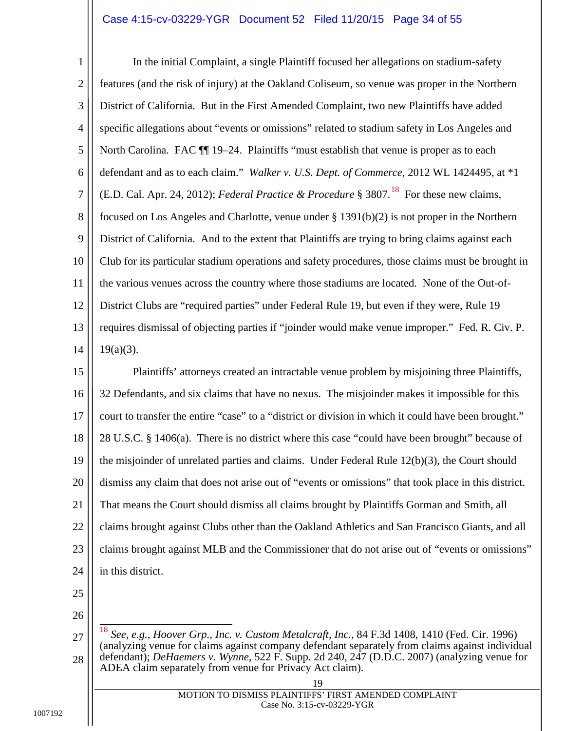#### <span id="page-33-3"></span>Case 4:15-cv-03229-YGR Document 52 Filed 11/20/15 Page 34 of 55

<span id="page-33-2"></span>1 2 3 4 5 6 7 8 9 10 11 12 13 14 In the initial Complaint, a single Plaintiff focused her allegations on stadium-safety features (and the risk of injury) at the Oakland Coliseum, so venue was proper in the Northern District of California. But in the First Amended Complaint, two new Plaintiffs have added specific allegations about "events or omissions" related to stadium safety in Los Angeles and North Carolina. FAC  $\P$  19–24. Plaintiffs "must establish that venue is proper as to each defendant and as to each claim." *Walker v. U.S. Dept. of Commerce*, 2012 WL 1424495, at \*1 (E.D. Cal. Apr. 24, 2012); *Federal Practice*  $\&$  *Procedure* § 3807.<sup>18</sup> For these new claims, focused on Los Angeles and Charlotte, venue under § 1391(b)(2) is not proper in the Northern District of California. And to the extent that Plaintiffs are trying to bring claims against each Club for its particular stadium operations and safety procedures, those claims must be brought in the various venues across the country where those stadiums are located. None of the Out-of-District Clubs are "required parties" under Federal Rule 19, but even if they were, Rule 19 requires dismissal of objecting parties if "joinder would make venue improper." Fed. R. Civ. P.  $19(a)(3)$ .

<span id="page-33-6"></span><span id="page-33-5"></span><span id="page-33-4"></span>15 16 17 18 19 20 21 22 23 24 Plaintiffs' attorneys created an intractable venue problem by misjoining three Plaintiffs, 32 Defendants, and six claims that have no nexus. The misjoinder makes it impossible for this court to transfer the entire "case" to a "district or division in which it could have been brought." 28 U.S.C. § 1406(a). There is no district where this case "could have been brought" because of the misjoinder of unrelated parties and claims. Under Federal Rule 12(b)(3), the Court should dismiss any claim that does not arise out of "events or omissions" that took place in this district. That means the Court should dismiss all claims brought by Plaintiffs Gorman and Smith, all claims brought against Clubs other than the Oakland Athletics and San Francisco Giants, and all claims brought against MLB and the Commissioner that do not arise out of "events or omissions" in this district.

25

26

<span id="page-33-7"></span><span id="page-33-1"></span><span id="page-33-0"></span><sup>27</sup> 18 *See, e.g.*, *Hoover Grp., Inc. v. Custom Metalcraft, Inc.*, 84 F.3d 1408, 1410 (Fed. Cir. 1996) (analyzing venue for claims against company defendant separately from claims against individual defendant); *DeHaemers v. Wynne*, 522 F. Supp. 2d 240, 247 (D.D.C. 2007) (analyzing venue for ADEA claim separately from venue for Privacy Act claim).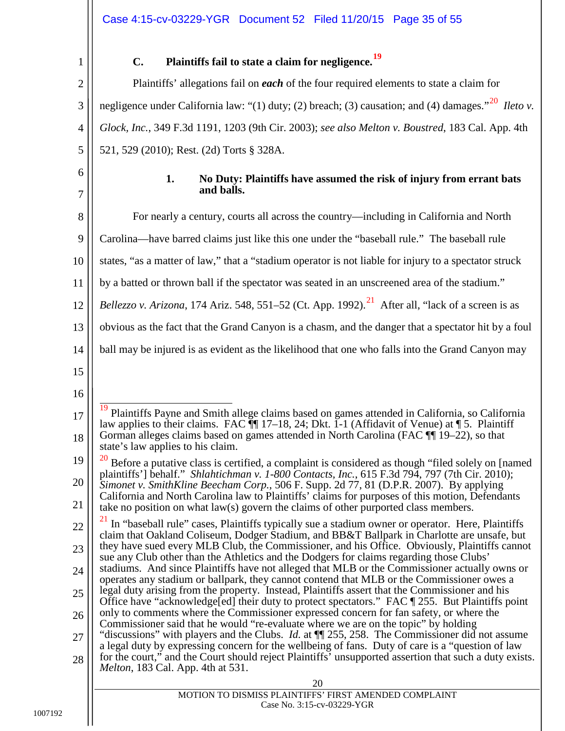3

4

5

<span id="page-34-1"></span>6

7

# **C. Plaintiffs fail to state a claim for negligence.[19](#page-34-8)**

<span id="page-34-0"></span>Plaintiffs' allegations fail on *each* of the four required elements to state a claim for negligence under California law: "(1) duty; (2) breach; (3) causation; and (4) damages."<sup>20</sup> *Ileto v*. *Glock, Inc.*, 349 F.3d 1191, 1203 (9th Cir. 2003); *see also Melton v. Boustred*, 183 Cal. App. 4th 521, 529 (2010); Rest. (2d) Torts § 328A.

> <span id="page-34-7"></span><span id="page-34-6"></span><span id="page-34-2"></span>**1. No Duty: Plaintiffs have assumed the risk of injury from errant bats and balls.**

<span id="page-34-10"></span><span id="page-34-9"></span><span id="page-34-8"></span><span id="page-34-5"></span><span id="page-34-4"></span><span id="page-34-3"></span>

| 8  | For nearly a century, courts all across the country—including in California and North                                                                                                                      |
|----|------------------------------------------------------------------------------------------------------------------------------------------------------------------------------------------------------------|
| 9  | Carolina—have barred claims just like this one under the "baseball rule." The baseball rule                                                                                                                |
| 10 | states, "as a matter of law," that a "stadium operator is not liable for injury to a spectator struck                                                                                                      |
| 11 | by a batted or thrown ball if the spectator was seated in an unscreened area of the stadium."                                                                                                              |
| 12 | <i>Bellezzo v. Arizona</i> , 174 Ariz. 548, 551–52 (Ct. App. 1992). <sup>21</sup> After all, "lack of a screen is as                                                                                       |
| 13 | obvious as the fact that the Grand Canyon is a chasm, and the danger that a spectator hit by a foul                                                                                                        |
| 14 | ball may be injured is as evident as the likelihood that one who falls into the Grand Canyon may                                                                                                           |
| 15 |                                                                                                                                                                                                            |
| 16 |                                                                                                                                                                                                            |
| 17 | 19<br>Plaintiffs Payne and Smith allege claims based on games attended in California, so California<br>law applies to their claims. FAC $\P$ 17–18, 24; Dkt. 1-1 (Affidavit of Venue) at $\P$ 5. Plaintiff |
| 18 | Gorman alleges claims based on games attended in North Carolina (FAC $\P$ 19–22), so that<br>state's law applies to his claim.                                                                             |
| 19 | <sup>20</sup> Before a putative class is certified, a complaint is considered as though "filed solely on [named]                                                                                           |
| 20 | plaintiffs'] behalf." Shlahtichman v. 1-800 Contacts, Inc., 615 F.3d 794, 797 (7th Cir. 2010);<br>Simonet v. SmithKline Beecham Corp., 506 F. Supp. 2d 77, 81 (D.P.R. 2007). By applying                   |
| 21 | California and North Carolina law to Plaintiffs' claims for purposes of this motion, Defendants<br>take no position on what $law(s)$ govern the claims of other purported class members.                   |
| 22 | In "baseball rule" cases, Plaintiffs typically sue a stadium owner or operator. Here, Plaintiffs<br>claim that Oakland Coliseum, Dodger Stadium, and BB&T Ballpark in Charlotte are unsafe, but            |
| 23 | they have sued every MLB Club, the Commissioner, and his Office. Obviously, Plaintiffs cannot<br>sue any Club other than the Athletics and the Dodgers for claims regarding those Clubs'                   |
| 24 | stadiums. And since Plaintiffs have not alleged that MLB or the Commissioner actually owns or<br>operates any stadium or ballpark, they cannot contend that MLB or the Commissioner owes a                 |
| 25 | legal duty arising from the property. Instead, Plaintiffs assert that the Commissioner and his<br>Office have "acknowledge[ed] their duty to protect spectators." FAC ¶ 255. But Plaintiffs point          |
| 26 | only to comments where the Commissioner expressed concern for fan safety, or where the<br>Commissioner said that he would "re-evaluate where we are on the topic" by holding                               |
| 27 | "discussions" with players and the Clubs. <i>Id.</i> at $\P$ 255, 258. The Commissioner did not assume<br>a legal duty by expressing concern for the wellbeing of fans. Duty of care is a "question of law |
| 28 | for the court," and the Court should reject Plaintiffs' unsupported assertion that such a duty exists.<br><i>Melton</i> , 183 Cal. App. 4th at 531.                                                        |
|    | 20                                                                                                                                                                                                         |
|    | MOTION TO DISMISS PLAINTIFFS' FIRST AMENDED COMPLAINT                                                                                                                                                      |
|    | Case No. 3:15-cv-03229-YGR                                                                                                                                                                                 |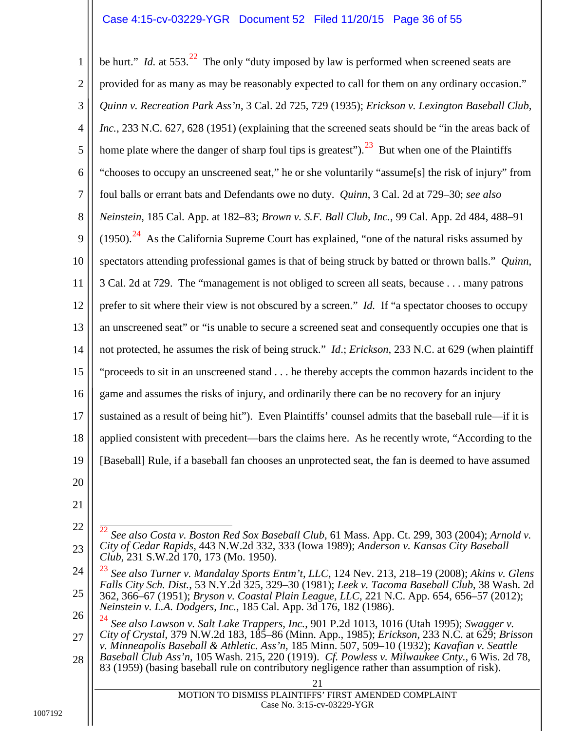#### <span id="page-35-8"></span><span id="page-35-3"></span>Case 4:15-cv-03229-YGR Document 52 Filed 11/20/15 Page 36 of 55

<span id="page-35-14"></span><span id="page-35-5"></span>1 2 3 4 5 6 7 8 9 10 11 12 13 14 15 16 17 18 19 20 21 22 23 be hurt." *Id.* at 553.<sup>[22](#page-35-17)</sup> The only "duty imposed by law is performed when screened seats are provided for as many as may be reasonably expected to call for them on any ordinary occasion." *Quinn v. Recreation Park Ass'n*, 3 Cal. 2d 725, 729 (1935); *Erickson v. Lexington Baseball Club, Inc.*, 233 N.C. 627, 628 (1951) (explaining that the screened seats should be "in the areas back of home plate where the danger of sharp foul tips is greatest"). <sup>23</sup> But when one of the Plaintiffs "chooses to occupy an unscreened seat," he or she voluntarily "assume[s] the risk of injury" from foul balls or errant bats and Defendants owe no duty. *Quinn*, 3 Cal. 2d at 729–30; *see also Neinstein*, 185 Cal. App. at 182–83; *Brown v. S.F. Ball Club, Inc.*, 99 Cal. App. 2d 484, 488–91  $(1950).<sup>24</sup>$  As the California Supreme Court has explained, "one of the natural risks assumed by spectators attending professional games is that of being struck by batted or thrown balls." *Quinn*, 3 Cal. 2d at 729. The "management is not obliged to screen all seats, because . . . many patrons prefer to sit where their view is not obscured by a screen." *Id.* If "a spectator chooses to occupy an unscreened seat" or "is unable to secure a screened seat and consequently occupies one that is not protected, he assumes the risk of being struck." *Id*.; *Erickson*, 233 N.C. at 629 (when plaintiff "proceeds to sit in an unscreened stand . . . he thereby accepts the common hazards incident to the game and assumes the risks of injury, and ordinarily there can be no recovery for an injury sustained as a result of being hit"). Even Plaintiffs' counsel admits that the baseball rule—if it is applied consistent with precedent—bars the claims here. As he recently wrote, "According to the [Baseball] Rule, if a baseball fan chooses an unprotected seat, the fan is deemed to have assumed 22 *See also Costa v. Boston Red Sox Baseball Club*, 61 Mass. App. Ct. 299, 303 (2004); *Arnold v. City of Cedar Rapids*, 443 N.W.2d 332, 333 (Iowa 1989); *Anderson v. Kansas City Baseball Club,* 231 S.W.2d 170, 173 (Mo. 1950).

<span id="page-35-18"></span><span id="page-35-17"></span><span id="page-35-16"></span><span id="page-35-11"></span><span id="page-35-7"></span><span id="page-35-2"></span><span id="page-35-1"></span><span id="page-35-0"></span>24 25 <sup>23</sup> *See also Turner v. Mandalay Sports Entm't, LLC*, 124 Nev. 213, 218–19 (2008); *Akins v. Glens Falls City Sch. Dist.*, 53 N.Y.2d 325, 329–30 (1981); *Leek v. Tacoma Baseball Club*, 38 Wash. 2d 362, 366–67 (1951); *Bryson v. Coastal Plain League, LLC*, 221 N.C. App. 654, 656–57 (2012); *Neinstein v. L.A. Dodgers, Inc.*, 185 Cal. App. 3d 176, 182 (1986).

<span id="page-35-19"></span><span id="page-35-15"></span><span id="page-35-13"></span><span id="page-35-12"></span><span id="page-35-10"></span><span id="page-35-9"></span><span id="page-35-6"></span><span id="page-35-4"></span>26 27 28 <sup>24</sup> *See also Lawson v. Salt Lake Trappers, Inc.*, 901 P.2d 1013, 1016 (Utah 1995); *Swagger v. City of Crystal*, 379 N.W.2d 183, 185–86 (Minn. App., 1985); *Erickson*, 233 N.C. at 629; *Brisson v. Minneapolis Baseball & Athletic. Ass'n,* 185 Minn. 507, 509–10 (1932); *Kavafian v. Seattle Baseball Club Ass'n*, 105 Wash. 215, 220 (1919). *Cf. Powless v. Milwaukee Cnty.*, 6 Wis. 2d 78, 83 (1959) (basing baseball rule on contributory negligence rather than assumption of risk).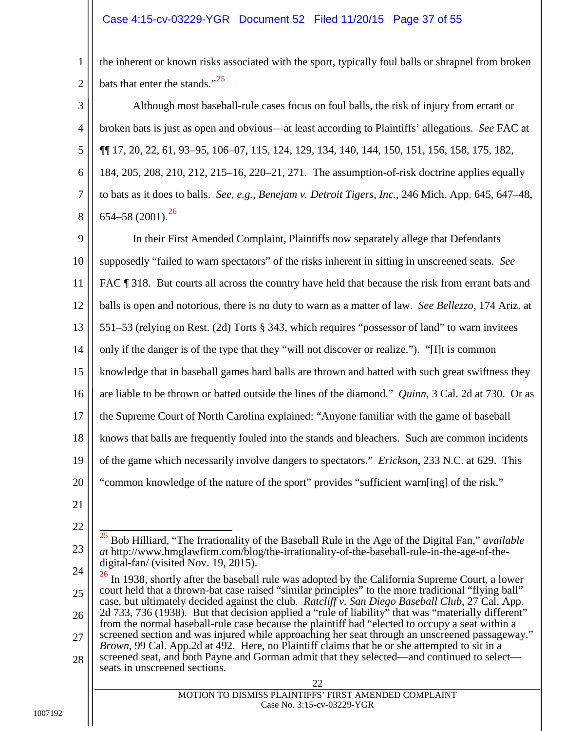#### Case 4:15-cv-03229-YGR Document 52 Filed 11/20/15 Page 37 of 55

the inherent or known risks associated with the sport, typically foul balls or shrapnel from broken bats that enter the stands." $^{25}$ 

3 4 5 6 7 8 Although most baseball-rule cases focus on foul balls, the risk of injury from errant or broken bats is just as open and obvious—at least according to Plaintiffs' allegations. *See* FAC at ¶¶ 17, 20, 22, 61, 93–95, 106–07, 115, 124, 129, 134, 140, 144, 150, 151, 156, 158, 175, 182, 184, 205, 208, 210, 212, 215–16, 220–21, 271. The assumption-of-risk doctrine applies equally to bats as it does to balls. *See, e.g.*, *Benejam v. Detroit Tigers, Inc.*, 246 Mich. App. 645, 647–48,  $654-58$  (2001).<sup>[26](#page-36-8)</sup>

<span id="page-36-6"></span><span id="page-36-1"></span><span id="page-36-0"></span>9 10 11 12 13 14 15 16 17 18 19 20 In their First Amended Complaint, Plaintiffs now separately allege that Defendants supposedly "failed to warn spectators" of the risks inherent in sitting in unscreened seats. *See*  FAC  $\parallel$  318. But courts all across the country have held that because the risk from errant bats and balls is open and notorious, there is no duty to warn as a matter of law. *See Bellezzo*, 174 Ariz. at 551–53 (relying on Rest. (2d) Torts § 343, which requires "possessor of land" to warn invitees only if the danger is of the type that they "will not discover or realize."). "[I]t is common knowledge that in baseball games hard balls are thrown and batted with such great swiftness they are liable to be thrown or batted outside the lines of the diamond." *Quinn*, 3 Cal. 2d at 730. Or as the Supreme Court of North Carolina explained: "Anyone familiar with the game of baseball knows that balls are frequently fouled into the stands and bleachers. Such are common incidents of the game which necessarily involve dangers to spectators." *Erickson*, 233 N.C. at 629. This "common knowledge of the nature of the sport" provides "sufficient warn[ing] of the risk."

<span id="page-36-4"></span><span id="page-36-3"></span>21

22

1

2

<span id="page-36-7"></span>23 25 Bob Hilliard, "The Irrationality of the Baseball Rule in the Age of the Digital Fan," *available at* http://www.hmglawfirm.com/blog/the-irrationality-of-the-baseball-rule-in-the-age-of-thedigital-fan/ (visited Nov. 19, 2015).

<span id="page-36-8"></span><span id="page-36-5"></span><span id="page-36-2"></span>24 25 26 27 28 <sup>26</sup> In 1938, shortly after the baseball rule was adopted by the California Supreme Court, a lower court held that a thrown-bat case raised "similar principles" to the more traditional "flying ball" case, but ultimately decided against the club. *Ratcliff v. San Diego Baseball Club*, 27 Cal. App. 2d 733, 736 (1938). But that decision applied a "rule of liability" that was "materially different" from the normal baseball-rule case because the plaintiff had "elected to occupy a seat within a screened section and was injured while approaching her seat through an unscreened passageway." *Brown*, 99 Cal. App.2d at 492. Here, no Plaintiff claims that he or she attempted to sit in a screened seat, and both Payne and Gorman admit that they selected—and continued to select seats in unscreened sections.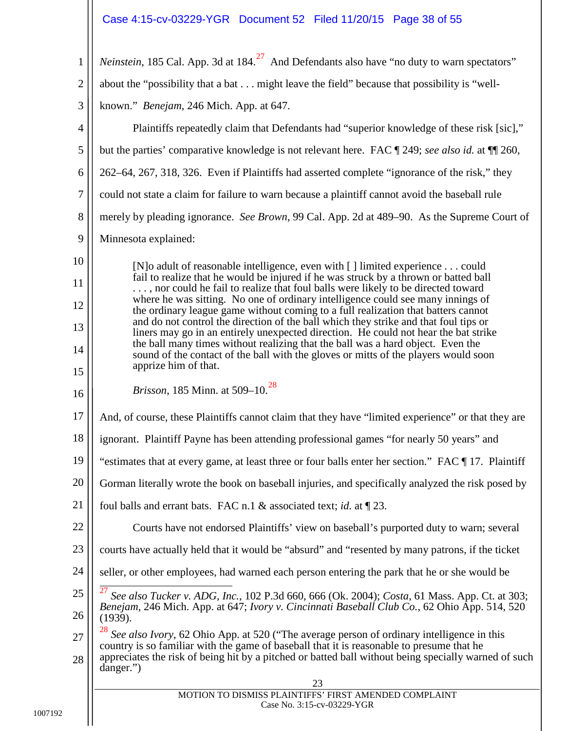Case 4:15-cv-03229-YGR Document 52 Filed 11/20/15 Page 38 of 55

<span id="page-37-8"></span><span id="page-37-7"></span><span id="page-37-6"></span><span id="page-37-5"></span><span id="page-37-4"></span><span id="page-37-3"></span><span id="page-37-2"></span><span id="page-37-1"></span><span id="page-37-0"></span>

| $\mathbf{1}$     | <i>Neinstein</i> , 185 Cal. App. 3d at $184.27$ And Defendants also have "no duty to warn spectators"                                                                                          |  |  |
|------------------|------------------------------------------------------------------------------------------------------------------------------------------------------------------------------------------------|--|--|
| $\overline{2}$   | about the "possibility that a bat might leave the field" because that possibility is "well-                                                                                                    |  |  |
| 3                | known." <i>Benejam</i> , 246 Mich. App. at 647.                                                                                                                                                |  |  |
| 4                | Plaintiffs repeatedly claim that Defendants had "superior knowledge of these risk [sic],"                                                                                                      |  |  |
| 5                | but the parties' comparative knowledge is not relevant here. FAC ¶ 249; see also id. at ¶ 260,                                                                                                 |  |  |
| 6                | 262–64, 267, 318, 326. Even if Plaintiffs had asserted complete "ignorance of the risk," they                                                                                                  |  |  |
| $\boldsymbol{7}$ | could not state a claim for failure to warn because a plaintiff cannot avoid the baseball rule                                                                                                 |  |  |
| 8                | merely by pleading ignorance. See Brown, 99 Cal. App. 2d at 489–90. As the Supreme Court of                                                                                                    |  |  |
| 9                | Minnesota explained:                                                                                                                                                                           |  |  |
| 10               | [N] o adult of reasonable intelligence, even with [] limited experience could                                                                                                                  |  |  |
| 11               | fail to realize that he would be injured if he was struck by a thrown or batted ball<br>, nor could he fail to realize that foul balls were likely to be directed toward                       |  |  |
| 12               | where he was sitting. No one of ordinary intelligence could see many innings of<br>the ordinary league game without coming to a full realization that batters cannot                           |  |  |
| 13               | and do not control the direction of the ball which they strike and that foul tips or<br>liners may go in an entirely unexpected direction. He could not hear the bat strike                    |  |  |
| 14               | the ball many times without realizing that the ball was a hard object. Even the<br>sound of the contact of the ball with the gloves or mitts of the players would soon                         |  |  |
| 15               | apprize him of that.                                                                                                                                                                           |  |  |
| 16               | <i>Brisson</i> , 185 Minn. at 509–10. <sup>28</sup>                                                                                                                                            |  |  |
| 17               | And, of course, these Plaintiffs cannot claim that they have "limited experience" or that they are                                                                                             |  |  |
| 18               | ignorant. Plaintiff Payne has been attending professional games "for nearly 50 years" and                                                                                                      |  |  |
| 19               | "estimates that at every game, at least three or four balls enter her section." FAC ¶17. Plaintiff                                                                                             |  |  |
| 20               | Gorman literally wrote the book on baseball injuries, and specifically analyzed the risk posed by                                                                                              |  |  |
| 21               | foul balls and errant bats. FAC n.1 & associated text; <i>id.</i> at $\P$ 23.                                                                                                                  |  |  |
| 22               | Courts have not endorsed Plaintiffs' view on baseball's purported duty to warn; several                                                                                                        |  |  |
| 23               | courts have actually held that it would be "absurd" and "resented by many patrons, if the ticket                                                                                               |  |  |
| 24               | seller, or other employees, had warned each person entering the park that he or she would be                                                                                                   |  |  |
| 25               | 27<br>See also Tucker v. ADG, Inc., 102 P.3d 660, 666 (Ok. 2004); Costa, 61 Mass. App. Ct. at 303;                                                                                             |  |  |
| 26               | Benejam, 246 Mich. App. at 647; Ivory v. Cincinnati Baseball Club Co., 62 Ohio App. 514, 520<br>(1939).                                                                                        |  |  |
| 27               | $^{28}$ See also Ivory, 62 Ohio App. at 520 ("The average person of ordinary intelligence in this<br>country is so familiar with the game of baseball that it is reasonable to presume that he |  |  |
| 28               | appreciates the risk of being hit by a pitched or batted ball without being specially warned of such<br>danger.")                                                                              |  |  |
|                  | 23                                                                                                                                                                                             |  |  |
|                  | MOTION TO DISMISS PLAINTIFFS' FIRST AMENDED COMPLAINT<br>Case No. 3:15-cv-03229-YGR                                                                                                            |  |  |
|                  |                                                                                                                                                                                                |  |  |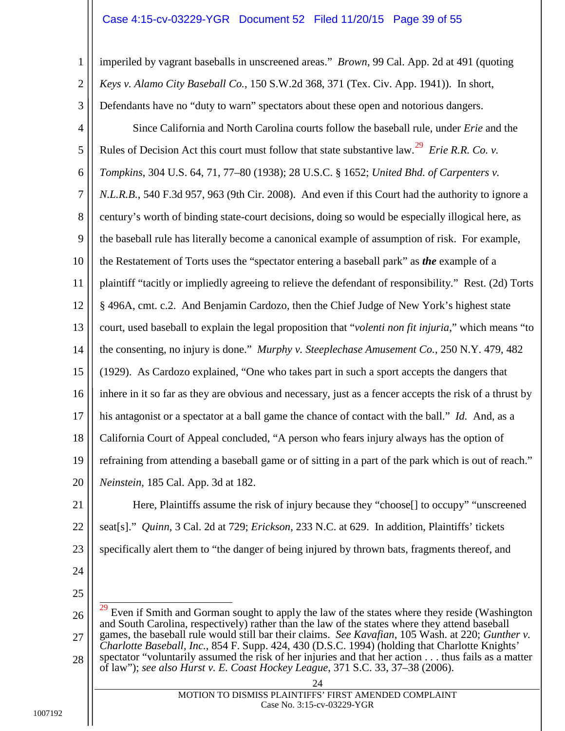#### <span id="page-38-12"></span><span id="page-38-11"></span><span id="page-38-3"></span><span id="page-38-2"></span><span id="page-38-0"></span>Case 4:15-cv-03229-YGR Document 52 Filed 11/20/15 Page 39 of 55

<span id="page-38-7"></span>1 2 3 4 5 6 7 8 9 10 11 12 13 14 15 16 17 18 19 20 imperiled by vagrant baseballs in unscreened areas." *Brown*, 99 Cal. App. 2d at 491 (quoting *Keys v. Alamo City Baseball Co.*, 150 S.W.2d 368, 371 (Tex. Civ. App. 1941)). In short, Defendants have no "duty to warn" spectators about these open and notorious dangers. Since California and North Carolina courts follow the baseball rule, under *Erie* and the Rules of Decision Act this court must follow that state substantive law.[29](#page-38-13) *Erie R.R. Co. v. Tompkins*, 304 U.S. 64, 71, 77–80 (1938); 28 U.S.C. § 1652; *United Bhd. of Carpenters v. N.L.R.B.*, 540 F.3d 957, 963 (9th Cir. 2008).And even if this Court had the authority to ignore a century's worth of binding state-court decisions, doing so would be especially illogical here, as the baseball rule has literally become a canonical example of assumption of risk. For example, the Restatement of Torts uses the "spectator entering a baseball park" as *the* example of a plaintiff "tacitly or impliedly agreeing to relieve the defendant of responsibility." Rest. (2d) Torts § 496A, cmt. c.2. And Benjamin Cardozo, then the Chief Judge of New York's highest state court, used baseball to explain the legal proposition that "*volenti non fit injuria*," which means "to the consenting, no injury is done." *Murphy v. Steeplechase Amusement Co.*, 250 N.Y. 479, 482 (1929). As Cardozo explained, "One who takes part in such a sport accepts the dangers that inhere in it so far as they are obvious and necessary, just as a fencer accepts the risk of a thrust by his antagonist or a spectator at a ball game the chance of contact with the ball." *Id.* And, as a California Court of Appeal concluded, "A person who fears injury always has the option of refraining from attending a baseball game or of sitting in a part of the park which is out of reach." *Neinstein*, 185 Cal. App. 3d at 182.

<span id="page-38-9"></span><span id="page-38-8"></span>21

<span id="page-38-10"></span><span id="page-38-4"></span>22 23 Here, Plaintiffs assume the risk of injury because they "choose[] to occupy" "unscreened seat[s]." *Quinn*, 3 Cal. 2d at 729; *Erickson*, 233 N.C. at 629. In addition, Plaintiffs' tickets specifically alert them to "the danger of being injured by thrown bats, fragments thereof, and

- 24
- 25

<span id="page-38-13"></span><span id="page-38-6"></span><span id="page-38-5"></span><span id="page-38-1"></span>26 27 28 Even if Smith and Gorman sought to apply the law of the states where they reside (Washington and South Carolina, respectively) rather than the law of the states where they attend baseball games, the baseball rule would still bar their claims. *See Kavafian*, 105 Wash. at 220; *Gunther v. Charlotte Baseball, Inc.*, 854 F. Supp. 424, 430 (D.S.C. 1994) (holding that Charlotte Knights' spectator "voluntarily assumed the risk of her injuries and that her action . . . thus fails as a matter of law"); *see also Hurst v. E. Coast Hockey League*, 371 S.C. 33, 37–38 (2006).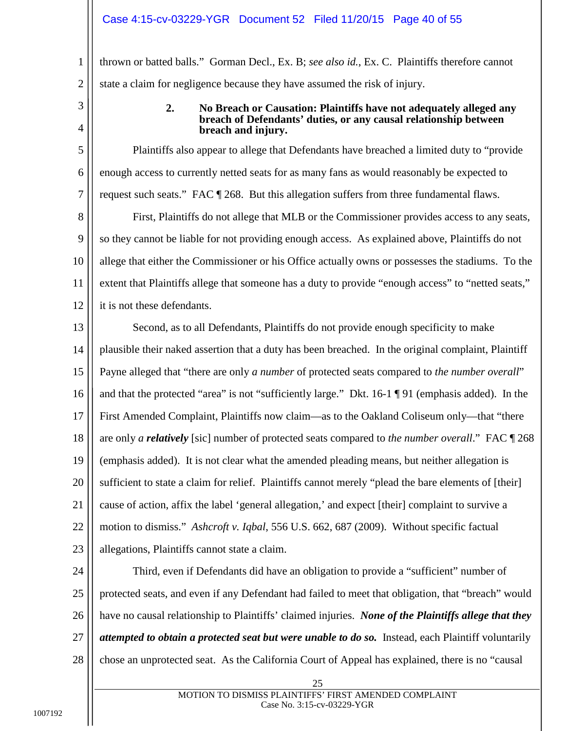thrown or batted balls." Gorman Decl., Ex. B; *see also id.*, Ex. C. Plaintiffs therefore cannot state a claim for negligence because they have assumed the risk of injury.

<span id="page-39-0"></span>3

4

5

6

7

1

2

#### **2. No Breach or Causation: Plaintiffs have not adequately alleged any breach of Defendants' duties, or any causal relationship between breach and injury.**

Plaintiffs also appear to allege that Defendants have breached a limited duty to "provide enough access to currently netted seats for as many fans as would reasonably be expected to request such seats." FAC ¶ 268. But this allegation suffers from three fundamental flaws.

8 9 10 11 12 First, Plaintiffs do not allege that MLB or the Commissioner provides access to any seats, so they cannot be liable for not providing enough access. As explained above, Plaintiffs do not allege that either the Commissioner or his Office actually owns or possesses the stadiums. To the extent that Plaintiffs allege that someone has a duty to provide "enough access" to "netted seats," it is not these defendants.

13 14 15 16 17 18 19 20 21 22 23 Second, as to all Defendants, Plaintiffs do not provide enough specificity to make plausible their naked assertion that a duty has been breached. In the original complaint, Plaintiff Payne alleged that "there are only *a number* of protected seats compared to *the number overall*" and that the protected "area" is not "sufficiently large." Dkt. 16-1 ¶ 91 (emphasis added). In the First Amended Complaint, Plaintiffs now claim—as to the Oakland Coliseum only—that "there are only *a relatively* [sic] number of protected seats compared to *the number overall*." FAC ¶ 268 (emphasis added). It is not clear what the amended pleading means, but neither allegation is sufficient to state a claim for relief.Plaintiffs cannot merely "plead the bare elements of [their] cause of action, affix the label 'general allegation,' and expect [their] complaint to survive a motion to dismiss." *Ashcroft v. Iqbal*, 556 U.S. 662, 687 (2009). Without specific factual allegations, Plaintiffs cannot state a claim.

<span id="page-39-1"></span>24

25 26 27 28 Third, even if Defendants did have an obligation to provide a "sufficient" number of protected seats, and even if any Defendant had failed to meet that obligation, that "breach" would have no causal relationship to Plaintiffs' claimed injuries. *None of the Plaintiffs allege that they attempted to obtain a protected seat but were unable to do so.* Instead, each Plaintiff voluntarily chose an unprotected seat. As the California Court of Appeal has explained, there is no "causal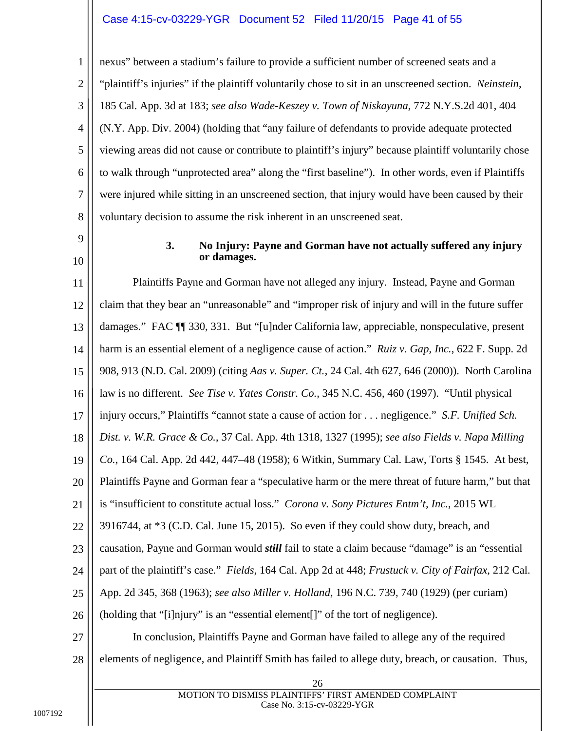3 4 5 6 7 8 nexus" between a stadium's failure to provide a sufficient number of screened seats and a "plaintiff's injuries" if the plaintiff voluntarily chose to sit in an unscreened section. *Neinstein*, 185 Cal. App. 3d at 183; *see also Wade-Keszey v. Town of Niskayuna*, 772 N.Y.S.2d 401, 404 (N.Y. App. Div. 2004) (holding that "any failure of defendants to provide adequate protected viewing areas did not cause or contribute to plaintiff's injury" because plaintiff voluntarily chose to walk through "unprotected area" along the "first baseline"). In other words, even if Plaintiffs were injured while sitting in an unscreened section, that injury would have been caused by their voluntary decision to assume the risk inherent in an unscreened seat.

<span id="page-40-0"></span>9 10

1

2

#### <span id="page-40-11"></span><span id="page-40-10"></span><span id="page-40-9"></span><span id="page-40-8"></span><span id="page-40-7"></span><span id="page-40-6"></span><span id="page-40-5"></span><span id="page-40-4"></span><span id="page-40-3"></span><span id="page-40-2"></span><span id="page-40-1"></span>**3. No Injury: Payne and Gorman have not actually suffered any injury or damages.**

11 12 13 14 15 16 17 18 19 20 21 22 23 24 25 26 27 28 26 Plaintiffs Payne and Gorman have not alleged any injury. Instead, Payne and Gorman claim that they bear an "unreasonable" and "improper risk of injury and will in the future suffer damages." FAC ¶¶ 330, 331. But "[u]nder California law, appreciable, nonspeculative, present harm is an essential element of a negligence cause of action." *Ruiz v. Gap, Inc.*, 622 F. Supp. 2d 908, 913 (N.D. Cal. 2009) (citing *Aas v. Super. Ct.*, 24 Cal. 4th 627, 646 (2000)). North Carolina law is no different. *See Tise v. Yates Constr. Co.,* 345 N.C. 456, 460 (1997). "Until physical injury occurs," Plaintiffs "cannot state a cause of action for . . . negligence." *S.F. Unified Sch. Dist. v. W.R. Grace & Co.*, 37 Cal. App. 4th 1318, 1327 (1995); *see also Fields v. Napa Milling Co.*, 164 Cal. App. 2d 442, 447–48 (1958); 6 Witkin, Summary Cal. Law, Torts § 1545. At best, Plaintiffs Payne and Gorman fear a "speculative harm or the mere threat of future harm," but that is "insufficient to constitute actual loss." *Corona v. Sony Pictures Entm't, Inc.*, 2015 WL 3916744, at \*3 (C.D. Cal. June 15, 2015). So even if they could show duty, breach, and causation, Payne and Gorman would *still* fail to state a claim because "damage" is an "essential part of the plaintiff's case." *Fields*, 164 Cal. App 2d at 448; *Frustuck v. City of Fairfax*, 212 Cal. App. 2d 345, 368 (1963); *see also Miller v. Holland*, 196 N.C. 739, 740 (1929) (per curiam) (holding that "[i]njury" is an "essential element[]" of the tort of negligence). In conclusion, Plaintiffs Payne and Gorman have failed to allege any of the required elements of negligence, and Plaintiff Smith has failed to allege duty, breach, or causation. Thus,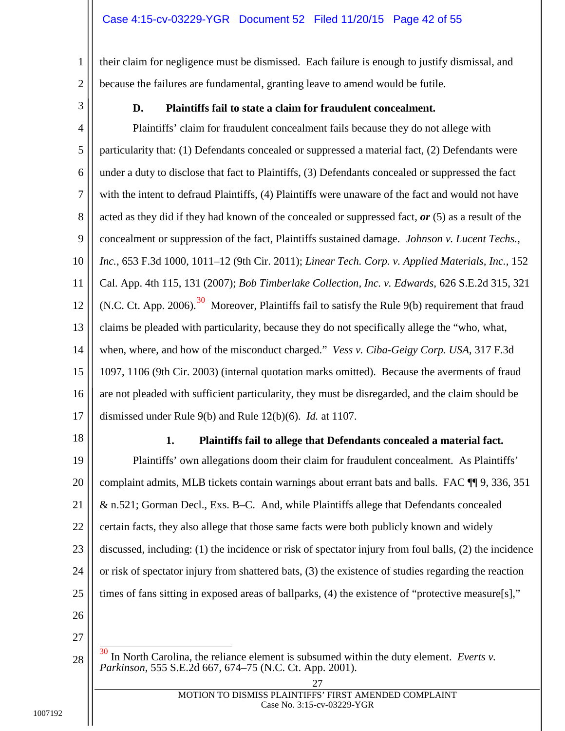their claim for negligence must be dismissed. Each failure is enough to justify dismissal, and because the failures are fundamental, granting leave to amend would be futile.

<span id="page-41-0"></span>3

1

2

### <span id="page-41-6"></span><span id="page-41-2"></span>**D. Plaintiffs fail to state a claim for fraudulent concealment.**

4 5 6 7 8 9 10 11 12 13 14 15 16 17 Plaintiffs' claim for fraudulent concealment fails because they do not allege with particularity that: (1) Defendants concealed or suppressed a material fact, (2) Defendants were under a duty to disclose that fact to Plaintiffs, (3) Defendants concealed or suppressed the fact with the intent to defraud Plaintiffs, (4) Plaintiffs were unaware of the fact and would not have acted as they did if they had known of the concealed or suppressed fact, *or* (5) as a result of the concealment or suppression of the fact, Plaintiffs sustained damage. *Johnson v. Lucent Techs., Inc.*, 653 F.3d 1000, 1011–12 (9th Cir. 2011); *Linear Tech. Corp. v. Applied Materials, Inc.,* 152 Cal. App. 4th 115, 131 (2007); *Bob Timberlake Collection, Inc. v. Edwards*, 626 S.E.2d 315, 321 (N.C. Ct. App. 2006).<sup>[30](#page-41-8)</sup> Moreover, Plaintiffs fail to satisfy the Rule 9(b) requirement that fraud claims be pleaded with particularity, because they do not specifically allege the "who, what, when, where, and how of the misconduct charged." *Vess v. Ciba-Geigy Corp. USA*, 317 F.3d 1097, 1106 (9th Cir. 2003) (internal quotation marks omitted). Because the averments of fraud are not pleaded with sufficient particularity, they must be disregarded, and the claim should be dismissed under Rule 9(b) and Rule 12(b)(6). *Id.* at 1107.

<span id="page-41-1"></span>18

#### <span id="page-41-7"></span><span id="page-41-5"></span><span id="page-41-4"></span><span id="page-41-3"></span>**1. Plaintiffs fail to allege that Defendants concealed a material fact.**

19 20 21 22 23 24 25 Plaintiffs' own allegations doom their claim for fraudulent concealment. As Plaintiffs' complaint admits, MLB tickets contain warnings about errant bats and balls. FAC ¶¶ 9, 336, 351 & n.521; Gorman Decl., Exs. B–C. And, while Plaintiffs allege that Defendants concealed certain facts, they also allege that those same facts were both publicly known and widely discussed, including: (1) the incidence or risk of spectator injury from foul balls, (2) the incidence or risk of spectator injury from shattered bats, (3) the existence of studies regarding the reaction times of fans sitting in exposed areas of ballparks, (4) the existence of "protective measure[s],"

- 26 27
- <span id="page-41-8"></span>28 In North Carolina, the reliance element is subsumed within the duty element. *Everts v. Parkinson*, 555 S.E.2d 667, 674–75 (N.C. Ct. App. 2001).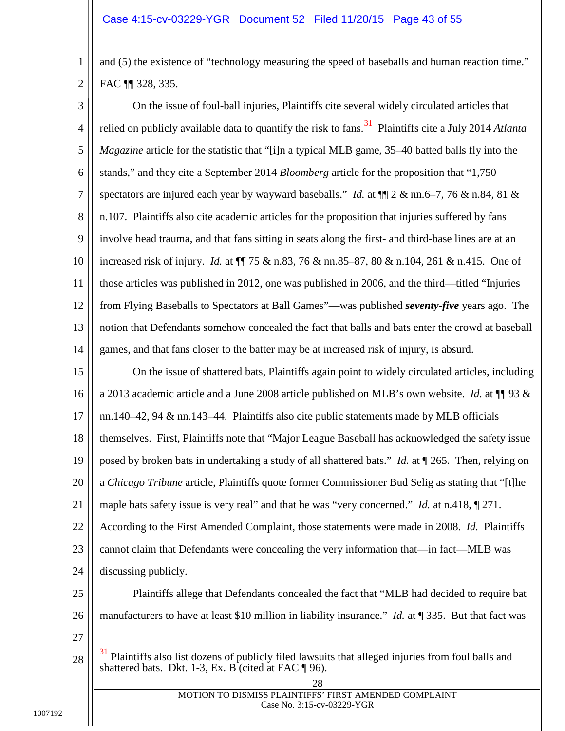2 and (5) the existence of "technology measuring the speed of baseballs and human reaction time." FAC ¶¶ 328, 335.

3 4 5 6 7 8 9 10 11 12 13 14 On the issue of foul-ball injuries, Plaintiffs cite several widely circulated articles that relied on publicly available data to quantify the risk to fans.<sup>31</sup> Plaintiffs cite a July 2014 *Atlanta Magazine* article for the statistic that "[i]n a typical MLB game, 35–40 batted balls fly into the stands," and they cite a September 2014 *Bloomberg* article for the proposition that "1,750 spectators are injured each year by wayward baseballs." *Id.* at  $\P$ [2 & nn.6–7, 76 & n.84, 81 & n.107. Plaintiffs also cite academic articles for the proposition that injuries suffered by fans involve head trauma, and that fans sitting in seats along the first- and third-base lines are at an increased risk of injury. *Id.* at ¶¶ 75 & n.83, 76 & nn.85–87, 80 & n.104, 261 & n.415. One of those articles was published in 2012, one was published in 2006, and the third—titled "Injuries from Flying Baseballs to Spectators at Ball Games"—was published *seventy-five* years ago. The notion that Defendants somehow concealed the fact that balls and bats enter the crowd at baseball games, and that fans closer to the batter may be at increased risk of injury, is absurd.

15 16 17 18 19 20 21 22 23 24 On the issue of shattered bats, Plaintiffs again point to widely circulated articles, including a 2013 academic article and a June 2008 article published on MLB's own website. *Id.* at  $\P$  93  $\&$ nn.140–42, 94 & nn.143–44. Plaintiffs also cite public statements made by MLB officials themselves. First, Plaintiffs note that "Major League Baseball has acknowledged the safety issue posed by broken bats in undertaking a study of all shattered bats." *Id.* at ¶ 265. Then, relying on a *Chicago Tribune* article, Plaintiffs quote former Commissioner Bud Selig as stating that "[t]he maple bats safety issue is very real" and that he was "very concerned." *Id.* at n.418, ¶ 271. According to the First Amended Complaint, those statements were made in 2008. *Id.* Plaintiffs cannot claim that Defendants were concealing the very information that—in fact—MLB was discussing publicly.

25 26 Plaintiffs allege that Defendants concealed the fact that "MLB had decided to require bat manufacturers to have at least \$10 million in liability insurance." *Id.* at ¶ 335. But that fact was

27

<span id="page-42-0"></span><sup>28</sup> 31 Plaintiffs also list dozens of publicly filed lawsuits that alleged injuries from foul balls and shattered bats. Dkt. 1-3, Ex. B (cited at FAC ¶ 96).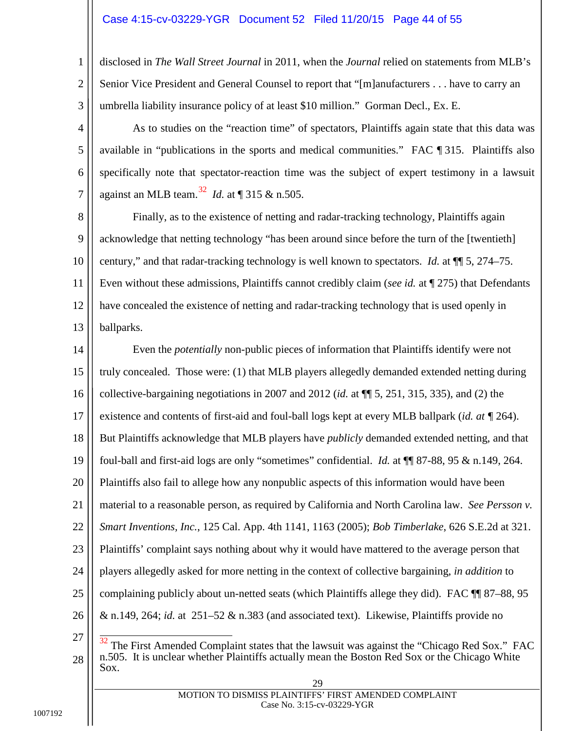#### Case 4:15-cv-03229-YGR Document 52 Filed 11/20/15 Page 44 of 55

disclosed in *The Wall Street Journal* in 2011, when the *Journal* relied on statements from MLB's Senior Vice President and General Counsel to report that "[m]anufacturers . . . have to carry an umbrella liability insurance policy of at least \$10 million." Gorman Decl., Ex. E.

As to studies on the "reaction time" of spectators, Plaintiffs again state that this data was available in "publications in the sports and medical communities." FAC ¶ 315. Plaintiffs also specifically note that spectator-reaction time was the subject of expert testimony in a lawsuit against an MLB team.[32](#page-43-2) *Id.* at ¶ 315 & n.505.

8 9 10 11 12 13 Finally, as to the existence of netting and radar-tracking technology, Plaintiffs again acknowledge that netting technology "has been around since before the turn of the [twentieth] century," and that radar-tracking technology is well known to spectators. *Id.* at ¶¶ 5, 274–75. Even without these admissions, Plaintiffs cannot credibly claim (*see id.* at ¶ 275) that Defendants have concealed the existence of netting and radar-tracking technology that is used openly in ballparks.

14 15 16 17 18 19 20 21 22 23 24 25 26 Even the *potentially* non-public pieces of information that Plaintiffs identify were not truly concealed. Those were: (1) that MLB players allegedly demanded extended netting during collective-bargaining negotiations in 2007 and 2012 (*id.* at ¶¶ 5, 251, 315, 335), and (2) the existence and contents of first-aid and foul-ball logs kept at every MLB ballpark (*id. at ¶* 264). But Plaintiffs acknowledge that MLB players have *publicly* demanded extended netting, and that foul-ball and first-aid logs are only "sometimes" confidential. *Id.* at ¶¶ 87-88, 95 & n.149, 264. Plaintiffs also fail to allege how any nonpublic aspects of this information would have been material to a reasonable person, as required by California and North Carolina law. *See Persson v. Smart Inventions, Inc.*, 125 Cal. App. 4th 1141, 1163 (2005); *Bob Timberlake*, 626 S.E.2d at 321. Plaintiffs' complaint says nothing about why it would have mattered to the average person that players allegedly asked for more netting in the context of collective bargaining, *in addition* to complaining publicly about un-netted seats (which Plaintiffs allege they did). FAC ¶¶ 87–88, 95 & n.149, 264; *id.* at 251–52 & n.383 (and associated text). Likewise, Plaintiffs provide no

1

2

3

4

5

6

<span id="page-43-2"></span><span id="page-43-1"></span><span id="page-43-0"></span><sup>27</sup> 28 The First Amended Complaint states that the lawsuit was against the "Chicago Red Sox." FAC n.505. It is unclear whether Plaintiffs actually mean the Boston Red Sox or the Chicago White Sox.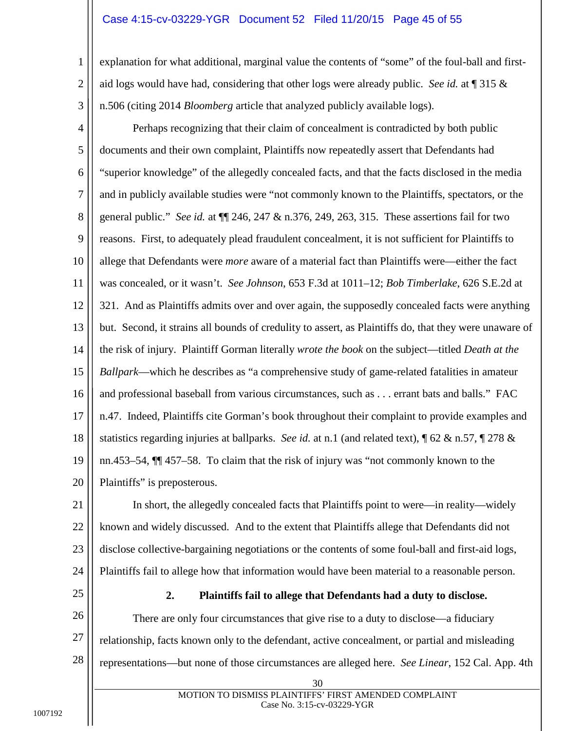#### Case 4:15-cv-03229-YGR Document 52 Filed 11/20/15 Page 45 of 55

explanation for what additional, marginal value the contents of "some" of the foul-ball and firstaid logs would have had, considering that other logs were already public. *See id.* at ¶ 315 & n.506 (citing 2014 *Bloomberg* article that analyzed publicly available logs).

<span id="page-44-2"></span><span id="page-44-1"></span>4 5 6 7 8 9 10 11 12 13 14 15 16 17 18 19 20 Perhaps recognizing that their claim of concealment is contradicted by both public documents and their own complaint, Plaintiffs now repeatedly assert that Defendants had "superior knowledge" of the allegedly concealed facts, and that the facts disclosed in the media and in publicly available studies were "not commonly known to the Plaintiffs, spectators, or the general public." *See id.* at ¶¶ 246, 247 & n.376, 249, 263, 315. These assertions fail for two reasons. First, to adequately plead fraudulent concealment, it is not sufficient for Plaintiffs to allege that Defendants were *more* aware of a material fact than Plaintiffs were—either the fact was concealed, or it wasn't. *See Johnson*, 653 F.3d at 1011–12; *Bob Timberlake*, 626 S.E.2d at 321. And as Plaintiffs admits over and over again, the supposedly concealed facts were anything but. Second, it strains all bounds of credulity to assert, as Plaintiffs do, that they were unaware of the risk of injury. Plaintiff Gorman literally *wrote the book* on the subject—titled *Death at the Ballpark*—which he describes as "a comprehensive study of game-related fatalities in amateur and professional baseball from various circumstances, such as . . . errant bats and balls." FAC n.47. Indeed, Plaintiffs cite Gorman's book throughout their complaint to provide examples and statistics regarding injuries at ballparks. *See id.* at n.1 (and related text), ¶ 62 & n.57, ¶ 278 & nn.453–54, ¶¶ 457–58. To claim that the risk of injury was "not commonly known to the Plaintiffs" is preposterous.

21 22 23 24 In short, the allegedly concealed facts that Plaintiffs point to were—in reality—widely known and widely discussed. And to the extent that Plaintiffs allege that Defendants did not disclose collective-bargaining negotiations or the contents of some foul-ball and first-aid logs, Plaintiffs fail to allege how that information would have been material to a reasonable person.

<span id="page-44-0"></span>25

1

2

3

#### <span id="page-44-3"></span>**2. Plaintiffs fail to allege that Defendants had a duty to disclose.**

26 27 28 There are only four circumstances that give rise to a duty to disclose—a fiduciary relationship, facts known only to the defendant, active concealment, or partial and misleading representations—but none of those circumstances are alleged here. *See Linear*, 152 Cal. App. 4th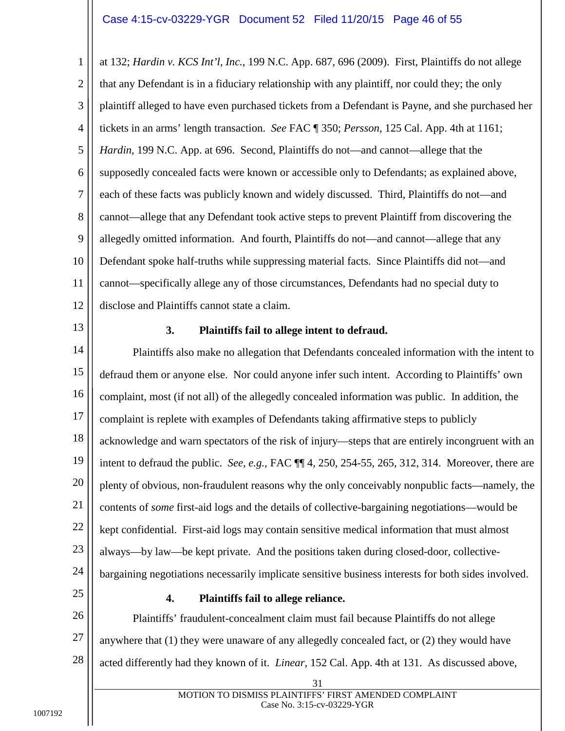<span id="page-45-2"></span>1 2 3 4 5 6 7 8 9 10 11 12 at 132; *Hardin v. KCS Int'l, Inc.*, 199 N.C. App. 687, 696 (2009). First, Plaintiffs do not allege that any Defendant is in a fiduciary relationship with any plaintiff, nor could they; the only plaintiff alleged to have even purchased tickets from a Defendant is Payne, and she purchased her tickets in an arms' length transaction. *See* FAC ¶ 350; *Persson*, 125 Cal. App. 4th at 1161; *Hardin*, 199 N.C. App. at 696. Second, Plaintiffs do not—and cannot—allege that the supposedly concealed facts were known or accessible only to Defendants; as explained above, each of these facts was publicly known and widely discussed. Third, Plaintiffs do not—and cannot—allege that any Defendant took active steps to prevent Plaintiff from discovering the allegedly omitted information. And fourth, Plaintiffs do not—and cannot—allege that any Defendant spoke half-truths while suppressing material facts. Since Plaintiffs did not—and cannot—specifically allege any of those circumstances, Defendants had no special duty to disclose and Plaintiffs cannot state a claim.

<span id="page-45-0"></span>13

#### <span id="page-45-4"></span>**3. Plaintiffs fail to allege intent to defraud.**

14 15 16 17 18 19 20 21 22 23 24 Plaintiffs also make no allegation that Defendants concealed information with the intent to defraud them or anyone else. Nor could anyone infer such intent. According to Plaintiffs' own complaint, most (if not all) of the allegedly concealed information was public. In addition, the complaint is replete with examples of Defendants taking affirmative steps to publicly acknowledge and warn spectators of the risk of injury—steps that are entirely incongruent with an intent to defraud the public. *See, e.g.*, FAC ¶¶ 4, 250, 254-55, 265, 312, 314. Moreover, there are plenty of obvious, non-fraudulent reasons why the only conceivably nonpublic facts—namely, the contents of *some* first-aid logs and the details of collective-bargaining negotiations—would be kept confidential. First-aid logs may contain sensitive medical information that must almost always—by law—be kept private. And the positions taken during closed-door, collectivebargaining negotiations necessarily implicate sensitive business interests for both sides involved.

<span id="page-45-1"></span>25

#### <span id="page-45-3"></span>**4. Plaintiffs fail to allege reliance.**

26 27 28 Plaintiffs' fraudulent-concealment claim must fail because Plaintiffs do not allege anywhere that (1) they were unaware of any allegedly concealed fact, or (2) they would have acted differently had they known of it. *Linear*, 152 Cal. App. 4th at 131. As discussed above,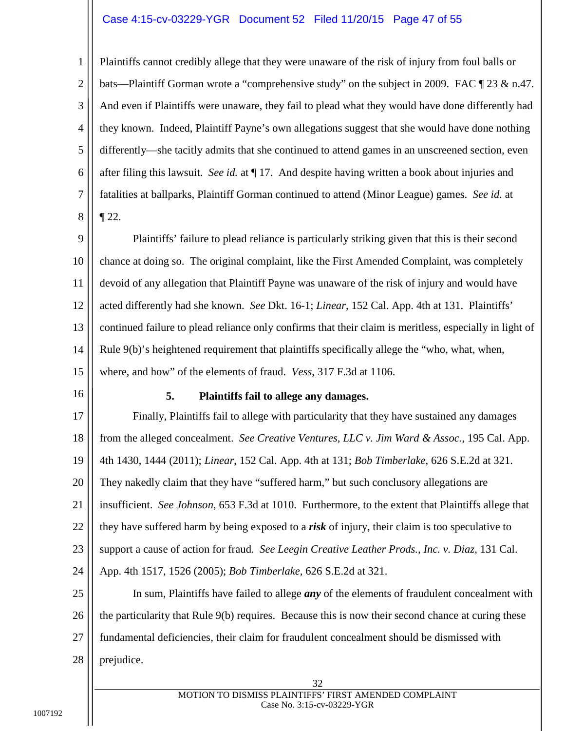#### Case 4:15-cv-03229-YGR Document 52 Filed 11/20/15 Page 47 of 55

2 3 4 5 6 7 8 Plaintiffs cannot credibly allege that they were unaware of the risk of injury from foul balls or bats—Plaintiff Gorman wrote a "comprehensive study" on the subject in 2009. FAC ¶ 23 & n.47. And even if Plaintiffs were unaware, they fail to plead what they would have done differently had they known. Indeed, Plaintiff Payne's own allegations suggest that she would have done nothing differently—she tacitly admits that she continued to attend games in an unscreened section, even after filing this lawsuit. *See id.* at ¶ 17. And despite having written a book about injuries and fatalities at ballparks, Plaintiff Gorman continued to attend (Minor League) games. *See id.* at  $\P$  22.

9 10 11 12 13 14 15 Plaintiffs' failure to plead reliance is particularly striking given that this is their second chance at doing so. The original complaint, like the First Amended Complaint, was completely devoid of any allegation that Plaintiff Payne was unaware of the risk of injury and would have acted differently had she known. *See* Dkt. 16-1; *Linear*, 152 Cal. App. 4th at 131. Plaintiffs' continued failure to plead reliance only confirms that their claim is meritless, especially in light of Rule 9(b)'s heightened requirement that plaintiffs specifically allege the "who, what, when, where, and how" of the elements of fraud. *Vess*, 317 F.3d at 1106.

<span id="page-46-0"></span>16

1

#### <span id="page-46-6"></span><span id="page-46-5"></span><span id="page-46-4"></span><span id="page-46-3"></span><span id="page-46-2"></span><span id="page-46-1"></span>**5. Plaintiffs fail to allege any damages.**

17 18 19 20 21 22 23 24 25 26 Finally, Plaintiffs fail to allege with particularity that they have sustained any damages from the alleged concealment. *See Creative Ventures, LLC v. Jim Ward & Assoc.*, 195 Cal. App. 4th 1430, 1444 (2011); *Linear*, 152 Cal. App. 4th at 131; *Bob Timberlake*, 626 S.E.2d at 321. They nakedly claim that they have "suffered harm," but such conclusory allegations are insufficient. *See Johnson*, 653 F.3d at 1010. Furthermore, to the extent that Plaintiffs allege that they have suffered harm by being exposed to a *risk* of injury, their claim is too speculative to support a cause of action for fraud. *See Leegin Creative Leather Prods., Inc. v. Diaz*, 131 Cal. App. 4th 1517, 1526 (2005); *Bob Timberlake*, 626 S.E.2d at 321. In sum, Plaintiffs have failed to allege *any* of the elements of fraudulent concealment with the particularity that Rule 9(b) requires. Because this is now their second chance at curing these

27 fundamental deficiencies, their claim for fraudulent concealment should be dismissed with

28 prejudice.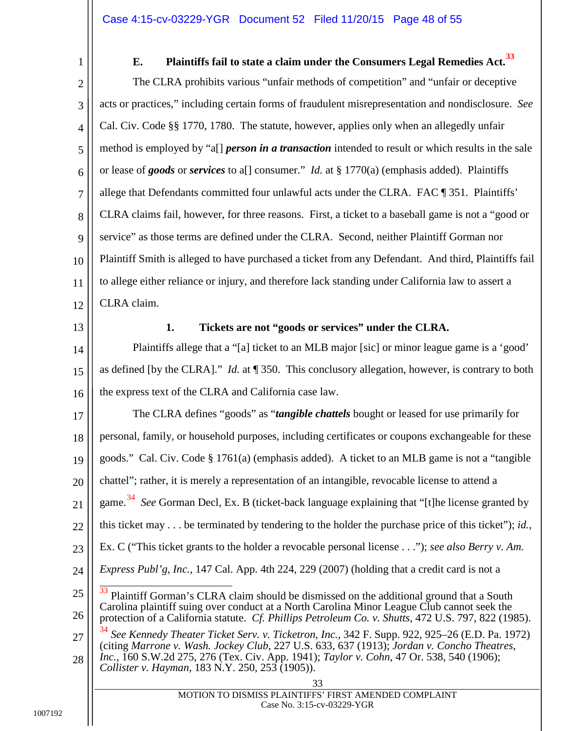## <span id="page-47-11"></span>**E. Plaintiffs fail to state a claim under the Consumers Legal Remedies Act.[33](#page-47-12)**

<span id="page-47-10"></span><span id="page-47-0"></span>2 3 4 5 6 7 8 9 10 11 12 The CLRA prohibits various "unfair methods of competition" and "unfair or deceptive acts or practices," including certain forms of fraudulent misrepresentation and nondisclosure. *See* Cal. Civ. Code §§ 1770, 1780. The statute, however, applies only when an allegedly unfair method is employed by "a[] *person in a transaction* intended to result or which results in the sale or lease of *goods* or *services* to a[] consumer." *Id.* at § 1770(a) (emphasis added). Plaintiffs allege that Defendants committed four unlawful acts under the CLRA. FAC ¶ 351. Plaintiffs' CLRA claims fail, however, for three reasons. First, a ticket to a baseball game is not a "good or service" as those terms are defined under the CLRA. Second, neither Plaintiff Gorman nor Plaintiff Smith is alleged to have purchased a ticket from any Defendant. And third, Plaintiffs fail to allege either reliance or injury, and therefore lack standing under California law to assert a CLRA claim.

<span id="page-47-1"></span>13

#### <span id="page-47-5"></span>**1. Tickets are not "goods or services" under the CLRA.**

14 15 16 Plaintiffs allege that a "[a] ticket to an MLB major [sic] or minor league game is a 'good' as defined [by the CLRA]." *Id.* at ¶ 350. This conclusory allegation, however, is contrary to both the express text of the CLRA and California case law.

17 18 The CLRA defines "goods" as "*tangible chattels* bought or leased for use primarily for personal, family, or household purposes, including certificates or coupons exchangeable for these

<span id="page-47-9"></span>19 goods." Cal. Civ. Code § 1761(a) (emphasis added). A ticket to an MLB game is not a "tangible

20 chattel"; rather, it is merely a representation of an intangible, revocable license to attend a

21 game. [34](#page-47-13) *See* Gorman Decl, Ex. B (ticket-back language explaining that "[t]he license granted by

- 22 this ticket may . . . be terminated by tendering to the holder the purchase price of this ticket"); *id.*,
- 23 Ex. C ("This ticket grants to the holder a revocable personal license . . ."); *see also Berry v. Am.*
- 24 *Express Publ'g, Inc.*, 147 Cal. App. 4th 224, 229 (2007) (holding that a credit card is not a
- <span id="page-47-12"></span><span id="page-47-4"></span>25 26 27 <sup>33</sup> Plaintiff Gorman's CLRA claim should be dismissed on the additional ground that a South Carolina plaintiff suing over conduct at a North Carolina Minor League Club cannot seek the protection of a California statute. *Cf. Phillips Petroleum Co. v. Shutts*, 472 U.S. 797, 822 (1985). <sup>34</sup> *See Kennedy Theater Ticket Serv. v. Ticketron, Inc.*, 342 F. Supp. 922, 925–26 (E.D. Pa. 1972)
- <span id="page-47-13"></span><span id="page-47-8"></span><span id="page-47-7"></span><span id="page-47-6"></span><span id="page-47-3"></span><span id="page-47-2"></span>28 (citing *Marrone v. Wash. Jockey Club*, 227 U.S. 633, 637 (1913); *Jordan v. Concho Theatres, Inc.*, 160 S.W.2d 275, 276 (Tex. Civ. App. 1941); *Taylor v. Cohn*, 47 Or. 538, 540 (1906);
	- *Collister v. Hayman*, 183 N.Y. 250, 253 (1905)).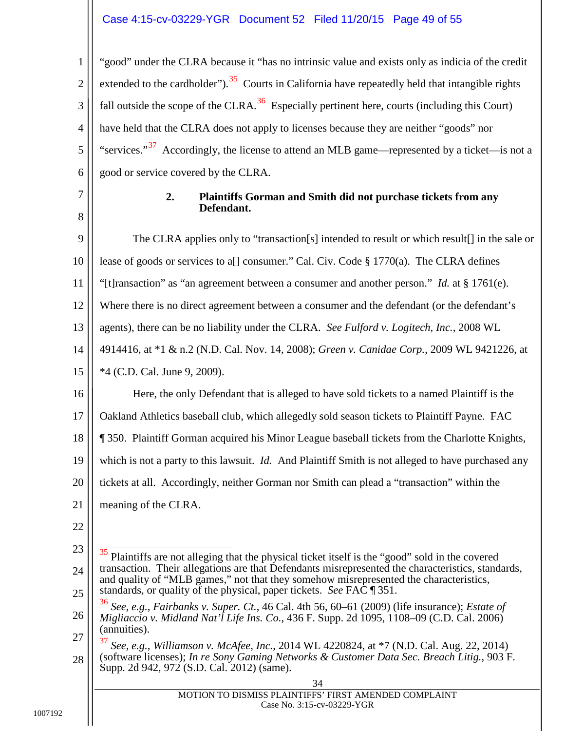#### Case 4:15-cv-03229-YGR Document 52 Filed 11/20/15 Page 49 of 55

1 2 3 4 5 6 "good" under the CLRA because it "has no intrinsic value and exists only as indicia of the credit extended to the cardholder").  $35$  Courts in California have repeatedly held that intangible rights fall outside the scope of the CLRA.<sup>36</sup> Especially pertinent here, courts (including this Court) have held that the CLRA does not apply to licenses because they are neither "goods" nor "services."<sup>37</sup> Accordingly, the license to attend an MLB game—represented by a ticket—is not a good or service covered by the CLRA.

<span id="page-48-0"></span>7

8

#### <span id="page-48-7"></span><span id="page-48-3"></span><span id="page-48-2"></span><span id="page-48-1"></span>**2. Plaintiffs Gorman and Smith did not purchase tickets from any Defendant.**

<span id="page-48-10"></span><span id="page-48-9"></span><span id="page-48-8"></span><span id="page-48-6"></span><span id="page-48-5"></span><span id="page-48-4"></span>9 10 11 12 13 14 15 16 17 18 19 20 21 22 23 24 25 26 27 28 34 MOTION TO DISMISS PLAINTIFFS' FIRST AMENDED COMPLAINT Case No. 3:15-cv-03229-YGR The CLRA applies only to "transaction[s] intended to result or which result[] in the sale or lease of goods or services to a<sup>[]</sup> consumer." Cal. Civ. Code  $\S 1770(a)$ . The CLRA defines "[t]ransaction" as "an agreement between a consumer and another person." *Id.* at § 1761(e). Where there is no direct agreement between a consumer and the defendant (or the defendant's agents), there can be no liability under the CLRA. *See Fulford v. Logitech, Inc.*, 2008 WL 4914416, at \*1 & n.2 (N.D. Cal. Nov. 14, 2008); *Green v. Canidae Corp.*, 2009 WL 9421226, at \*4 (C.D. Cal. June 9, 2009). Here, the only Defendant that is alleged to have sold tickets to a named Plaintiff is the Oakland Athletics baseball club, which allegedly sold season tickets to Plaintiff Payne. FAC ¶ 350. Plaintiff Gorman acquired his Minor League baseball tickets from the Charlotte Knights, which is not a party to this lawsuit. *Id.* And Plaintiff Smith is not alleged to have purchased any tickets at all. Accordingly, neither Gorman nor Smith can plead a "transaction" within the meaning of the CLRA. 35 Plaintiffs are not alleging that the physical ticket itself is the "good" sold in the covered transaction. Their allegations are that Defendants misrepresented the characteristics, standards, and quality of "MLB games," not that they somehow misrepresented the characteristics, standards, or quality of the physical, paper tickets. *See* FAC ¶ 351. <sup>36</sup> *See, e.g.*, *Fairbanks v. Super. Ct.*, 46 Cal. 4th 56, 60–61 (2009) (life insurance); *Estate of Migliaccio v. Midland Nat'l Life Ins. Co.*, 436 F. Supp. 2d 1095, 1108–09 (C.D. Cal. 2006) (annuities). <sup>37</sup> *See, e.g.*, *Williamson v. McAfee, Inc.*, 2014 WL 4220824, at \*7 (N.D. Cal. Aug. 22, 2014) (software licenses); *In re Sony Gaming Networks & Customer Data Sec. Breach Litig.*, 903 F. Supp. 2d 942, 972 (S.D. Cal. 2012) (same).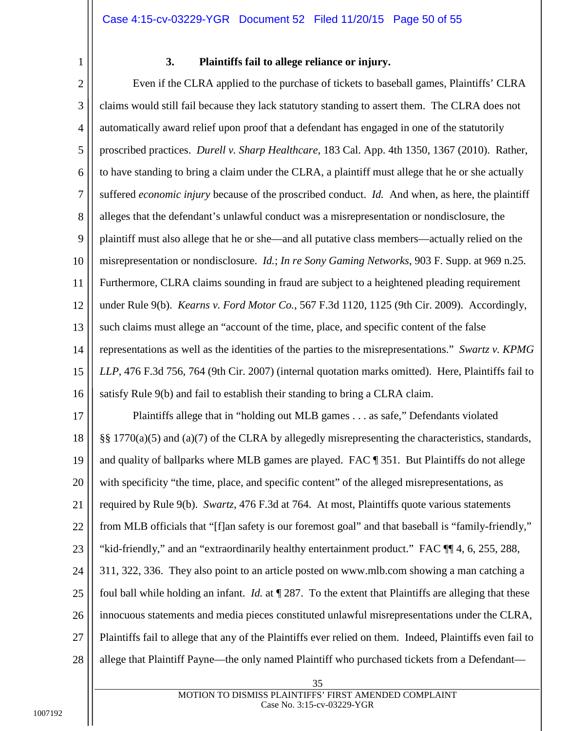#### <span id="page-49-4"></span><span id="page-49-1"></span>**3. Plaintiffs fail to allege reliance or injury.**

<span id="page-49-0"></span>2 3 4 5 6 7 8 9 10 11 12 13 14 15 16 Even if the CLRA applied to the purchase of tickets to baseball games, Plaintiffs' CLRA claims would still fail because they lack statutory standing to assert them. The CLRA does not automatically award relief upon proof that a defendant has engaged in one of the statutorily proscribed practices. *Durell v. Sharp Healthcare*, 183 Cal. App. 4th 1350, 1367 (2010). Rather, to have standing to bring a claim under the CLRA, a plaintiff must allege that he or she actually suffered *economic injury* because of the proscribed conduct. *Id.* And when, as here, the plaintiff alleges that the defendant's unlawful conduct was a misrepresentation or nondisclosure, the plaintiff must also allege that he or she—and all putative class members—actually relied on the misrepresentation or nondisclosure. *Id.*; *In re Sony Gaming Networks*, 903 F. Supp. at 969 n.25*.* Furthermore, CLRA claims sounding in fraud are subject to a heightened pleading requirement under Rule 9(b). *Kearns v. Ford Motor Co.*, 567 F.3d 1120, 1125 (9th Cir. 2009). Accordingly, such claims must allege an "account of the time, place, and specific content of the false representations as well as the identities of the parties to the misrepresentations." *Swartz v. KPMG LLP*, 476 F.3d 756, 764 (9th Cir. 2007) (internal quotation marks omitted). Here, Plaintiffs fail to satisfy Rule 9(b) and fail to establish their standing to bring a CLRA claim.

<span id="page-49-3"></span><span id="page-49-2"></span>17 18 19 20 21 22 23 24 25 26 27 28 Plaintiffs allege that in "holding out MLB games . . . as safe," Defendants violated §§ 1770(a)(5) and (a)(7) of the CLRA by allegedly misrepresenting the characteristics, standards, and quality of ballparks where MLB games are played. FAC ¶ 351. But Plaintiffs do not allege with specificity "the time, place, and specific content" of the alleged misrepresentations, as required by Rule 9(b). *Swartz*, 476 F.3d at 764. At most, Plaintiffs quote various statements from MLB officials that "[f]an safety is our foremost goal" and that baseball is "family-friendly," "kid-friendly," and an "extraordinarily healthy entertainment product." FAC ¶¶ 4, 6, 255, 288, 311, 322, 336. They also point to an article posted on www.mlb.com showing a man catching a foul ball while holding an infant. *Id.* at ¶ 287. To the extent that Plaintiffs are alleging that these innocuous statements and media pieces constituted unlawful misrepresentations under the CLRA, Plaintiffs fail to allege that any of the Plaintiffs ever relied on them. Indeed, Plaintiffs even fail to allege that Plaintiff Payne—the only named Plaintiff who purchased tickets from a Defendant—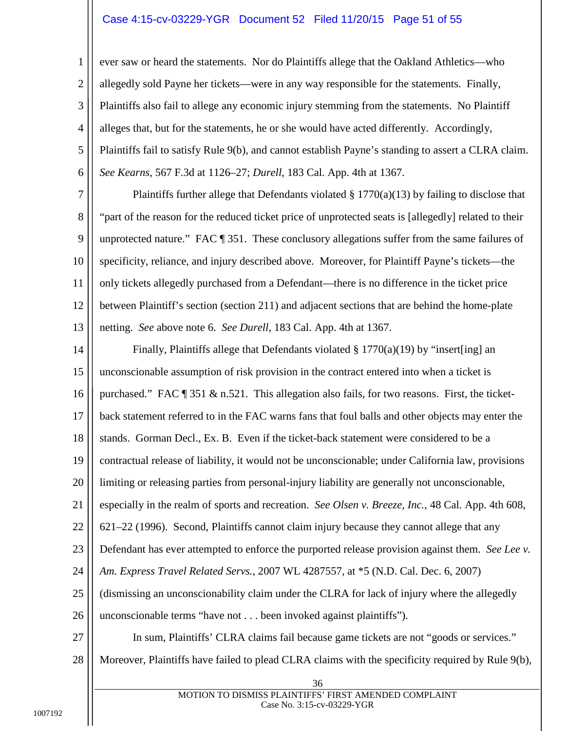#### Case 4:15-cv-03229-YGR Document 52 Filed 11/20/15 Page 51 of 55

3 4 5 6 ever saw or heard the statements. Nor do Plaintiffs allege that the Oakland Athletics—who allegedly sold Payne her tickets—were in any way responsible for the statements. Finally, Plaintiffs also fail to allege any economic injury stemming from the statements. No Plaintiff alleges that, but for the statements, he or she would have acted differently. Accordingly, Plaintiffs fail to satisfy Rule 9(b), and cannot establish Payne's standing to assert a CLRA claim. *See Kearns*, 567 F.3d at 1126–27; *Durell*, 183 Cal. App. 4th at 1367.

<span id="page-50-2"></span><span id="page-50-0"></span>7 8 9 10 11 12 13 Plaintiffs further allege that Defendants violated  $\S 1770(a)(13)$  by failing to disclose that "part of the reason for the reduced ticket price of unprotected seats is [allegedly] related to their unprotected nature." FAC ¶ 351. These conclusory allegations suffer from the same failures of specificity, reliance, and injury described above. Moreover, for Plaintiff Payne's tickets—the only tickets allegedly purchased from a Defendant—there is no difference in the ticket price between Plaintiff's section (section 211) and adjacent sections that are behind the home-plate netting. *See* above note 6. *See Durell*, 183 Cal. App. 4th at 1367.

<span id="page-50-3"></span><span id="page-50-1"></span>14 15 16 17 18 19 20 21 22 23 24 25 26 27 28 Finally, Plaintiffs allege that Defendants violated § 1770(a)(19) by "insert[ing] an unconscionable assumption of risk provision in the contract entered into when a ticket is purchased." FAC  $\parallel$  351 & n.521. This allegation also fails, for two reasons. First, the ticketback statement referred to in the FAC warns fans that foul balls and other objects may enter the stands. Gorman Decl., Ex. B. Even if the ticket-back statement were considered to be a contractual release of liability, it would not be unconscionable; under California law, provisions limiting or releasing parties from personal-injury liability are generally not unconscionable, especially in the realm of sports and recreation. *See Olsen v. Breeze, Inc.*, 48 Cal. App. 4th 608, 621–22 (1996). Second, Plaintiffs cannot claim injury because they cannot allege that any Defendant has ever attempted to enforce the purported release provision against them. *See Lee v. Am. Express Travel Related Servs.*, 2007 WL 4287557, at \*5 (N.D. Cal. Dec. 6, 2007) (dismissing an unconscionability claim under the CLRA for lack of injury where the allegedly unconscionable terms "have not . . . been invoked against plaintiffs"). In sum, Plaintiffs' CLRA claims fail because game tickets are not "goods or services." Moreover, Plaintiffs have failed to plead CLRA claims with the specificity required by Rule 9(b),

1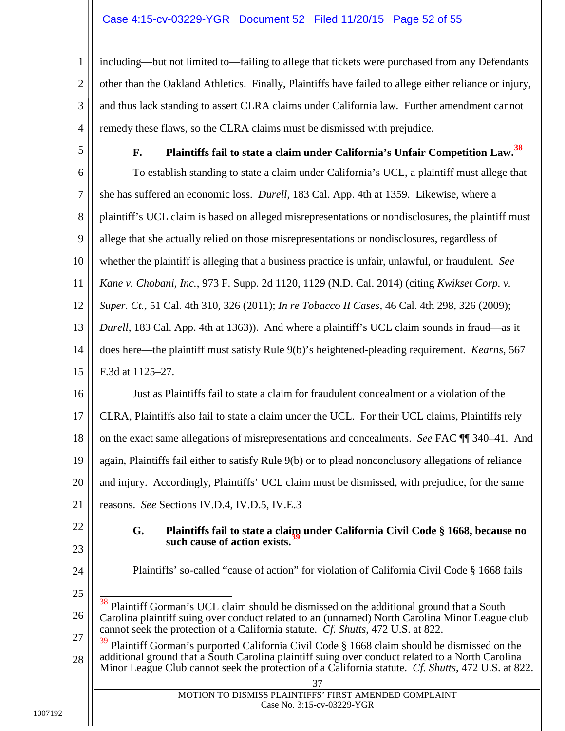#### Case 4:15-cv-03229-YGR Document 52 Filed 11/20/15 Page 52 of 55

3 4 including—but not limited to—failing to allege that tickets were purchased from any Defendants other than the Oakland Athletics. Finally, Plaintiffs have failed to allege either reliance or injury, and thus lack standing to assert CLRA claims under California law. Further amendment cannot remedy these flaws, so the CLRA claims must be dismissed with prejudice.

<span id="page-51-0"></span>5

1

2

# <span id="page-51-7"></span><span id="page-51-6"></span><span id="page-51-5"></span>**F. Plaintiffs fail to state a claim under California's Unfair Competition Law.[38](#page-51-8)**

<span id="page-51-2"></span>6 7 8 9 10 11 12 13 14 15 16 17 18 19 20 To establish standing to state a claim under California's UCL, a plaintiff must allege that she has suffered an economic loss. *Durell*, 183 Cal. App. 4th at 1359. Likewise, where a plaintiff's UCL claim is based on alleged misrepresentations or nondisclosures, the plaintiff must allege that she actually relied on those misrepresentations or nondisclosures, regardless of whether the plaintiff is alleging that a business practice is unfair, unlawful, or fraudulent. *See Kane v. Chobani, Inc.*, 973 F. Supp. 2d 1120, 1129 (N.D. Cal. 2014) (citing *Kwikset Corp. v. Super. Ct.*, 51 Cal. 4th 310, 326 (2011); *In re Tobacco II Cases*, 46 Cal. 4th 298, 326 (2009); *Durell*, 183 Cal. App. 4th at 1363)). And where a plaintiff's UCL claim sounds in fraud—as it does here—the plaintiff must satisfy Rule 9(b)'s heightened-pleading requirement. *Kearns*, 567 F.3d at 1125–27. Just as Plaintiffs fail to state a claim for fraudulent concealment or a violation of the CLRA, Plaintiffs also fail to state a claim under the UCL. For their UCL claims, Plaintiffs rely on the exact same allegations of misrepresentations and concealments. *See* FAC ¶¶ 340–41. And again, Plaintiffs fail either to satisfy Rule 9(b) or to plead nonconclusory allegations of reliance and injury. Accordingly, Plaintiffs' UCL claim must be dismissed, with prejudice, for the same

21 reasons. *See* Sections IV.D.4, IV.D.5, IV.E.3

- <span id="page-51-1"></span>22
- 23
- <span id="page-51-3"></span>**G. Plaintiffs fail to state a claim under California Civil Code § 1668, because no**  such cause of action exists.<sup>3</sup>
- 24

- <span id="page-51-4"></span>Plaintiffs' so-called "cause of action" for violation of California Civil Code § 1668 fails
- <span id="page-51-8"></span>26 38 Plaintiff Gorman's UCL claim should be dismissed on the additional ground that a South Carolina plaintiff suing over conduct related to an (unnamed) North Carolina Minor League club cannot seek the protection of a California statute. *Cf. Shutts*, 472 U.S. at 822.
- <span id="page-51-9"></span>27 28 Plaintiff Gorman's purported California Civil Code § 1668 claim should be dismissed on the additional ground that a South Carolina plaintiff suing over conduct related to a North Carolina Minor League Club cannot seek the protection of a California statute. *Cf. Shutts*, 472 U.S. at 822.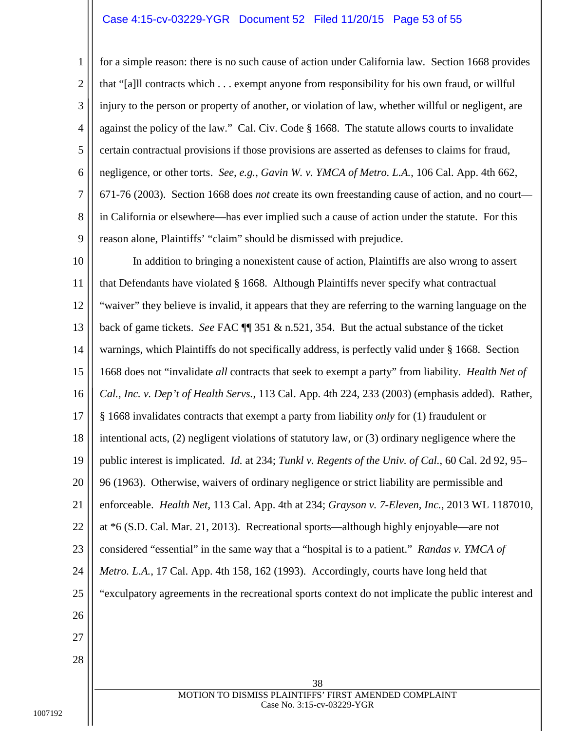#### Case 4:15-cv-03229-YGR Document 52 Filed 11/20/15 Page 53 of 55

<span id="page-52-1"></span>2 3 4 5 6 7 8 9 for a simple reason: there is no such cause of action under California law. Section 1668 provides that "[a]ll contracts which . . . exempt anyone from responsibility for his own fraud, or willful injury to the person or property of another, or violation of law, whether willful or negligent, are against the policy of the law." Cal. Civ. Code § 1668. The statute allows courts to invalidate certain contractual provisions if those provisions are asserted as defenses to claims for fraud, negligence, or other torts. *See, e.g.*, *Gavin W. v. YMCA of Metro. L.A.*, 106 Cal. App. 4th 662, 671-76 (2003). Section 1668 does *not* create its own freestanding cause of action, and no court in California or elsewhere—has ever implied such a cause of action under the statute. For this reason alone, Plaintiffs' "claim" should be dismissed with prejudice.

<span id="page-52-4"></span><span id="page-52-3"></span><span id="page-52-2"></span><span id="page-52-0"></span>10 11 12 13 14 15 16 17 18 19 20 21 22 23 24 25 26 27 28 38 In addition to bringing a nonexistent cause of action, Plaintiffs are also wrong to assert that Defendants have violated § 1668. Although Plaintiffs never specify what contractual "waiver" they believe is invalid, it appears that they are referring to the warning language on the back of game tickets. *See* FAC ¶¶ 351 & n.521, 354. But the actual substance of the ticket warnings, which Plaintiffs do not specifically address, is perfectly valid under § 1668. Section 1668 does not "invalidate *all* contracts that seek to exempt a party" from liability. *Health Net of Cal., Inc. v. Dep't of Health Servs.*, 113 Cal. App. 4th 224, 233 (2003) (emphasis added). Rather, § 1668 invalidates contracts that exempt a party from liability *only* for (1) fraudulent or intentional acts, (2) negligent violations of statutory law, or (3) ordinary negligence where the public interest is implicated. *Id.* at 234; *Tunkl v. Regents of the Univ. of Cal.*, 60 Cal. 2d 92, 95– 96 (1963). Otherwise, waivers of ordinary negligence or strict liability are permissible and enforceable. *Health Net*, 113 Cal. App. 4th at 234; *Grayson v. 7-Eleven, Inc.*, 2013 WL 1187010, at \*6 (S.D. Cal. Mar. 21, 2013). Recreational sports—although highly enjoyable—are not considered "essential" in the same way that a "hospital is to a patient." *Randas v. YMCA of Metro. L.A.*, 17 Cal. App. 4th 158, 162 (1993). Accordingly, courts have long held that "exculpatory agreements in the recreational sports context do not implicate the public interest and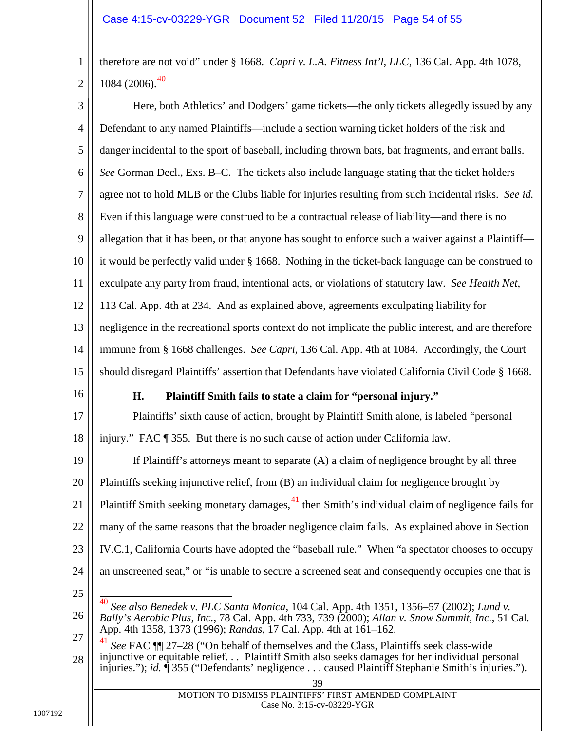<span id="page-53-3"></span>therefore are not void" under § 1668. *Capri v. L.A. Fitness Int'l, LLC*, 136 Cal. App. 4th 1078,  $1084$  (2006).<sup>40</sup>

<span id="page-53-4"></span><span id="page-53-0"></span>3 4 5 6 7 8 9 10 11 12 13 14 15 16 17 18 19 20 21 22 23 24 25 26 27 28 39 MOTION TO DISMISS PLAINTIFFS' FIRST AMENDED COMPLAINT Here, both Athletics' and Dodgers' game tickets—the only tickets allegedly issued by any Defendant to any named Plaintiffs—include a section warning ticket holders of the risk and danger incidental to the sport of baseball, including thrown bats, bat fragments, and errant balls. *See* Gorman Decl., Exs. B–C. The tickets also include language stating that the ticket holders agree not to hold MLB or the Clubs liable for injuries resulting from such incidental risks. *See id.* Even if this language were construed to be a contractual release of liability—and there is no allegation that it has been, or that anyone has sought to enforce such a waiver against a Plaintiff it would be perfectly valid under § 1668. Nothing in the ticket-back language can be construed to exculpate any party from fraud, intentional acts, or violations of statutory law. *See Health Net*, 113 Cal. App. 4th at 234. And as explained above, agreements exculpating liability for negligence in the recreational sports context do not implicate the public interest, and are therefore immune from § 1668 challenges. *See Capri*, 136 Cal. App. 4th at 1084. Accordingly, the Court should disregard Plaintiffs' assertion that Defendants have violated California Civil Code § 1668. **H. Plaintiff Smith fails to state a claim for "personal injury."** Plaintiffs' sixth cause of action, brought by Plaintiff Smith alone, is labeled "personal injury." FAC ¶ 355. But there is no such cause of action under California law. If Plaintiff's attorneys meant to separate (A) a claim of negligence brought by all three Plaintiffs seeking injunctive relief, from (B) an individual claim for negligence brought by Plaintiff Smith seeking monetary damages, <sup>[41](#page-53-8)</sup> then Smith's individual claim of negligence fails for many of the same reasons that the broader negligence claim fails. As explained above in Section IV.C.1, California Courts have adopted the "baseball rule." When "a spectator chooses to occupy an unscreened seat," or "is unable to secure a screened seat and consequently occupies one that is 40 *See also Benedek v. PLC Santa Monica*, 104 Cal. App. 4th 1351, 1356–57 (2002); *Lund v. Bally's Aerobic Plus, Inc.*, 78 Cal. App. 4th 733, 739 (2000); *Allan v. Snow Summit, Inc.*, 51 Cal. App. 4th 1358, 1373 (1996); *Randas*, 17 Cal. App. 4th at 161–162. <sup>41</sup> *See* FAC ¶¶ 27–28 ("On behalf of themselves and the Class, Plaintiffs seek class-wide injunctive or equitable relief. . . Plaintiff Smith also seeks damages for her individual personal injuries."); *id.* ¶ 355 ("Defendants' negligence . . . caused Plaintiff Stephanie Smith's injuries.").

<span id="page-53-8"></span><span id="page-53-7"></span><span id="page-53-6"></span><span id="page-53-5"></span><span id="page-53-2"></span><span id="page-53-1"></span>Case No. 3:15-cv-03229-YGR

1